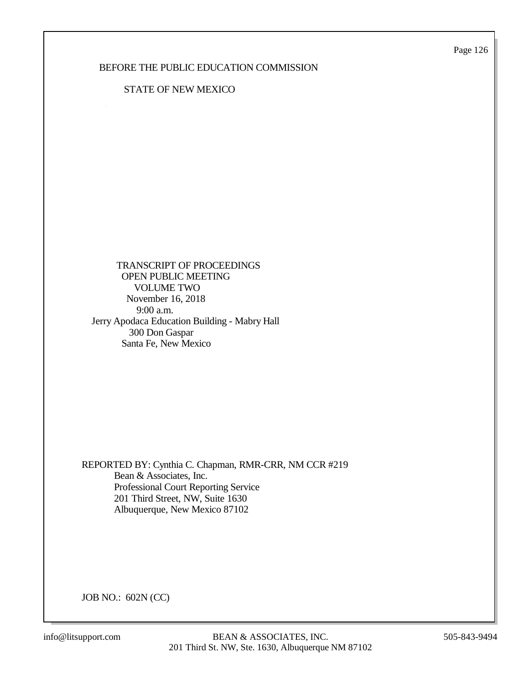Page 126

## BEFORE THE PUBLIC EDUCATION COMMISSION

## STATE OF NEW MEXICO

 TRANSCRIPT OF PROCEEDINGS OPEN PUBLIC MEETING VOLUME TWO November 16, 2018 9:00 a.m. Jerry Apodaca Education Building - Mabry Hall 300 Don Gaspar Santa Fe, New Mexico

REPORTED BY: Cynthia C. Chapman, RMR-CRR, NM CCR #219 Bean & Associates, Inc. Professional Court Reporting Service 201 Third Street, NW, Suite 1630 Albuquerque, New Mexico 87102

JOB NO.: 602N (CC)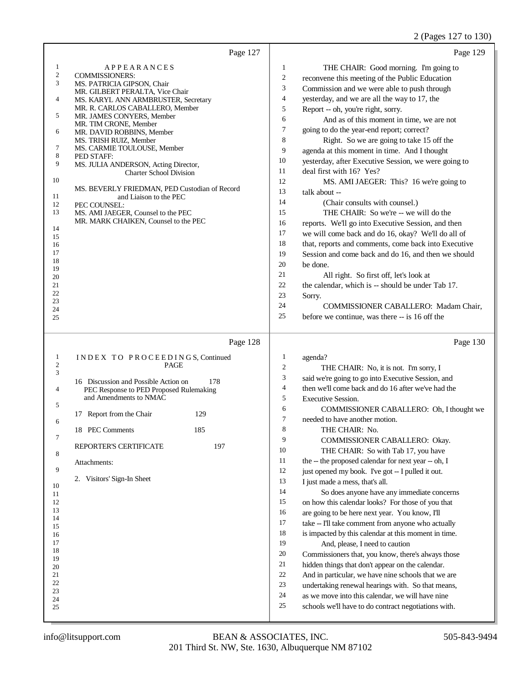## 2 (Pages 127 to 130)

|                                                                                                                                                                     | Page 127                                                                                                                                                                                                                                                                                                                                                                                                                                                                                                                                                                                            | Page 129                                                                                                                                                                                                                                                                                                                                                                                                                                                                                                                                                                                                                                                                                                                                                                                                                                                                                                                                                                                                                                                                                                                                                                                                                                                                       |
|---------------------------------------------------------------------------------------------------------------------------------------------------------------------|-----------------------------------------------------------------------------------------------------------------------------------------------------------------------------------------------------------------------------------------------------------------------------------------------------------------------------------------------------------------------------------------------------------------------------------------------------------------------------------------------------------------------------------------------------------------------------------------------------|--------------------------------------------------------------------------------------------------------------------------------------------------------------------------------------------------------------------------------------------------------------------------------------------------------------------------------------------------------------------------------------------------------------------------------------------------------------------------------------------------------------------------------------------------------------------------------------------------------------------------------------------------------------------------------------------------------------------------------------------------------------------------------------------------------------------------------------------------------------------------------------------------------------------------------------------------------------------------------------------------------------------------------------------------------------------------------------------------------------------------------------------------------------------------------------------------------------------------------------------------------------------------------|
| $\mathbf{1}$<br>$\boldsymbol{2}$<br>3<br>4<br>5<br>6<br>7<br>8<br>9<br>10<br>11<br>12<br>13<br>14<br>15<br>16<br>17<br>18<br>19<br>20<br>21<br>22<br>23<br>24<br>25 | <b>APPEARANCES</b><br><b>COMMISSIONERS:</b><br>MS. PATRICIA GIPSON, Chair<br>MR. GILBERT PERALTA, Vice Chair<br>MS. KARYL ANN ARMBRUSTER, Secretary<br>MR. R. CARLOS CABALLERO, Member<br>MR. JAMES CONYERS, Member<br>MR. TIM CRONE, Member<br>MR. DAVID ROBBINS, Member<br>MS. TRISH RUIZ, Member<br>MS. CARMIE TOULOUSE, Member<br>PED STAFF:<br>MS. JULIA ANDERSON, Acting Director,<br><b>Charter School Division</b><br>MS. BEVERLY FRIEDMAN, PED Custodian of Record<br>and Liaison to the PEC<br>PEC COUNSEL:<br>MS. AMI JAEGER, Counsel to the PEC<br>MR. MARK CHAIKEN, Counsel to the PEC | 1<br>THE CHAIR: Good morning. I'm going to<br>$\overline{2}$<br>reconvene this meeting of the Public Education<br>3<br>Commission and we were able to push through<br>$\overline{4}$<br>yesterday, and we are all the way to 17, the<br>5<br>Report -- oh, you're right, sorry.<br>6<br>And as of this moment in time, we are not<br>$\boldsymbol{7}$<br>going to do the year-end report; correct?<br>8<br>Right. So we are going to take 15 off the<br>9<br>agenda at this moment in time. And I thought<br>10<br>yesterday, after Executive Session, we were going to<br>11<br>deal first with 16? Yes?<br>12<br>MS. AMI JAEGER: This? 16 we're going to<br>13<br>talk about --<br>14<br>(Chair consults with counsel.)<br>15<br>THE CHAIR: So we're -- we will do the<br>16<br>reports. We'll go into Executive Session, and then<br>17<br>we will come back and do 16, okay? We'll do all of<br>18<br>that, reports and comments, come back into Executive<br>19<br>Session and come back and do 16, and then we should<br>20<br>be done.<br>21<br>All right. So first off, let's look at<br>22<br>the calendar, which is -- should be under Tab 17.<br>23<br>Sorry.<br>24<br>COMMISSIONER CABALLERO: Madam Chair,<br>25<br>before we continue, was there -- is 16 off the |
| $\mathbf{1}$                                                                                                                                                        | Page 128<br>INDEX TO PROCEEDINGS, Continued                                                                                                                                                                                                                                                                                                                                                                                                                                                                                                                                                         | Page 130<br>$\mathbf{1}$<br>agenda?                                                                                                                                                                                                                                                                                                                                                                                                                                                                                                                                                                                                                                                                                                                                                                                                                                                                                                                                                                                                                                                                                                                                                                                                                                            |
| $\overline{c}$<br>3<br>4<br>5<br>6<br>7<br>8<br>9<br>10<br>11<br>12<br>13<br>14<br>15<br>16<br>17<br>18                                                             | <b>PAGE</b><br>16 Discussion and Possible Action on<br>178<br>PEC Response to PED Proposed Rulemaking<br>and Amendments to NMAC<br>17 Report from the Chair<br>129<br>18 PEC Comments<br>185<br>197<br>REPORTER'S CERTIFICATE<br>Attachments:<br>2. Visitors' Sign-In Sheet                                                                                                                                                                                                                                                                                                                         | $\overline{c}$<br>THE CHAIR: No, it is not. I'm sorry, I<br>3<br>said we're going to go into Executive Session, and<br>$\overline{4}$<br>then we'll come back and do 16 after we've had the<br>5<br><b>Executive Session.</b><br>6<br>COMMISSIONER CABALLERO: Oh, I thought we<br>$\tau$<br>needed to have another motion.<br>8<br>THE CHAIR: No.<br>9<br>COMMISSIONER CABALLERO: Okay.<br>10<br>THE CHAIR: So with Tab 17, you have<br>11<br>the -- the proposed calendar for next year -- oh, I<br>$12\,$<br>just opened my book. I've got -- I pulled it out.<br>13<br>I just made a mess, that's all.<br>14<br>So does anyone have any immediate concerns<br>15<br>on how this calendar looks? For those of you that<br>16<br>are going to be here next year. You know, I'll<br>17<br>take -- I'll take comment from anyone who actually<br>18<br>is impacted by this calendar at this moment in time.<br>19<br>And, please, I need to caution                                                                                                                                                                                                                                                                                                                             |
| 19<br>20                                                                                                                                                            |                                                                                                                                                                                                                                                                                                                                                                                                                                                                                                                                                                                                     | 20<br>Commissioners that, you know, there's always those                                                                                                                                                                                                                                                                                                                                                                                                                                                                                                                                                                                                                                                                                                                                                                                                                                                                                                                                                                                                                                                                                                                                                                                                                       |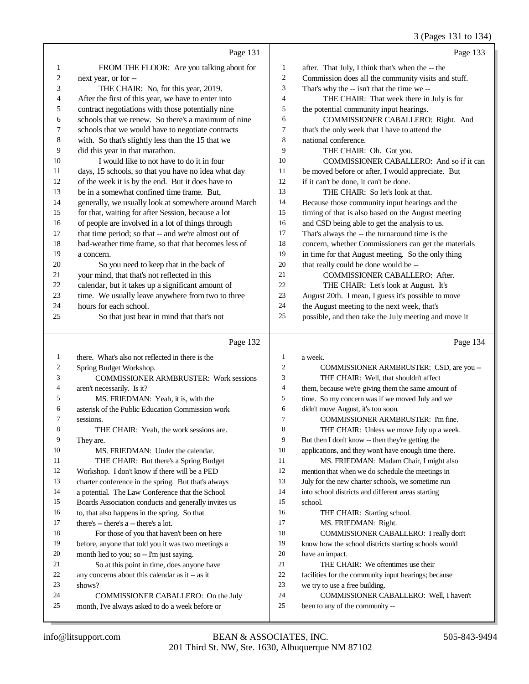|    |                                                      |                | 3 (Pages 131 to 134)                                 |
|----|------------------------------------------------------|----------------|------------------------------------------------------|
|    | Page 131                                             |                | Page 133                                             |
| 1  | FROM THE FLOOR: Are you talking about for            | 1              | after. That July, I think that's when the -- the     |
| 2  | next year, or for --                                 | $\overline{c}$ | Commission does all the community visits and stuff.  |
| 3  | THE CHAIR: No, for this year, 2019.                  | 3              | That's why the -- isn't that the time we --          |
| 4  | After the first of this year, we have to enter into  | $\overline{4}$ | THE CHAIR: That week there in July is for            |
| 5  | contract negotiations with those potentially nine    | 5              | the potential community input hearings.              |
| 6  | schools that we renew. So there's a maximum of nine  | 6              | COMMISSIONER CABALLERO: Right. And                   |
| 7  | schools that we would have to negotiate contracts    | 7              | that's the only week that I have to attend the       |
| 8  | with. So that's slightly less than the 15 that we    | 8              | national conference.                                 |
| 9  | did this year in that marathon.                      | 9              | THE CHAIR: Oh. Got you.                              |
| 10 | I would like to not have to do it in four            | 10             | COMMISSIONER CABALLERO: And so if it can             |
| 11 | days, 15 schools, so that you have no idea what day  | 11             | be moved before or after, I would appreciate. But    |
| 12 | of the week it is by the end. But it does have to    | 12             | if it can't be done, it can't be done.               |
| 13 | be in a somewhat confined time frame. But,           | 13             | THE CHAIR: So let's look at that.                    |
| 14 | generally, we usually look at somewhere around March | 14             | Because those community input hearings and the       |
| 15 | for that, waiting for after Session, because a lot   | 15             | timing of that is also based on the August meeting   |
| 16 | of people are involved in a lot of things through    | 16             | and CSD being able to get the analysis to us.        |
| 17 | that time period; so that -- and we're almost out of | 17             | That's always the -- the turnaround time is the      |
| 18 | bad-weather time frame, so that that becomes less of | 18             | concern, whether Commissioners can get the materials |
| 19 | a concern.                                           | 19             | in time for that August meeting. So the only thing   |
| 20 | So you need to keep that in the back of              | 20             | that really could be done would be --                |
| 21 | your mind, that that's not reflected in this         | 21             | COMMISSIONER CABALLERO: After.                       |
| 22 | calendar, but it takes up a significant amount of    | 22             | THE CHAIR: Let's look at August. It's                |
| 23 | time. We usually leave anywhere from two to three    | 23             | August 20th. I mean, I guess it's possible to move   |
| 24 | hours for each school.                               | 24             | the August meeting to the next week, that's          |
| 25 | So that just bear in mind that that's not            | 25             | possible, and then take the July meeting and move it |
|    |                                                      |                |                                                      |
|    | Page 132                                             |                | Page 134                                             |
| 1  | there. What's also not reflected in there is the     | $\mathbf{1}$   | a week.                                              |
| 2  | Spring Budget Workshop.                              | 2              | COMMISSIONER ARMBRUSTER: CSD, are you --             |
| 3  | <b>COMMISSIONER ARMBRUSTER: Work sessions</b>        | 3              | THE CHAIR: Well, that shouldn't affect               |
| 4  | aren't necessarily. Is it?                           | 4              | them, because we're giving them the same amount of   |
| 5  | MS. FRIEDMAN: Yeah, it is, with the                  | 5              | time. So my concern was if we moved July and we      |
| 6  | asterisk of the Public Education Commission work     | 6              | didn't move August, it's too soon.                   |
|    | sessions.                                            | 7              | COMMISSIONER ARMBRUSTER: I'm fine.                   |
| 8  | THE CHAIR: Yeah, the work sessions are.              | 8              | THE CHAIR: Unless we move July up a week.            |
| 9  | They are.                                            | 9              | But then I don't know -- then they're getting the    |
| 10 | MS. FRIEDMAN: Under the calendar.                    | 10             | applications, and they won't have enough time there. |
| 11 | THE CHAIR: But there's a Spring Budget               | 11             | MS. FRIEDMAN: Madam Chair, I might also              |
| 12 | Workshop. I don't know if there will be a PED        | 12             | mention that when we do schedule the meetings in     |
| 13 | charter conference in the spring. But that's always  | 13             | July for the new charter schools, we sometime run    |
| 14 | a potential. The Law Conference that the School      | 14             | into school districts and different areas starting   |
| 15 | Boards Association conducts and generally invites us | 15             | school.                                              |
| 16 | to, that also happens in the spring. So that         | 16             | THE CHAIR: Starting school.                          |
| 17 | there's -- there's a -- there's a lot.               | 17             | MS. FRIEDMAN: Right.                                 |
| 18 | For those of you that haven't been on here           | 18             | COMMISSIONER CABALLERO: I really don't               |
| 19 | before, anyone that told you it was two meetings a   | 19             | know how the school districts starting schools would |
| 20 | month lied to you; so -- I'm just saying.            | 20             | have an impact.                                      |
| 21 | So at this point in time, does anyone have           | 21             | THE CHAIR: We oftentimes use their                   |

 shows? COMMISSIONER CABALLERO: On the July

month, I've always asked to do a week before or

any concerns about this calendar as it -- as it

facilities for the community input hearings; because

- COMMISSIONER CABALLERO: Well, I haven't
- been to any of the community --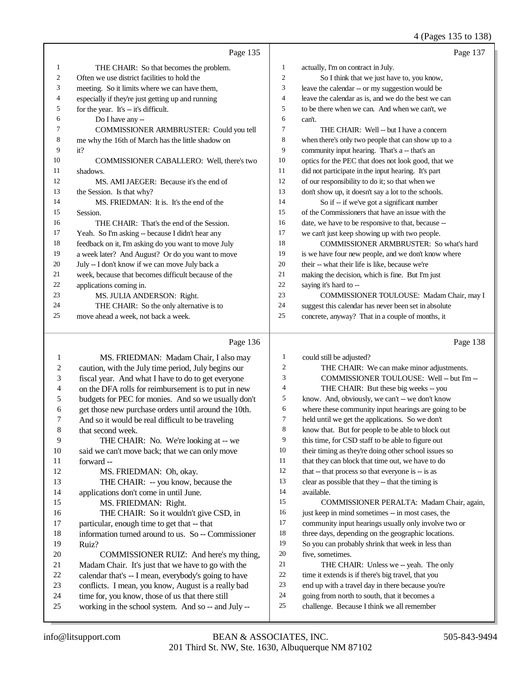## 4 (Pages 135 to 138)

|    | Page 135                                            |                | Page 137                                             |
|----|-----------------------------------------------------|----------------|------------------------------------------------------|
| 1  | THE CHAIR: So that becomes the problem.             | 1              | actually, I'm on contract in July.                   |
| 2  | Often we use district facilities to hold the        | $\overline{c}$ | So I think that we just have to, you know,           |
| 3  | meeting. So it limits where we can have them,       | 3              | leave the calendar -- or my suggestion would be      |
| 4  | especially if they're just getting up and running   | $\overline{4}$ | leave the calendar as is, and we do the best we can  |
| 5  | for the year. It's -- it's difficult.               | 5              | to be there when we can. And when we can't, we       |
| 6  | Do I have any --                                    | 6              | can't.                                               |
| 7  | COMMISSIONER ARMBRUSTER: Could you tell             | 7              | THE CHAIR: Well -- but I have a concern              |
| 8  | me why the 16th of March has the little shadow on   | 8              | when there's only two people that can show up to a   |
| 9  | it?                                                 | 9              | community input hearing. That's a -- that's an       |
| 10 | <b>COMMISSIONER CABALLERO: Well, there's two</b>    | 10             | optics for the PEC that does not look good, that we  |
| 11 | shadows.                                            | 11             | did not participate in the input hearing. It's part  |
| 12 | MS. AMI JAEGER: Because it's the end of             | 12             | of our responsibility to do it; so that when we      |
| 13 | the Session. Is that why?                           | 13             | don't show up, it doesn't say a lot to the schools.  |
| 14 | MS. FRIEDMAN: It is. It's the end of the            | 14             | So if -- if we've got a significant number           |
| 15 | Session.                                            | 15             | of the Commissioners that have an issue with the     |
| 16 | THE CHAIR: That's the end of the Session.           | 16             | date, we have to be responsive to that, because --   |
| 17 | Yeah. So I'm asking -- because I didn't hear any    | 17             | we can't just keep showing up with two people.       |
| 18 | feedback on it, I'm asking do you want to move July | 18             | COMMISSIONER ARMBRUSTER: So what's hard              |
| 19 | a week later? And August? Or do you want to move    | 19             | is we have four new people, and we don't know where  |
| 20 | July -- I don't know if we can move July back a     | 20             | their -- what their life is like, because we're      |
| 21 | week, because that becomes difficult because of the | 21             | making the decision, which is fine. But I'm just     |
| 22 | applications coming in.                             | 22             | saying it's hard to --                               |
| 23 | MS. JULIA ANDERSON: Right.                          | 23             | COMMISSIONER TOULOUSE: Madam Chair, may I            |
| 24 | THE CHAIR: So the only alternative is to            | 24             | suggest this calendar has never been set in absolute |
| 25 | move ahead a week, not back a week.                 | 25             | concrete, anyway? That in a couple of months, it     |

## Page 136

| 2<br>caution, with the July time period, July begins our<br>THE CHAIR: We can make minor adjustments.<br>2<br>3<br>COMMISSIONER TOULOUSE: Well -- but I'm --<br>3<br>fiscal year. And what I have to do to get everyone<br>4<br>THE CHAIR: But these big weeks -- you<br>on the DFA rolls for reimbursement is to put in new<br>4<br>5<br>know. And, obviously, we can't -- we don't know<br>5<br>budgets for PEC for monies. And so we usually don't<br>6<br>where these community input hearings are going to be<br>6<br>get those new purchase orders until around the 10th.<br>7<br>held until we get the applications. So we don't<br>7<br>And so it would be real difficult to be traveling<br>8<br>know that. But for people to be able to block out<br>8<br>that second week.<br>9<br>9<br>this time, for CSD staff to be able to figure out<br>THE CHAIR: No. We're looking at -- we<br>10<br>their timing as they're doing other school issues so<br>10<br>said we can't move back; that we can only move<br>11<br>that they can block that time out, we have to do<br>11<br>forward --<br>12<br>that -- that process so that everyone is -- is as<br>12<br>MS. FRIEDMAN: Oh, okay.<br>13<br>clear as possible that they -- that the timing is<br>13<br>THE CHAIR: -- you know, because the<br>14<br>14<br>applications don't come in until June.<br>available.<br>15<br>15<br>MS. FRIEDMAN: Right.<br>16<br>just keep in mind sometimes -- in most cases, the<br>16<br>THE CHAIR: So it wouldn't give CSD, in<br>17<br>particular, enough time to get that -- that<br>community input hearings usually only involve two or<br>17<br>18<br>18<br>information turned around to us. So -- Commissioner<br>three days, depending on the geographic locations.<br>19<br>So you can probably shrink that week in less than<br>19<br>Ruiz?<br>20<br>five, sometimes.<br>20<br>COMMISSIONER RUIZ: And here's my thing,<br>21<br>21<br>Madam Chair. It's just that we have to go with the<br>THE CHAIR: Unless we -- yeah. The only<br>22<br>time it extends is if there's big travel, that you<br>calendar that's -- I mean, everybody's going to have<br>22<br>23<br>end up with a travel day in there because you're<br>23<br>conflicts. I mean, you know, August is a really bad<br>24<br>going from north to south, that it becomes a<br>time for, you know, those of us that there still<br>24<br>25<br>challenge. Because I think we all remember<br>25<br>working in the school system. And so -- and July -- |   |                                       |   |                                           |
|-------------------------------------------------------------------------------------------------------------------------------------------------------------------------------------------------------------------------------------------------------------------------------------------------------------------------------------------------------------------------------------------------------------------------------------------------------------------------------------------------------------------------------------------------------------------------------------------------------------------------------------------------------------------------------------------------------------------------------------------------------------------------------------------------------------------------------------------------------------------------------------------------------------------------------------------------------------------------------------------------------------------------------------------------------------------------------------------------------------------------------------------------------------------------------------------------------------------------------------------------------------------------------------------------------------------------------------------------------------------------------------------------------------------------------------------------------------------------------------------------------------------------------------------------------------------------------------------------------------------------------------------------------------------------------------------------------------------------------------------------------------------------------------------------------------------------------------------------------------------------------------------------------------------------------------------------------------------------------------------------------------------------------------------------------------------------------------------------------------------------------------------------------------------------------------------------------------------------------------------------------------------------------------------------------------------------------------------------------------------------------------------------------------------------------------------------------------------------------------------------------------------------|---|---------------------------------------|---|-------------------------------------------|
|                                                                                                                                                                                                                                                                                                                                                                                                                                                                                                                                                                                                                                                                                                                                                                                                                                                                                                                                                                                                                                                                                                                                                                                                                                                                                                                                                                                                                                                                                                                                                                                                                                                                                                                                                                                                                                                                                                                                                                                                                                                                                                                                                                                                                                                                                                                                                                                                                                                                                                                         | 1 | MS. FRIEDMAN: Madam Chair, I also may | 1 | could still be adjusted?                  |
|                                                                                                                                                                                                                                                                                                                                                                                                                                                                                                                                                                                                                                                                                                                                                                                                                                                                                                                                                                                                                                                                                                                                                                                                                                                                                                                                                                                                                                                                                                                                                                                                                                                                                                                                                                                                                                                                                                                                                                                                                                                                                                                                                                                                                                                                                                                                                                                                                                                                                                                         |   |                                       |   |                                           |
|                                                                                                                                                                                                                                                                                                                                                                                                                                                                                                                                                                                                                                                                                                                                                                                                                                                                                                                                                                                                                                                                                                                                                                                                                                                                                                                                                                                                                                                                                                                                                                                                                                                                                                                                                                                                                                                                                                                                                                                                                                                                                                                                                                                                                                                                                                                                                                                                                                                                                                                         |   |                                       |   |                                           |
|                                                                                                                                                                                                                                                                                                                                                                                                                                                                                                                                                                                                                                                                                                                                                                                                                                                                                                                                                                                                                                                                                                                                                                                                                                                                                                                                                                                                                                                                                                                                                                                                                                                                                                                                                                                                                                                                                                                                                                                                                                                                                                                                                                                                                                                                                                                                                                                                                                                                                                                         |   |                                       |   |                                           |
|                                                                                                                                                                                                                                                                                                                                                                                                                                                                                                                                                                                                                                                                                                                                                                                                                                                                                                                                                                                                                                                                                                                                                                                                                                                                                                                                                                                                                                                                                                                                                                                                                                                                                                                                                                                                                                                                                                                                                                                                                                                                                                                                                                                                                                                                                                                                                                                                                                                                                                                         |   |                                       |   |                                           |
|                                                                                                                                                                                                                                                                                                                                                                                                                                                                                                                                                                                                                                                                                                                                                                                                                                                                                                                                                                                                                                                                                                                                                                                                                                                                                                                                                                                                                                                                                                                                                                                                                                                                                                                                                                                                                                                                                                                                                                                                                                                                                                                                                                                                                                                                                                                                                                                                                                                                                                                         |   |                                       |   |                                           |
|                                                                                                                                                                                                                                                                                                                                                                                                                                                                                                                                                                                                                                                                                                                                                                                                                                                                                                                                                                                                                                                                                                                                                                                                                                                                                                                                                                                                                                                                                                                                                                                                                                                                                                                                                                                                                                                                                                                                                                                                                                                                                                                                                                                                                                                                                                                                                                                                                                                                                                                         |   |                                       |   |                                           |
|                                                                                                                                                                                                                                                                                                                                                                                                                                                                                                                                                                                                                                                                                                                                                                                                                                                                                                                                                                                                                                                                                                                                                                                                                                                                                                                                                                                                                                                                                                                                                                                                                                                                                                                                                                                                                                                                                                                                                                                                                                                                                                                                                                                                                                                                                                                                                                                                                                                                                                                         |   |                                       |   |                                           |
|                                                                                                                                                                                                                                                                                                                                                                                                                                                                                                                                                                                                                                                                                                                                                                                                                                                                                                                                                                                                                                                                                                                                                                                                                                                                                                                                                                                                                                                                                                                                                                                                                                                                                                                                                                                                                                                                                                                                                                                                                                                                                                                                                                                                                                                                                                                                                                                                                                                                                                                         |   |                                       |   |                                           |
|                                                                                                                                                                                                                                                                                                                                                                                                                                                                                                                                                                                                                                                                                                                                                                                                                                                                                                                                                                                                                                                                                                                                                                                                                                                                                                                                                                                                                                                                                                                                                                                                                                                                                                                                                                                                                                                                                                                                                                                                                                                                                                                                                                                                                                                                                                                                                                                                                                                                                                                         |   |                                       |   |                                           |
|                                                                                                                                                                                                                                                                                                                                                                                                                                                                                                                                                                                                                                                                                                                                                                                                                                                                                                                                                                                                                                                                                                                                                                                                                                                                                                                                                                                                                                                                                                                                                                                                                                                                                                                                                                                                                                                                                                                                                                                                                                                                                                                                                                                                                                                                                                                                                                                                                                                                                                                         |   |                                       |   |                                           |
|                                                                                                                                                                                                                                                                                                                                                                                                                                                                                                                                                                                                                                                                                                                                                                                                                                                                                                                                                                                                                                                                                                                                                                                                                                                                                                                                                                                                                                                                                                                                                                                                                                                                                                                                                                                                                                                                                                                                                                                                                                                                                                                                                                                                                                                                                                                                                                                                                                                                                                                         |   |                                       |   |                                           |
|                                                                                                                                                                                                                                                                                                                                                                                                                                                                                                                                                                                                                                                                                                                                                                                                                                                                                                                                                                                                                                                                                                                                                                                                                                                                                                                                                                                                                                                                                                                                                                                                                                                                                                                                                                                                                                                                                                                                                                                                                                                                                                                                                                                                                                                                                                                                                                                                                                                                                                                         |   |                                       |   |                                           |
|                                                                                                                                                                                                                                                                                                                                                                                                                                                                                                                                                                                                                                                                                                                                                                                                                                                                                                                                                                                                                                                                                                                                                                                                                                                                                                                                                                                                                                                                                                                                                                                                                                                                                                                                                                                                                                                                                                                                                                                                                                                                                                                                                                                                                                                                                                                                                                                                                                                                                                                         |   |                                       |   |                                           |
|                                                                                                                                                                                                                                                                                                                                                                                                                                                                                                                                                                                                                                                                                                                                                                                                                                                                                                                                                                                                                                                                                                                                                                                                                                                                                                                                                                                                                                                                                                                                                                                                                                                                                                                                                                                                                                                                                                                                                                                                                                                                                                                                                                                                                                                                                                                                                                                                                                                                                                                         |   |                                       |   | COMMISSIONER PERALTA: Madam Chair, again, |
|                                                                                                                                                                                                                                                                                                                                                                                                                                                                                                                                                                                                                                                                                                                                                                                                                                                                                                                                                                                                                                                                                                                                                                                                                                                                                                                                                                                                                                                                                                                                                                                                                                                                                                                                                                                                                                                                                                                                                                                                                                                                                                                                                                                                                                                                                                                                                                                                                                                                                                                         |   |                                       |   |                                           |
|                                                                                                                                                                                                                                                                                                                                                                                                                                                                                                                                                                                                                                                                                                                                                                                                                                                                                                                                                                                                                                                                                                                                                                                                                                                                                                                                                                                                                                                                                                                                                                                                                                                                                                                                                                                                                                                                                                                                                                                                                                                                                                                                                                                                                                                                                                                                                                                                                                                                                                                         |   |                                       |   |                                           |
|                                                                                                                                                                                                                                                                                                                                                                                                                                                                                                                                                                                                                                                                                                                                                                                                                                                                                                                                                                                                                                                                                                                                                                                                                                                                                                                                                                                                                                                                                                                                                                                                                                                                                                                                                                                                                                                                                                                                                                                                                                                                                                                                                                                                                                                                                                                                                                                                                                                                                                                         |   |                                       |   |                                           |
|                                                                                                                                                                                                                                                                                                                                                                                                                                                                                                                                                                                                                                                                                                                                                                                                                                                                                                                                                                                                                                                                                                                                                                                                                                                                                                                                                                                                                                                                                                                                                                                                                                                                                                                                                                                                                                                                                                                                                                                                                                                                                                                                                                                                                                                                                                                                                                                                                                                                                                                         |   |                                       |   |                                           |
|                                                                                                                                                                                                                                                                                                                                                                                                                                                                                                                                                                                                                                                                                                                                                                                                                                                                                                                                                                                                                                                                                                                                                                                                                                                                                                                                                                                                                                                                                                                                                                                                                                                                                                                                                                                                                                                                                                                                                                                                                                                                                                                                                                                                                                                                                                                                                                                                                                                                                                                         |   |                                       |   |                                           |
|                                                                                                                                                                                                                                                                                                                                                                                                                                                                                                                                                                                                                                                                                                                                                                                                                                                                                                                                                                                                                                                                                                                                                                                                                                                                                                                                                                                                                                                                                                                                                                                                                                                                                                                                                                                                                                                                                                                                                                                                                                                                                                                                                                                                                                                                                                                                                                                                                                                                                                                         |   |                                       |   |                                           |
|                                                                                                                                                                                                                                                                                                                                                                                                                                                                                                                                                                                                                                                                                                                                                                                                                                                                                                                                                                                                                                                                                                                                                                                                                                                                                                                                                                                                                                                                                                                                                                                                                                                                                                                                                                                                                                                                                                                                                                                                                                                                                                                                                                                                                                                                                                                                                                                                                                                                                                                         |   |                                       |   |                                           |
|                                                                                                                                                                                                                                                                                                                                                                                                                                                                                                                                                                                                                                                                                                                                                                                                                                                                                                                                                                                                                                                                                                                                                                                                                                                                                                                                                                                                                                                                                                                                                                                                                                                                                                                                                                                                                                                                                                                                                                                                                                                                                                                                                                                                                                                                                                                                                                                                                                                                                                                         |   |                                       |   |                                           |
|                                                                                                                                                                                                                                                                                                                                                                                                                                                                                                                                                                                                                                                                                                                                                                                                                                                                                                                                                                                                                                                                                                                                                                                                                                                                                                                                                                                                                                                                                                                                                                                                                                                                                                                                                                                                                                                                                                                                                                                                                                                                                                                                                                                                                                                                                                                                                                                                                                                                                                                         |   |                                       |   |                                           |
|                                                                                                                                                                                                                                                                                                                                                                                                                                                                                                                                                                                                                                                                                                                                                                                                                                                                                                                                                                                                                                                                                                                                                                                                                                                                                                                                                                                                                                                                                                                                                                                                                                                                                                                                                                                                                                                                                                                                                                                                                                                                                                                                                                                                                                                                                                                                                                                                                                                                                                                         |   |                                       |   |                                           |

Page 138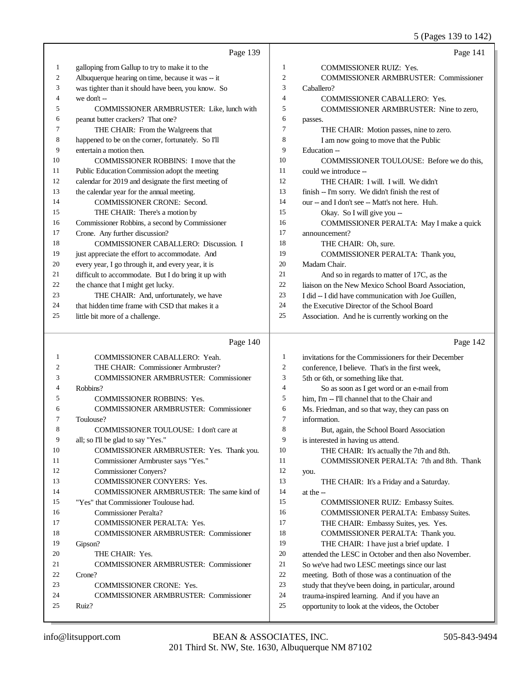5 (Pages 139 to 142)

|                  | Page 139                                             |                | Page 141                                             |
|------------------|------------------------------------------------------|----------------|------------------------------------------------------|
| $\mathbf{1}$     | galloping from Gallup to try to make it to the       | 1              | COMMISSIONER RUIZ: Yes.                              |
| $\boldsymbol{2}$ | Albuquerque hearing on time, because it was -- it    | $\mathfrak{2}$ | <b>COMMISSIONER ARMBRUSTER: Commissioner</b>         |
| 3                | was tighter than it should have been, you know. So   | 3              | Caballero?                                           |
| 4                | we don't --                                          | $\overline{4}$ | COMMISSIONER CABALLERO: Yes.                         |
| 5                | <b>COMMISSIONER ARMBRUSTER:</b> Like, lunch with     | 5              | COMMISSIONER ARMBRUSTER: Nine to zero,               |
| 6                | peanut butter crackers? That one?                    | 6              | passes.                                              |
| 7                | THE CHAIR: From the Walgreens that                   | 7              | THE CHAIR: Motion passes, nine to zero.              |
| 8                | happened to be on the corner, fortunately. So I'll   | 8              | I am now going to move that the Public               |
| 9                | entertain a motion then.                             | 9              | Education --                                         |
| 10               | <b>COMMISSIONER ROBBINS: I move that the</b>         | 10             | COMMISSIONER TOULOUSE: Before we do this,            |
| 11               | Public Education Commission adopt the meeting        | 11             | could we introduce --                                |
| 12               | calendar for 2019 and designate the first meeting of | 12             | THE CHAIR: I will. I will. We didn't                 |
| 13               | the calendar year for the annual meeting.            | 13             | finish -- I'm sorry. We didn't finish the rest of    |
| 14               | COMMISSIONER CRONE: Second.                          | 14             | our -- and I don't see -- Matt's not here. Huh.      |
| 15               | THE CHAIR: There's a motion by                       | 15             | Okay. So I will give you --                          |
| 16               | Commissioner Robbins, a second by Commissioner       | 16             | COMMISSIONER PERALTA: May I make a quick             |
| 17               | Crone. Any further discussion?                       | 17             | announcement?                                        |
| 18               | COMMISSIONER CABALLERO: Discussion. I                | 18             | THE CHAIR: Oh, sure.                                 |
| 19               | just appreciate the effort to accommodate. And       | 19             | COMMISSIONER PERALTA: Thank you,                     |
| $20\,$           | every year, I go through it, and every year, it is   | 20             | Madam Chair.                                         |
| 21               | difficult to accommodate. But I do bring it up with  | 21             | And so in regards to matter of 17C, as the           |
| $22\,$           | the chance that I might get lucky.                   | 22             | liaison on the New Mexico School Board Association,  |
| 23               | THE CHAIR: And, unfortunately, we have               | 23             | I did -- I did have communication with Joe Guillen,  |
| 24               | that hidden time frame with CSD that makes it a      | 24             | the Executive Director of the School Board           |
| 25               | little bit more of a challenge.                      | 25             | Association. And he is currently working on the      |
|                  | Page 140                                             |                | Page 142                                             |
| $\mathbf{1}$     | COMMISSIONER CABALLERO: Yeah.                        | $\mathbf{1}$   | invitations for the Commissioners for their December |
| $\mathfrak{2}$   | THE CHAIR: Commissioner Armbruster?                  | $\mathfrak{2}$ | conference, I believe. That's in the first week,     |
| 3                | <b>COMMISSIONER ARMBRUSTER: Commissioner</b>         | 3              | 5th or 6th, or something like that.                  |
| 4                | Robbins?                                             | $\overline{4}$ | So as soon as I get word or an e-mail from           |
| 5                | <b>COMMISSIONER ROBBINS: Yes.</b>                    | 5              | him, I'm -- I'll channel that to the Chair and       |
| 6                | COMMISSIONER ARMBRUSTER: Commissioner                | 6              | Ms. Friedman, and so that way, they can pass on      |
| 7                | Toulouse?                                            | $\tau$         | information.                                         |
| 8                | COMMISSIONER TOULOUSE: I don't care at               | 8              | But, again, the School Board Association             |
| 9                | all; so I'll be glad to say "Yes."                   | 9              | is interested in having us attend.                   |
| 10               | COMMISSIONER ARMBRUSTER: Yes. Thank you.             | 10             | THE CHAIR: It's actually the 7th and 8th.            |
| 11               | Commissioner Armbruster says "Yes."                  | 11             | COMMISSIONER PERALTA: 7th and 8th. Thank             |
| 12               | <b>Commissioner Conyers?</b>                         | 12             | you.                                                 |
|                  |                                                      |                |                                                      |
| 13               | COMMISSIONER CONYERS: Yes.                           | 13             | THE CHAIR: It's a Friday and a Saturday.             |
| 14               | COMMISSIONER ARMBRUSTER: The same kind of            | 14             | at the $-$                                           |
| 15               | "Yes" that Commissioner Toulouse had.                | 15             | <b>COMMISSIONER RUIZ: Embassy Suites.</b>            |
| 16               | <b>Commissioner Peralta?</b>                         | 16             | COMMISSIONER PERALTA: Embassy Suites.                |
| 17               | COMMISSIONER PERALTA: Yes.                           | 17             | THE CHAIR: Embassy Suites, yes. Yes.                 |
| 18               | <b>COMMISSIONER ARMBRUSTER: Commissioner</b>         | 18             | COMMISSIONER PERALTA: Thank you.                     |
| 19               | Gipson?                                              | 19             | THE CHAIR: I have just a brief update. I             |
| 20               | THE CHAIR: Yes.                                      | $20\,$         | attended the LESC in October and then also November. |
| 21               | COMMISSIONER ARMBRUSTER: Commissioner                | 21             | So we've had two LESC meetings since our last        |
| 22               | Crone?                                               | $22\,$         | meeting. Both of those was a continuation of the     |
| 23               | <b>COMMISSIONER CRONE: Yes.</b>                      | 23             | study that they've been doing, in particular, around |
| 24               | <b>COMMISSIONER ARMBRUSTER: Commissioner</b>         | 24             | trauma-inspired learning. And if you have an         |
| 25               | Ruiz?                                                | 25             | opportunity to look at the videos, the October       |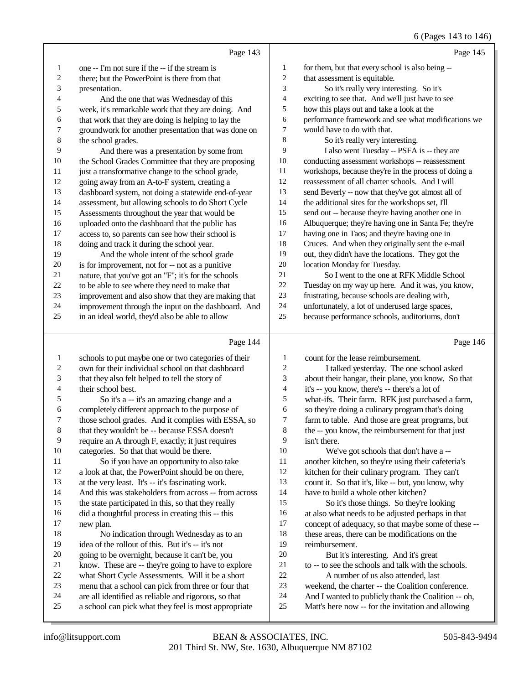### $($  Pages 143 to 146)

|                  |                                                      |                          | 0 (Pages 145 to 140)                                 |
|------------------|------------------------------------------------------|--------------------------|------------------------------------------------------|
|                  | Page 143                                             |                          | Page 145                                             |
| $\mathbf{1}$     | one -- I'm not sure if the -- if the stream is       | $\mathbf{1}$             | for them, but that every school is also being --     |
| $\sqrt{2}$       | there; but the PowerPoint is there from that         | $\sqrt{2}$               | that assessment is equitable.                        |
| 3                | presentation.                                        | 3                        | So it's really very interesting. So it's             |
| 4                | And the one that was Wednesday of this               | 4                        | exciting to see that. And we'll just have to see     |
| 5                | week, it's remarkable work that they are doing. And  | 5                        | how this plays out and take a look at the            |
| 6                | that work that they are doing is helping to lay the  | 6                        | performance framework and see what modifications we  |
| $\tau$           | groundwork for another presentation that was done on | $\boldsymbol{7}$         | would have to do with that.                          |
| 8                | the school grades.                                   | $\,$ 8 $\,$              | So it's really very interesting.                     |
| 9                | And there was a presentation by some from            | 9                        | I also went Tuesday -- PSFA is -- they are           |
| $10\,$           | the School Grades Committee that they are proposing  | $10\,$                   | conducting assessment workshops -- reassessment      |
| 11               | just a transformative change to the school grade,    | 11                       | workshops, because they're in the process of doing a |
| 12               | going away from an A-to-F system, creating a         | 12                       | reassessment of all charter schools. And I will      |
| 13               | dashboard system, not doing a statewide end-of-year  | 13                       | send Beverly -- now that they've got almost all of   |
| 14               | assessment, but allowing schools to do Short Cycle   | 14                       | the additional sites for the workshops set, I'll     |
| 15               | Assessments throughout the year that would be        | 15                       | send out -- because they're having another one in    |
| 16               | uploaded onto the dashboard that the public has      | 16                       | Albuquerque; they're having one in Santa Fe; they're |
| 17               | access to, so parents can see how their school is    | 17                       | having one in Taos; and they're having one in        |
| 18               | doing and track it during the school year.           | 18                       | Cruces. And when they originally sent the e-mail     |
| 19               | And the whole intent of the school grade             | 19                       | out, they didn't have the locations. They got the    |
| 20               | is for improvement, not for -- not as a punitive     | 20                       | location Monday for Tuesday.                         |
| $21\,$           | nature, that you've got an "F"; it's for the schools | 21                       | So I went to the one at RFK Middle School            |
| 22               | to be able to see where they need to make that       | 22                       | Tuesday on my way up here. And it was, you know,     |
| 23               | improvement and also show that they are making that  | 23                       | frustrating, because schools are dealing with,       |
| 24               | improvement through the input on the dashboard. And  | 24                       | unfortunately, a lot of underused large spaces,      |
| 25               | in an ideal world, they'd also be able to allow      | 25                       | because performance schools, auditoriums, don't      |
|                  |                                                      |                          |                                                      |
|                  | Page 144                                             |                          | Page 146                                             |
| $\mathbf 1$      | schools to put maybe one or two categories of their  | $\mathbf{1}$             | count for the lease reimbursement.                   |
| $\sqrt{2}$       | own for their individual school on that dashboard    | $\sqrt{2}$               | I talked yesterday. The one school asked             |
| 3                | that they also felt helped to tell the story of      | $\mathfrak{Z}$           | about their hangar, their plane, you know. So that   |
| $\overline{4}$   | their school best.                                   | $\overline{\mathcal{L}}$ | it's -- you know, there's -- there's a lot of        |
| 5                | So it's a -- it's an amazing change and a            | $\mathfrak s$            | what-ifs. Their farm. RFK just purchased a farm,     |
| $\boldsymbol{6}$ | completely different approach to the purpose of      | $\epsilon$               | so they're doing a culinary program that's doing     |
| $\boldsymbol{7}$ | those school grades. And it complies with ESSA, so   | $\boldsymbol{7}$         | farm to table. And those are great programs, but     |
| $\,8\,$          | that they wouldn't be -- because ESSA doesn't        | $\,8\,$                  | the -- you know, the reimbursement for that just     |
| 9                | require an A through F, exactly; it just requires    | $\overline{9}$           | isn't there.                                         |
| 10               | categories. So that that would be there.             | 10                       | We've got schools that don't have a --               |
| 11               | So if you have an opportunity to also take           | 11                       | another kitchen, so they're using their cafeteria's  |
| 12               | a look at that, the PowerPoint should be on there,   | 12                       | kitchen for their culinary program. They can't       |
| 13               | at the very least. It's -- it's fascinating work.    | 13                       | count it. So that it's, like -- but, you know, why   |

And this was stakeholders from across -- from across

the state participated in this, so that they really

16 did a thoughtful process in creating this -- this 17 new plan. new plan.

18 No indication through Wednesday as to an<br>19 idea of the rollout of this. But it's -- it's not idea of the rollout of this. But it's -- it's not

- 20 going to be overnight, because it can't be, you<br>21 know. These are -- they're going to have to ex 21 know. These are -- they're going to have to explore<br>22 what Short Cycle Assessments. Will it be a short
- 22 what Short Cycle Assessments. Will it be a short<br>23 menu that a school can pick from three or four that
- 23 menu that a school can pick from three or four that<br>24 are all identified as reliable and rigorous, so that
- 24 are all identified as reliable and rigorous, so that<br>25 a school can pick what they feel is most appropri
- a school can pick what they feel is most appropriate

 count it. So that it's, like -- but, you know, why have to build a whole other kitchen? So it's those things. So they're looking 16 at also what needs to be adjusted perhaps in that<br>17 concept of adequacy, so that maybe some of these concept of adequacy, so that maybe some of these --18 these areas, there can be modifications on the reimbursement.

reimbursement.

20 But it's interesting. And it's great<br>21 to -- to see the schools and talk with the

- 21 to -- to see the schools and talk with the schools.<br>22 A number of us also attended last
- 22 A number of us also attended, last<br>23 weekend, the charter -- the Coalition con
- 23 weekend, the charter -- the Coalition conference.<br>24 And I wanted to publicly thank the Coalition -- of
- 24 And I wanted to publicly thank the Coalition -- oh,<br>25 Matt's here now -- for the invitation and allowing Matt's here now -- for the invitation and allowing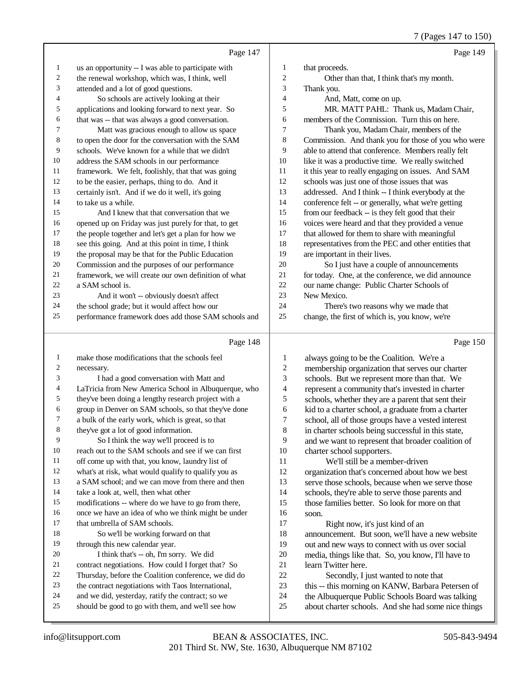7 (Pages 147 to 150)

|          | Page 147                                                                                               |                | Page 149                                                                                                |
|----------|--------------------------------------------------------------------------------------------------------|----------------|---------------------------------------------------------------------------------------------------------|
| 1        | us an opportunity -- I was able to participate with                                                    | $\mathbf{1}$   | that proceeds.                                                                                          |
| 2        | the renewal workshop, which was, I think, well                                                         | $\overline{c}$ | Other than that, I think that's my month.                                                               |
| 3        | attended and a lot of good questions.                                                                  | 3              | Thank you.                                                                                              |
| 4        | So schools are actively looking at their                                                               | $\overline{4}$ | And, Matt, come on up.                                                                                  |
| 5        | applications and looking forward to next year. So                                                      | 5              | MR. MATT PAHL: Thank us, Madam Chair,                                                                   |
| 6        | that was -- that was always a good conversation.                                                       | 6              | members of the Commission. Turn this on here.                                                           |
| 7        | Matt was gracious enough to allow us space                                                             | 7              | Thank you, Madam Chair, members of the                                                                  |
| 8        | to open the door for the conversation with the SAM                                                     | 8              | Commission. And thank you for those of you who were                                                     |
| 9        | schools. We've known for a while that we didn't                                                        | 9              | able to attend that conference. Members really felt                                                     |
| 10       | address the SAM schools in our performance                                                             | 10             | like it was a productive time. We really switched                                                       |
| 11       | framework. We felt, foolishly, that that was going                                                     | 11             | it this year to really engaging on issues. And SAM                                                      |
| 12       | to be the easier, perhaps, thing to do. And it                                                         | 12             | schools was just one of those issues that was                                                           |
| 13       | certainly isn't. And if we do it well, it's going                                                      | 13             | addressed. And I think -- I think everybody at the                                                      |
| 14       | to take us a while.                                                                                    | 14             | conference felt -- or generally, what we're getting                                                     |
| 15       | And I knew that that conversation that we                                                              | 15             | from our feedback -- is they felt good that their                                                       |
| 16       | opened up on Friday was just purely for that, to get                                                   | 16             | voices were heard and that they provided a venue                                                        |
| 17       | the people together and let's get a plan for how we                                                    | 17             | that allowed for them to share with meaningful                                                          |
| 18       | see this going. And at this point in time, I think                                                     | 18             | representatives from the PEC and other entities that                                                    |
| 19       | the proposal may be that for the Public Education                                                      | 19             | are important in their lives.                                                                           |
| 20       | Commission and the purposes of our performance                                                         | 20             | So I just have a couple of announcements                                                                |
| 21       | framework, we will create our own definition of what                                                   | 21             | for today. One, at the conference, we did announce                                                      |
| 22       | a SAM school is.                                                                                       | 22             | our name change: Public Charter Schools of                                                              |
| 23       | And it won't -- obviously doesn't affect                                                               | 23             | New Mexico.                                                                                             |
| 24       | the school grade; but it would affect how our                                                          | 24<br>25       | There's two reasons why we made that                                                                    |
| 25       | performance framework does add those SAM schools and                                                   |                | change, the first of which is, you know, we're                                                          |
|          |                                                                                                        |                |                                                                                                         |
|          | Page 148                                                                                               |                | Page 150                                                                                                |
| 1        | make those modifications that the schools feel                                                         | 1              |                                                                                                         |
| 2        | necessary.                                                                                             | $\overline{c}$ | always going to be the Coalition. We're a                                                               |
| 3        | I had a good conversation with Matt and                                                                | 3              | membership organization that serves our charter                                                         |
| 4        | LaTricia from New America School in Albuquerque, who                                                   | 4              | schools. But we represent more than that. We<br>represent a community that's invested in charter        |
| 5        | they've been doing a lengthy research project with a                                                   | 5              | schools, whether they are a parent that sent their                                                      |
| 6        | group in Denver on SAM schools, so that they've done                                                   | 6              | kid to a charter school, a graduate from a charter                                                      |
| 7        | a bulk of the early work, which is great, so that                                                      | 7              | school, all of those groups have a vested interest                                                      |
| 8        | they've got a lot of good information.                                                                 | 8              | in charter schools being successful in this state,                                                      |
| 9        | So I think the way we'll proceed is to                                                                 | 9              | and we want to represent that broader coalition of                                                      |
| 10       | reach out to the SAM schools and see if we can first                                                   | 10             | charter school supporters.                                                                              |
| 11       | off come up with that, you know, laundry list of                                                       | 11             | We'll still be a member-driven                                                                          |
| 12       | what's at risk, what would qualify to qualify you as                                                   | 12             | organization that's concerned about how we best                                                         |
| 13       | a SAM school; and we can move from there and then                                                      | 13             | serve those schools, because when we serve those                                                        |
| 14       | take a look at, well, then what other                                                                  | 14             | schools, they're able to serve those parents and                                                        |
| 15       | modifications -- where do we have to go from there,                                                    | 15             | those families better. So look for more on that                                                         |
| 16       | once we have an idea of who we think might be under                                                    | 16             | soon.                                                                                                   |
| 17       | that umbrella of SAM schools.                                                                          | 17             | Right now, it's just kind of an                                                                         |
| 18       | So we'll be working forward on that                                                                    | 18             | announcement. But soon, we'll have a new website                                                        |
| 19       | through this new calendar year.                                                                        | 19             | out and new ways to connect with us over social                                                         |
| 20       | I think that's -- oh, I'm sorry. We did                                                                | $20\,$         | media, things like that. So, you know, I'll have to                                                     |
| 21       | contract negotiations. How could I forget that? So                                                     | 21             | learn Twitter here.                                                                                     |
| 22       | Thursday, before the Coalition conference, we did do                                                   | $22\,$         | Secondly, I just wanted to note that                                                                    |
| 23<br>24 | the contract negotiations with Taos International,                                                     | 23             | this -- this morning on KANW, Barbara Petersen of                                                       |
| 25       | and we did, yesterday, ratify the contract; so we<br>should be good to go with them, and we'll see how | 24<br>25       | the Albuquerque Public Schools Board was talking<br>about charter schools. And she had some nice things |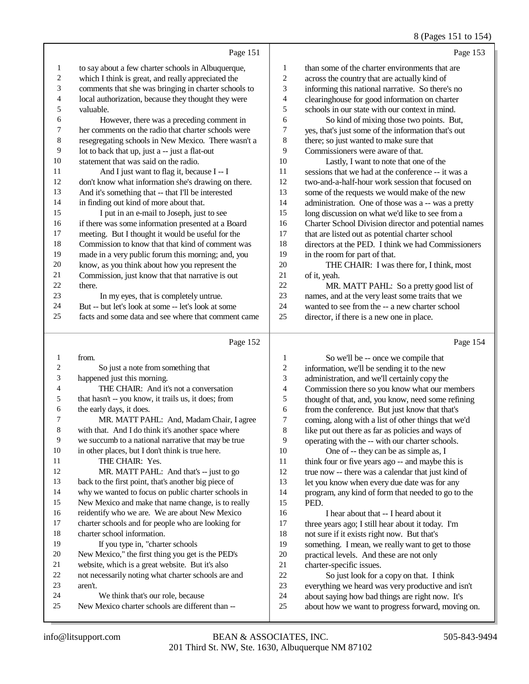### 8 (Pages 151 to 154)

Page 151 1 to say about a few charter schools in Albuquerque,<br>2 which I think is great and really appreciated the 2 which I think is great, and really appreciated the<br>3 comments that she was bringing in charter school comments that she was bringing in charter schools to 4 local authorization, because they thought they were<br>5 valuable 5 valuable.<br>6 Ho 6 However, there was a preceding comment in<br>
7 her comments on the radio that charter schools were 7 her comments on the radio that charter schools were 8 resegregating schools in New Mexico. There wasn't a 9 lot to back that up, just a -- just a flat-out 10 statement that was said on the radio. 11 And I just want to flag it, because I -- I<br>12 don't know what information she's drawing or don't know what information she's drawing on there. 13 And it's something that -- that I'll be interested<br>14 in finding out kind of more about that in finding out kind of more about that. 15 I put in an e-mail to Joseph, just to see<br>16 if there was some information presented at a l 16 if there was some information presented at a Board<br>17 meeting But I thought it would be useful for the 17 meeting. But I thought it would be useful for the<br>18 Commission to know that that kind of comment v Commission to know that that kind of comment was 19 made in a very public forum this morning; and, you<br>20 know as you think about how you represent the know, as you think about how you represent the 21 Commission, just know that that narrative is out 22 there  $22$  there.<br>23 In my eyes, that is completely untrue. 24 But -- but let's look at some -- let's look at some<br>25 facts and some data and see where that comment facts and some data and see where that comment came Page 152 Page 153 1 than some of the charter environments that are 2 across the country that are actually kind of 3 informing this national narrative. So there's no 4 clearinghouse for good information on charter 5 schools in our state with our context in mind. 6 So kind of mixing those two points. But, 7 yes, that's just some of the information that's out 8 there; so just wanted to make sure that 9 Commissioners were aware of that. 10 Lastly, I want to note that one of the 11 sessions that we had at the conference -- it was a 12 two-and-a-half-hour work session that focused on 13 some of the requests we would make of the new 14 administration. One of those was a -- was a pretty 15 long discussion on what we'd like to see from a 16 Charter School Division director and potential names 17 that are listed out as potential charter school 18 directors at the PED. I think we had Commissioners 19 in the room for part of that. 20 THE CHAIR: I was there for, I think, most 21 of it, yeah. 22 MR. MATT PAHL: So a pretty good list of 23 names, and at the very least some traits that we 24 wanted to see from the -- a new charter school 25 director, if there is a new one in place. Page 154

1 from. So just a note from something that happened just this morning. THE CHAIR: And it's not a conversation that hasn't -- you know, it trails us, it does; from the early days, it does. MR. MATT PAHL: And, Madam Chair, I agree with that. And I do think it's another space where we succumb to a national narrative that may be true in other places, but I don't think is true here. 11 THE CHAIR: Yes. 12 MR. MATT PAHL: And that's -- just to go back to the first point, that's another big piece of why we wanted to focus on public charter schools in New Mexico and make that name change, is to really reidentify who we are. We are about New Mexico charter schools and for people who are looking for charter school information. If you type in, "charter schools New Mexico," the first thing you get is the PED's website, which is a great website. But it's also not necessarily noting what charter schools are and 23 aren't. We think that's our role, because New Mexico charter schools are different than --

1 So we'll be -- once we compile that<br>2 information, we'll be sending it to the new 2 information, we'll be sending it to the new<br>3 administration, and we'll certainly convine administration, and we'll certainly copy the 4 Commission there so you know what our members<br>5 thought of that, and, you know, need some refining 5 thought of that, and, you know, need some refining<br>6 from the conference. But iust know that that's 6 from the conference. But just know that that's<br>7 coming, along with a list of other things that w 7 coming, along with a list of other things that we'd<br>8 like put out there as far as policies and ways of like put out there as far as policies and ways of 9 operating with the -- with our charter schools.<br>10 One of -- they can be as simple as. I 10 One of -- they can be as simple as, I<br>11 think four or five years ago -- and maybe the 11 think four or five years ago -- and maybe this is<br>12 true now -- there was a calendar that just kind of true now -- there was a calendar that just kind of 13 let you know when every due date was for any 14 program, any kind of form that needed to go to the 15 PED. 16 I hear about that -- I heard about it<br>17 three years ago: I still hear about it today. three years ago; I still hear about it today. I'm 18 not sure if it exists right now. But that's<br>19 something I mean we really want to get something. I mean, we really want to get to those 20 practical levels. And these are not only<br>21 charter-specific issues. 21 charter-specific issues.<br>22 So just look for a

22 So just look for a copy on that. I think<br>23 everything we heard was very productive and 23 everything we heard was very productive and isn't<br>24 about saying how had things are right now. It's

24 about saying how bad things are right now. It's<br>25 about how we want to progress forward, moving about how we want to progress forward, moving on.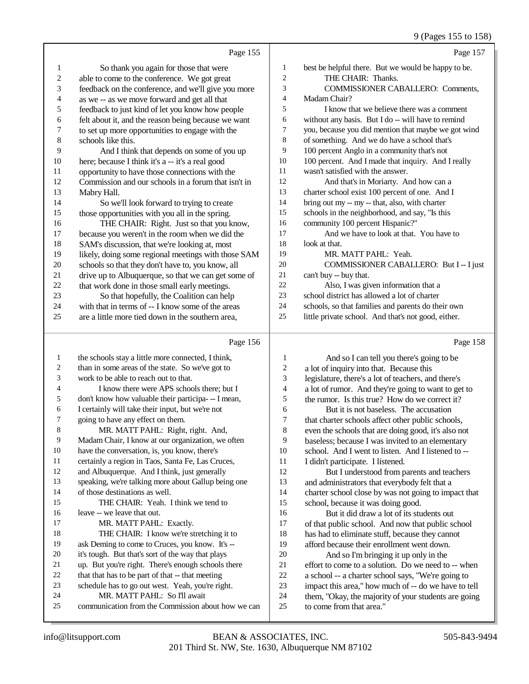### 9 (Pages 155 to 158)

|                | Page 155                                            |                | Page 157                                            |
|----------------|-----------------------------------------------------|----------------|-----------------------------------------------------|
| $\mathbf{1}$   | So thank you again for those that were              | 1              | best be helpful there. But we would be happy to be. |
| $\sqrt{2}$     | able to come to the conference. We got great        | $\overline{2}$ | THE CHAIR: Thanks.                                  |
| 3              | feedback on the conference, and we'll give you more | 3              | <b>COMMISSIONER CABALLERO: Comments,</b>            |
| 4              | as we -- as we move forward and get all that        | 4              | Madam Chair?                                        |
| 5              | feedback to just kind of let you know how people    | 5              | I know that we believe there was a comment          |
| 6              | felt about it, and the reason being because we want | 6              | without any basis. But I do -- will have to remind  |
| 7              | to set up more opportunities to engage with the     | 7              | you, because you did mention that maybe we got wind |
| 8              | schools like this.                                  | 8              | of something. And we do have a school that's        |
| 9              | And I think that depends on some of you up          | 9              | 100 percent Anglo in a community that's not         |
| $10\,$         | here; because I think it's a -- it's a real good    | 10             | 100 percent. And I made that inquiry. And I really  |
| 11             | opportunity to have those connections with the      | 11             | wasn't satisfied with the answer.                   |
| 12             | Commission and our schools in a forum that isn't in | 12             | And that's in Moriarty. And how can a               |
| 13             | Mabry Hall.                                         | 13             | charter school exist 100 percent of one. And I      |
| 14             | So we'll look forward to trying to create           | 14             | bring out my -- my -- that, also, with charter      |
| 15             | those opportunities with you all in the spring.     | 15             | schools in the neighborhood, and say, "Is this      |
| 16             | THE CHAIR: Right. Just so that you know,            | 16             | community 100 percent Hispanic?"                    |
| 17             | because you weren't in the room when we did the     | 17             | And we have to look at that. You have to            |
| 18             | SAM's discussion, that we're looking at, most       | 18             | look at that.                                       |
| 19             | likely, doing some regional meetings with those SAM | 19             | MR. MATT PAHL: Yeah.                                |
| $20\,$         | schools so that they don't have to, you know, all   | 20             | COMMISSIONER CABALLERO: But I -- I just             |
| 21             | drive up to Albuquerque, so that we can get some of | 21             | can't buy -- buy that.                              |
| $22\,$         | that work done in those small early meetings.       | 22             | Also, I was given information that a                |
| 23             | So that hopefully, the Coalition can help           | 23             | school district has allowed a lot of charter        |
| 24             | with that in terms of -- I know some of the areas   | 24             | schools, so that families and parents do their own  |
| 25             | are a little more tied down in the southern area,   | 25             | little private school. And that's not good, either. |
|                | Page 156                                            |                | Page 158                                            |
| 1              | the schools stay a little more connected, I think,  | 1              | And so I can tell you there's going to be           |
| $\overline{c}$ | than in some areas of the state. So we've got to    | 2              | a lot of inquiry into that. Because this            |
| 3              | work to be able to reach out to that.               | 3              | legislature, there's a lot of teachers, and there's |
| 4              | I know there were APS schools there: but I          | 4              | a lot of rumor And they're going to want to get to  |

- don't know how valuable their participa- -- I mean,
- I certainly will take their input, but we're not going to have any effect on them.
- MR. MATT PAHL: Right, right. And,
- Madam Chair, I know at our organization, we often
- have the conversation, is, you know, there's
- certainly a region in Taos, Santa Fe, Las Cruces,
- and Albuquerque. And I think, just generally speaking, we're talking more about Gallup being one
- of those destinations as well.
- THE CHAIR: Yeah. I think we tend to leave -- we leave that out. 17 MR. MATT PAHL: Exactly.
- THE CHAIR: I know we're stretching it to ask Deming to come to Cruces, you know. It's --
- it's tough. But that's sort of the way that plays
- 
- up. But you're right. There's enough schools there 22 that that has to be part of that -- that meeting
- 23 schedule has to go out west. Yeah, you're right.
- MR. MATT PAHL: So I'll await
- communication from the Commission about how we can
- 4 a lot of rumor. And they're going to want to get to<br>5 the rumor. Is this true? How do we correct it? the rumor. Is this true? How do we correct it? 6 But it is not baseless. The accusation<br>7 that charter schools affect other public schools 7 that charter schools affect other public schools,<br>8 even the schools that are doing good, it's also no
	- even the schools that are doing good, it's also not
- 9 baseless; because I was invited to an elementary<br>10 school. And I went to listen. And I listened to --10 school. And I went to listen. And I listened to --<br>11 I didn't participate. I listened.
	-
- 11 I didn't participate. I listened.<br>12 But I understood from n But I understood from parents and teachers and administrators that everybody felt that a charter school close by was not going to impact that school, because it was doing good.
- 16 But it did draw a lot of its students out<br>17 of that public school. And now that public so of that public school. And now that public school 18 has had to eliminate stuff, because they cannot<br>19 afford because their enrollment went down afford because their enrollment went down.
- 20 And so I'm bringing it up only in the<br>21 effort to come to a solution. Do we need to 21 effort to come to a solution. Do we need to  $-$  when<br>22 a school  $-$  a charter school says. "We're going to 22 a school -- a charter school says, "We're going to<br>23 impact this area." how much of -- do we have to to 23 impact this area," how much of -- do we have to tell<br>24 them. "Okay, the majority of your students are going 24 them, "Okay, the majority of your students are going<br>25 to come from that area."
	- to come from that area."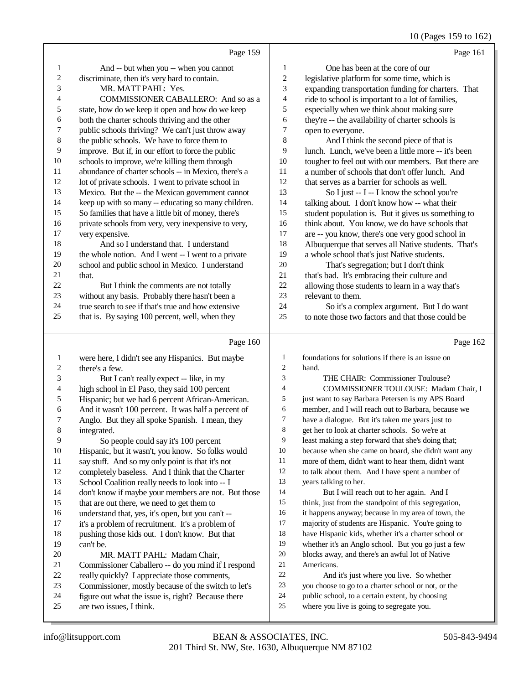10 (Pages 159 to 162)

|          |                                                                                                        |                | $10^{11}$ $(10^{10})^{10}$ $10^{10}$                                                           |
|----------|--------------------------------------------------------------------------------------------------------|----------------|------------------------------------------------------------------------------------------------|
|          | Page 159                                                                                               |                | Page 161                                                                                       |
| 1        | And -- but when you -- when you cannot                                                                 | 1              | One has been at the core of our                                                                |
| 2        | discriminate, then it's very hard to contain.                                                          | 2              | legislative platform for some time, which is                                                   |
| 3        | MR. MATT PAHL: Yes.                                                                                    | 3              | expanding transportation funding for charters. That                                            |
| 4        | COMMISSIONER CABALLERO: And so as a                                                                    | 4              | ride to school is important to a lot of families,                                              |
| 5        | state, how do we keep it open and how do we keep                                                       | 5              | especially when we think about making sure                                                     |
| 6        | both the charter schools thriving and the other                                                        | 6              | they're -- the availability of charter schools is                                              |
| 7        | public schools thriving? We can't just throw away                                                      | 7              | open to everyone.                                                                              |
| 8        | the public schools. We have to force them to                                                           | 8              | And I think the second piece of that is                                                        |
| 9        | improve. But if, in our effort to force the public                                                     | 9              | lunch. Lunch, we've been a little more -- it's been                                            |
| 10       | schools to improve, we're killing them through                                                         | 10             | tougher to feel out with our members. But there are                                            |
| 11       | abundance of charter schools -- in Mexico, there's a                                                   | 11             | a number of schools that don't offer lunch. And                                                |
| 12       | lot of private schools. I went to private school in                                                    | 12             | that serves as a barrier for schools as well.                                                  |
| 13       | Mexico. But the -- the Mexican government cannot                                                       | 13             | So I just -- I -- I know the school you're                                                     |
| 14       | keep up with so many -- educating so many children.                                                    | 14             | talking about. I don't know how -- what their                                                  |
| 15       | So families that have a little bit of money, there's                                                   | 15             | student population is. But it gives us something to                                            |
| 16       | private schools from very, very inexpensive to very,                                                   | 16             | think about. You know, we do have schools that                                                 |
| 17       | very expensive.                                                                                        | 17             | are -- you know, there's one very good school in                                               |
| 18       | And so I understand that. I understand                                                                 | 18             | Albuquerque that serves all Native students. That's                                            |
| 19       | the whole notion. And I went -- I went to a private                                                    | 19             | a whole school that's just Native students.                                                    |
| 20       | school and public school in Mexico. I understand                                                       | $20\,$         | That's segregation; but I don't think                                                          |
| 21       | that.                                                                                                  | 21             | that's bad. It's embracing their culture and                                                   |
| 22       | But I think the comments are not totally                                                               | 22             | allowing those students to learn in a way that's                                               |
| 23<br>24 | without any basis. Probably there hasn't been a<br>true search to see if that's true and how extensive | 23             | relevant to them.                                                                              |
| 25       |                                                                                                        | 24<br>25       | So it's a complex argument. But I do want<br>to note those two factors and that those could be |
|          | that is. By saying 100 percent, well, when they                                                        |                |                                                                                                |
|          | Page 160                                                                                               |                | Page 162                                                                                       |
| 1        | were here, I didn't see any Hispanics. But maybe                                                       | 1              | foundations for solutions if there is an issue on                                              |
| 2        | there's a few.                                                                                         | $\overline{2}$ | hand.                                                                                          |
| 3        | But I can't really expect -- like, in my                                                               | 3              | THE CHAIR: Commissioner Toulouse?                                                              |
| 4        | high school in El Paso, they said 100 percent                                                          | $\overline{4}$ | COMMISSIONER TOULOUSE: Madam Chair, I                                                          |
| 5        | Hispanic; but we had 6 percent African-American.                                                       | 5              | just want to say Barbara Petersen is my APS Board                                              |
| 6        | And it wasn't 100 percent. It was half a percent of                                                    | 6              | member, and I will reach out to Barbara, because we                                            |
| 7        | Anglo. But they all spoke Spanish. I mean, they                                                        | 7              | have a dialogue. But it's taken me years just to                                               |
| 8        | integrated.                                                                                            | 8              | get her to look at charter schools. So we're at                                                |
| 9        | So people could say it's 100 percent                                                                   | 9              | least making a step forward that she's doing that;                                             |
| 10       | Hispanic, but it wasn't, you know. So folks would                                                      | 10             | because when she came on board, she didn't want any                                            |
| 11       | say stuff. And so my only point is that it's not                                                       | 11<br>12       | more of them, didn't want to hear them, didn't want                                            |
| 12<br>13 | completely baseless. And I think that the Charter                                                      | 13             | to talk about them. And I have spent a number of                                               |
| 14       | School Coalition really needs to look into -- I<br>don't know if maybe your members are not. But those | 14             | years talking to her.<br>But I will reach out to her again. And I                              |
| 15       | that are out there, we need to get them to                                                             | 15             | think, just from the standpoint of this segregation,                                           |
| 16       | understand that, yes, it's open, but you can't --                                                      | 16             | it happens anyway; because in my area of town, the                                             |
| 17       | it's a problem of recruitment. It's a problem of                                                       | 17             | majority of students are Hispanic. You're going to                                             |
| 18       | pushing those kids out. I don't know. But that                                                         | 18             | have Hispanic kids, whether it's a charter school or                                           |
| 19       | can't be.                                                                                              | 19             | whether it's an Anglo school. But you go just a few                                            |
| 20       | MR. MATT PAHL: Madam Chair,                                                                            | $20\,$         | blocks away, and there's an awful lot of Native                                                |
| 21       | Commissioner Caballero -- do you mind if I respond                                                     | 21             | Americans.                                                                                     |
| 22       | really quickly? I appreciate those comments,                                                           | $22\,$         | And it's just where you live. So whether                                                       |
| 23       | Commissioner, mostly because of the switch to let's                                                    | 23             | you choose to go to a charter school or not, or the                                            |
| 24       | figure out what the issue is, right? Because there                                                     | 24             | public school, to a certain extent, by choosing                                                |
|          |                                                                                                        |                |                                                                                                |
| 25       | are two issues, I think.                                                                               | 25             | where you live is going to segregate you.                                                      |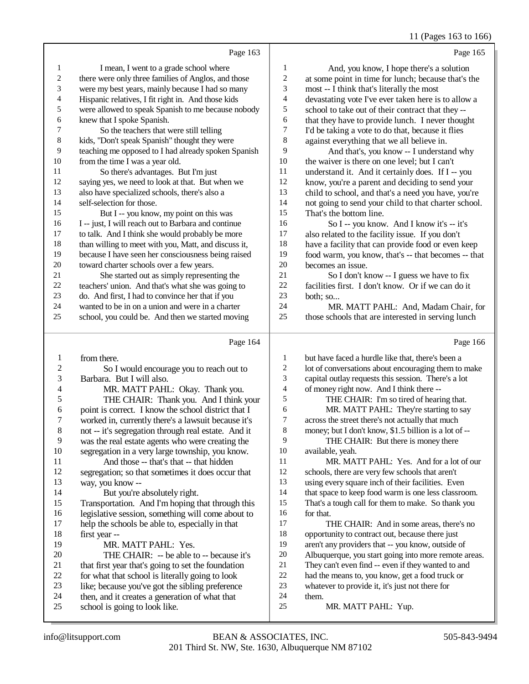11 (Pages 163 to 166)

|                          | Page 163                                                                                                   |                  | Page 165                                                                                                 |
|--------------------------|------------------------------------------------------------------------------------------------------------|------------------|----------------------------------------------------------------------------------------------------------|
| $\mathbf{1}$             | I mean, I went to a grade school where                                                                     | 1                | And, you know, I hope there's a solution                                                                 |
| $\overline{\mathbf{c}}$  | there were only three families of Anglos, and those                                                        | $\boldsymbol{2}$ | at some point in time for lunch; because that's the                                                      |
| 3                        | were my best years, mainly because I had so many                                                           | 3                | most -- I think that's literally the most                                                                |
| 4                        | Hispanic relatives, I fit right in. And those kids                                                         | 4                | devastating vote I've ever taken here is to allow a                                                      |
| 5                        | were allowed to speak Spanish to me because nobody                                                         | 5                | school to take out of their contract that they --                                                        |
| 6                        | knew that I spoke Spanish.                                                                                 | 6                | that they have to provide lunch. I never thought                                                         |
| 7                        | So the teachers that were still telling                                                                    | 7                | I'd be taking a vote to do that, because it flies                                                        |
| 8                        | kids, "Don't speak Spanish" thought they were                                                              | $8\,$            | against everything that we all believe in.                                                               |
| 9                        | teaching me opposed to I had already spoken Spanish                                                        | 9                | And that's, you know -- I understand why                                                                 |
| 10                       | from the time I was a year old.                                                                            | 10               | the waiver is there on one level; but I can't                                                            |
| 11                       | So there's advantages. But I'm just                                                                        | 11               | understand it. And it certainly does. If I -- you                                                        |
| 12                       | saying yes, we need to look at that. But when we                                                           | 12               | know, you're a parent and deciding to send your                                                          |
| 13                       | also have specialized schools, there's also a                                                              | 13               | child to school, and that's a need you have, you're                                                      |
| 14                       | self-selection for those.                                                                                  | 14               | not going to send your child to that charter school.                                                     |
| 15                       | But I -- you know, my point on this was                                                                    | 15               | That's the bottom line.                                                                                  |
| 16                       | I -- just, I will reach out to Barbara and continue                                                        | 16               | So I -- you know. And I know it's -- it's                                                                |
| 17                       | to talk. And I think she would probably be more                                                            | 17               | also related to the facility issue. If you don't                                                         |
| 18                       | than willing to meet with you, Matt, and discuss it,                                                       | 18<br>19         | have a facility that can provide food or even keep                                                       |
| 19<br>20                 | because I have seen her consciousness being raised                                                         | 20               | food warm, you know, that's -- that becomes -- that<br>becomes an issue.                                 |
| 21                       | toward charter schools over a few years.<br>She started out as simply representing the                     | 21               | So I don't know -- I guess we have to fix                                                                |
| $22\,$                   | teachers' union. And that's what she was going to                                                          | 22               | facilities first. I don't know. Or if we can do it                                                       |
| 23                       | do. And first, I had to convince her that if you                                                           | 23               | both; so                                                                                                 |
| 24                       | wanted to be in on a union and were in a charter                                                           | 24               | MR. MATT PAHL: And, Madam Chair, for                                                                     |
| 25                       | school, you could be. And then we started moving                                                           | 25               | those schools that are interested in serving lunch                                                       |
|                          |                                                                                                            |                  |                                                                                                          |
|                          | Page 164                                                                                                   |                  | Page 166                                                                                                 |
| 1                        | from there.                                                                                                | 1                | but have faced a hurdle like that, there's been a                                                        |
| $\overline{c}$           | So I would encourage you to reach out to                                                                   | $\boldsymbol{2}$ | lot of conversations about encouraging them to make                                                      |
| $\mathfrak{Z}$           | Barbara. But I will also.                                                                                  | 3                | capital outlay requests this session. There's a lot                                                      |
| $\overline{\mathcal{A}}$ | MR. MATT PAHL: Okay. Thank you.                                                                            | 4                | of money right now. And I think there --                                                                 |
| 5                        | THE CHAIR: Thank you. And I think your                                                                     | 5                | THE CHAIR: I'm so tired of hearing that.                                                                 |
| 6<br>7                   | point is correct. I know the school district that I                                                        | 6<br>7           | MR. MATT PAHL: They're starting to say                                                                   |
| $\,8\,$                  | worked in, currently there's a lawsuit because it's<br>not -- it's segregation through real estate. And it | 8                | across the street there's not actually that much<br>money; but I don't know, \$1.5 billion is a lot of - |
| 9                        | was the real estate agents who were creating the                                                           | 9                | THE CHAIR: But there is money there                                                                      |
| 10                       | segregation in a very large township, you know.                                                            | 10               | available, yeah.                                                                                         |
| 11                       | And those -- that's that -- that hidden                                                                    | 11               | MR. MATT PAHL: Yes. And for a lot of our                                                                 |
| 12                       | segregation; so that sometimes it does occur that                                                          | 12               | schools, there are very few schools that aren't                                                          |
| 13                       | way, you know --                                                                                           | 13               | using every square inch of their facilities. Even                                                        |
| 14                       | But you're absolutely right.                                                                               | 14               | that space to keep food warm is one less classroom.                                                      |
| 15                       | Transportation. And I'm hoping that through this                                                           | 15               | That's a tough call for them to make. So thank you                                                       |
| 16                       | legislative session, something will come about to                                                          | 16               | for that.                                                                                                |
| 17                       | help the schools be able to, especially in that                                                            | 17               | THE CHAIR: And in some areas, there's no                                                                 |
| 18                       | first year --                                                                                              | 18               | opportunity to contract out, because there just                                                          |
| 19                       | MR. MATT PAHL: Yes.                                                                                        | 19               | aren't any providers that -- you know, outside of                                                        |
| 20                       | THE CHAIR: -- be able to -- because it's                                                                   | $20\,$           | Albuquerque, you start going into more remote areas.                                                     |
| 21                       | that first year that's going to set the foundation                                                         | 21<br>22         | They can't even find -- even if they wanted to and                                                       |
| 22<br>23                 | for what that school is literally going to look                                                            | 23               | had the means to, you know, get a food truck or<br>whatever to provide it, it's just not there for       |
| 24                       | like; because you've got the sibling preference<br>then, and it creates a generation of what that          | 24               | them.                                                                                                    |
| 25                       | school is going to look like.                                                                              | 25               | MR. MATT PAHL: Yup.                                                                                      |
|                          |                                                                                                            |                  |                                                                                                          |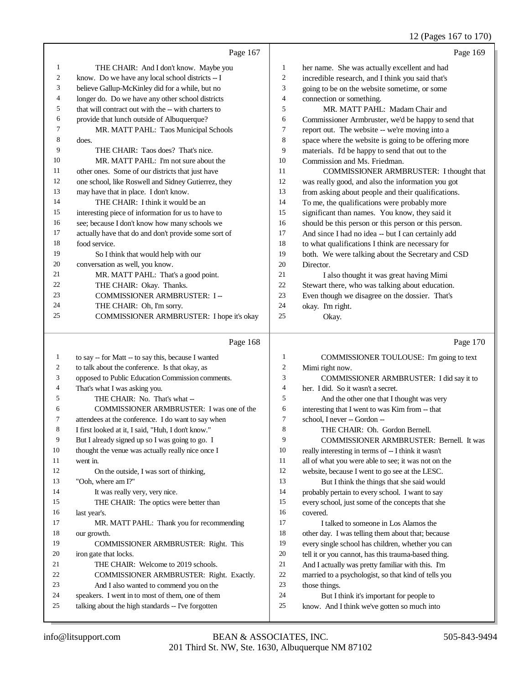12 (Pages 167 to 170)

|    | Page 167                                             |                | Page 169                                             |
|----|------------------------------------------------------|----------------|------------------------------------------------------|
| 1  | THE CHAIR: And I don't know. Maybe you               | 1              | her name. She was actually excellent and had         |
| 2  | know. Do we have any local school districts -- I     | $\overline{2}$ | incredible research, and I think you said that's     |
| 3  | believe Gallup-McKinley did for a while, but no      | 3              | going to be on the website sometime, or some         |
| 4  | longer do. Do we have any other school districts     | $\overline{4}$ | connection or something.                             |
| 5  | that will contract out with the -- with charters to  | 5              | MR. MATT PAHL: Madam Chair and                       |
| 6  | provide that lunch outside of Albuquerque?           | 6              | Commissioner Armbruster, we'd be happy to send that  |
| 7  | MR. MATT PAHL: Taos Municipal Schools                | $\tau$         | report out. The website -- we're moving into a       |
| 8  | does.                                                | 8              | space where the website is going to be offering more |
| 9  | THE CHAIR: Taos does? That's nice.                   | 9              | materials. I'd be happy to send that out to the      |
| 10 | MR. MATT PAHL: I'm not sure about the                | 10             | Commission and Ms. Friedman.                         |
| 11 | other ones. Some of our districts that just have     | 11             | COMMISSIONER ARMBRUSTER: I thought that              |
| 12 | one school, like Roswell and Sidney Gutierrez, they  | 12             | was really good, and also the information you got    |
| 13 | may have that in place. I don't know.                | 13             | from asking about people and their qualifications.   |
| 14 | THE CHAIR: I think it would be an                    | 14             | To me, the qualifications were probably more         |
| 15 | interesting piece of information for us to have to   | 15             | significant than names. You know, they said it       |
| 16 | see; because I don't know how many schools we        | 16             | should be this person or this person or this person. |
| 17 | actually have that do and don't provide some sort of | 17             | And since I had no idea -- but I can certainly add   |
| 18 | food service.                                        | 18             | to what qualifications I think are necessary for     |
| 19 | So I think that would help with our                  | 19             | both. We were talking about the Secretary and CSD    |
| 20 | conversation as well, you know.                      | 20             | Director.                                            |
| 21 | MR. MATT PAHL: That's a good point.                  | 21             | I also thought it was great having Mimi              |
| 22 | THE CHAIR: Okay. Thanks.                             | 22             | Stewart there, who was talking about education.      |
| 23 | COMMISSIONER ARMBRUSTER: I-                          | 23             | Even though we disagree on the dossier. That's       |
| 24 | THE CHAIR: Oh, I'm sorry.                            | 24             | okay. I'm right.                                     |
| 25 | COMMISSIONER ARMBRUSTER: I hope it's okay            | 25             | Okay.                                                |
|    |                                                      |                |                                                      |
|    | Page 168                                             |                | Page 170                                             |

#### Page 168

 to say -- for Matt -- to say this, because I wanted to talk about the conference. Is that okay, as opposed to Public Education Commission comments. That's what I was asking you. THE CHAIR: No. That's what -- COMMISSIONER ARMBRUSTER: I was one of the attendees at the conference. I do want to say when I first looked at it, I said, "Huh, I don't know." But I already signed up so I was going to go. I thought the venue was actually really nice once I went in. 12 On the outside, I was sort of thinking, "Ooh, where am I?" 14 It was really very, very nice. 15 THE CHAIR: The optics were better than last year's. MR. MATT PAHL: Thank you for recommending our growth. COMMISSIONER ARMBRUSTER: Right. This iron gate that locks. 21 THE CHAIR: Welcome to 2019 schools. COMMISSIONER ARMBRUSTER: Right. Exactly. And I also wanted to commend you on the speakers. I went in to most of them, one of them talking about the high standards -- I've forgotten COMMISSIONER TOULOUSE: I'm going to text Mimi right now. COMMISSIONER ARMBRUSTER: I did say it to her. I did. So it wasn't a secret. 5 And the other one that I thought was very interesting that I went to was Kim from -- that school, I never -- Gordon -- THE CHAIR: Oh. Gordon Bernell. COMMISSIONER ARMBRUSTER: Bernell. It was really interesting in terms of -- I think it wasn't all of what you were able to see; it was not on the website, because I went to go see at the LESC. But I think the things that she said would probably pertain to every school. I want to say every school, just some of the concepts that she covered. I talked to someone in Los Alamos the other day. I was telling them about that; because every single school has children, whether you can tell it or you cannot, has this trauma-based thing. And I actually was pretty familiar with this. I'm married to a psychologist, so that kind of tells you those things. But I think it's important for people to know. And I think we've gotten so much into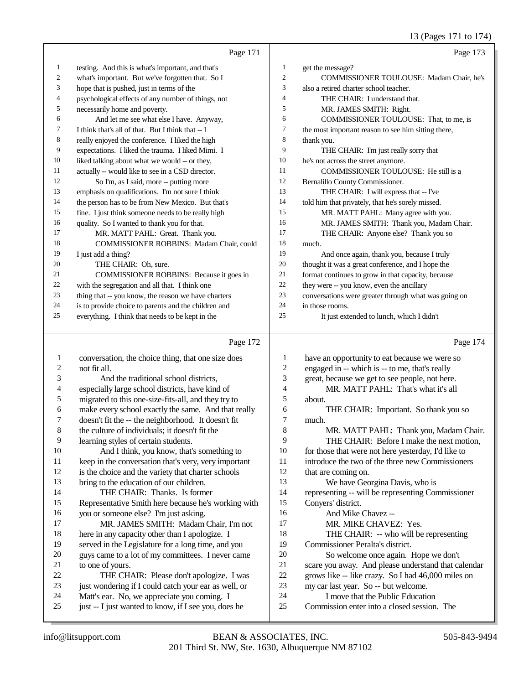13 (Pages 171 to 174)

|    | Page 171                                             |                | Page 173                                             |
|----|------------------------------------------------------|----------------|------------------------------------------------------|
| 1  | testing. And this is what's important, and that's    | 1              | get the message?                                     |
| 2  | what's important. But we've forgotten that. So I     | $\overline{c}$ | COMMISSIONER TOULOUSE: Madam Chair, he's             |
| 3  | hope that is pushed, just in terms of the            | 3              | also a retired charter school teacher.               |
| 4  | psychological effects of any number of things, not   | 4              | THE CHAIR: I understand that.                        |
| 5  | necessarily home and poverty.                        | 5              | MR. JAMES SMITH: Right.                              |
| 6  | And let me see what else I have. Anyway,             | 6              | COMMISSIONER TOULOUSE: That, to me, is               |
| 7  | I think that's all of that. But I think that -- I    | 7              | the most important reason to see him sitting there,  |
| 8  | really enjoyed the conference. I liked the high      | 8              | thank you.                                           |
| 9  | expectations. I liked the trauma. I liked Mimi. I    | 9              | THE CHAIR: I'm just really sorry that                |
| 10 | liked talking about what we would -- or they,        | 10             | he's not across the street anymore.                  |
| 11 | actually -- would like to see in a CSD director.     | 11             | COMMISSIONER TOULOUSE: He still is a                 |
| 12 | So I'm, as I said, more -- putting more              | 12             | Bernalillo County Commissioner.                      |
| 13 | emphasis on qualifications. I'm not sure I think     | 13             | THE CHAIR: I will express that -- I've               |
| 14 | the person has to be from New Mexico. But that's     | 14             | told him that privately, that he's sorely missed.    |
| 15 | fine. I just think someone needs to be really high   | 15             | MR. MATT PAHL: Many agree with you.                  |
| 16 | quality. So I wanted to thank you for that.          | 16             | MR. JAMES SMITH: Thank you, Madam Chair.             |
| 17 | MR. MATT PAHL: Great. Thank you.                     | 17             | THE CHAIR: Anyone else? Thank you so                 |
| 18 | COMMISSIONER ROBBINS: Madam Chair, could             | 18             | much.                                                |
| 19 | I just add a thing?                                  | 19             | And once again, thank you, because I truly           |
| 20 | THE CHAIR: Oh, sure.                                 | 20             | thought it was a great conference, and I hope the    |
| 21 | COMMISSIONER ROBBINS: Because it goes in             | 21             | format continues to grow in that capacity, because   |
| 22 | with the segregation and all that. I think one       | 22             | they were -- you know, even the ancillary            |
| 23 | thing that -- you know, the reason we have charters  | 23             | conversations were greater through what was going on |
| 24 | is to provide choice to parents and the children and | 24             | in those rooms.                                      |
| 25 | everything. I think that needs to be kept in the     | 25             | It just extended to lunch, which I didn't            |
|    | Page 172                                             |                | Page 174                                             |
|    | conversation the choice thing that one size does     |                | have an opportunity to get because we were so        |

#### 1 conversation, the choice thing, that one size does<br>2 one fit all. not fit all. And the traditional school districts, 4 especially large school districts, have kind of<br>5 migrated to this one-size-fits-all, and they try migrated to this one-size-fits-all, and they try to 6 make every school exactly the same. And that really<br>
7 doesn't fit the -- the neighborhood. It doesn't fit 7 doesn't fit the -- the neighborhood. It doesn't fit the culture of individuals: it doesn't fit the the culture of individuals; it doesn't fit the 9 learning styles of certain students.<br>10 And I think, you know, that's 10 And I think, you know, that's something to<br>11 keep in the conversation that's very, very important 11 keep in the conversation that's very, very important<br>12 is the choice and the variety that charter schools is the choice and the variety that charter schools bring to the education of our children. THE CHAIR: Thanks. Is former Representative Smith here because he's working with 16 you or someone else? I'm just asking.<br>17 MR JAMES SMITH: Madam MR. JAMES SMITH: Madam Chair, I'm not 18 here in any capacity other than I apologize. I<br>19 served in the Legislature for a long time and served in the Legislature for a long time, and you 20 guys came to a lot of my committees. I never came<br>21 to one of vours. 21 to one of yours.<br>22 THE CH 22 THE CHAIR: Please don't apologize. I was<br>23 iust wondering if I could catch your ear as well. or just wondering if I could catch your ear as well, or 24 Matt's ear. No, we appreciate you coming. I<br>25 iust -- I just wanted to know, if I see you, does just -- I just wanted to know, if I see you, does he 1 have an opportunity to eat because we were so<br>2 engaged in -- which is -- to me, that's really 2 engaged in -- which is -- to me, that's really<br>3 ereat, because we get to see people, not here great, because we get to see people, not here. MR. MATT PAHL: That's what it's all about. THE CHAIR: Important. So thank you so  $\frac{7}{8}$  much. MR. MATT PAHL: Thank you, Madam Chair. 9 THE CHAIR: Before I make the next motion,<br>10 for those that were not here vesterday. I'd like to for those that were not here yesterday, I'd like to introduce the two of the three new Commissioners that are coming on. We have Georgina Davis, who is representing -- will be representing Commissioner Conyers' district. 16 And Mike Chavez --<br>17 MR. MIKE CHAVE MR. MIKE CHAVEZ: Yes. 18 THE CHAIR: -- who will be representing<br>19 Commissioner Peralta's district Commissioner Peralta's district. 20 So welcome once again. Hope we don't<br>21 scare you away. And please understand that ca 21 scare you away. And please understand that calendar<br>22 srows like -- like crazy. So I had 46.000 miles on 22 grows like -- like crazy. So I had 46,000 miles on<br>23 my car last year. So -- but welcome. my car last year. So -- but welcome. I move that the Public Education Commission enter into a closed session. The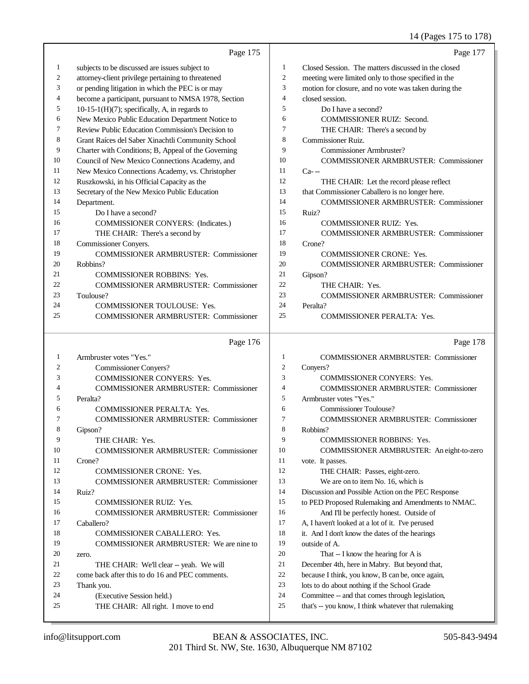## 14 (Pages 175 to 178)

|                | Page 175                                             |                | Page 177                                             |
|----------------|------------------------------------------------------|----------------|------------------------------------------------------|
| 1              | subjects to be discussed are issues subject to       | 1              | Closed Session. The matters discussed in the closed  |
| $\overline{2}$ | attorney-client privilege pertaining to threatened   | $\overline{2}$ | meeting were limited only to those specified in the  |
| 3              | or pending litigation in which the PEC is or may     | 3              | motion for closure, and no vote was taken during the |
| 4              | become a participant, pursuant to NMSA 1978, Section | $\overline{4}$ | closed session.                                      |
| 5              | $10-15-1(H)(7)$ ; specifically, A, in regards to     | 5              | Do I have a second?                                  |
| 6              | New Mexico Public Education Department Notice to     | 6              | <b>COMMISSIONER RUIZ: Second.</b>                    |
| 7              | Review Public Education Commission's Decision to     | 7              | THE CHAIR: There's a second by                       |
| 8              | Grant Raíces del Saber Xinachtli Community School    | 8              | <b>Commissioner Ruiz.</b>                            |
| 9              | Charter with Conditions; B, Appeal of the Governing  | 9              | Commissioner Armbruster?                             |
| 10             | Council of New Mexico Connections Academy, and       | 10             | <b>COMMISSIONER ARMBRUSTER: Commissioner</b>         |
| 11             | New Mexico Connections Academy, vs. Christopher      | 11             | $Ca-$                                                |
| 12             | Ruszkowski, in his Official Capacity as the          | 12             | THE CHAIR: Let the record please reflect             |
| 13             | Secretary of the New Mexico Public Education         | 13             | that Commissioner Caballero is no longer here.       |
| 14             | Department.                                          | 14             | <b>COMMISSIONER ARMBRUSTER: Commissioner</b>         |
| 15             | Do I have a second?                                  | 15             | Ruiz?                                                |
| 16             | <b>COMMISSIONER CONYERS: (Indicates.)</b>            | 16             | <b>COMMISSIONER RUIZ: Yes.</b>                       |
| 17             | THE CHAIR: There's a second by                       | 17             | <b>COMMISSIONER ARMBRUSTER: Commissioner</b>         |
| 18             | Commissioner Conyers.                                | 18             | Crone?                                               |
| 19             | <b>COMMISSIONER ARMBRUSTER: Commissioner</b>         | 19             | <b>COMMISSIONER CRONE: Yes.</b>                      |
| 20             | Robbins?                                             | 20             | <b>COMMISSIONER ARMBRUSTER: Commissioner</b>         |
| 21             | <b>COMMISSIONER ROBBINS: Yes.</b>                    | 21             | Gipson?                                              |
| 22             | <b>COMMISSIONER ARMBRUSTER: Commissioner</b>         | 22             | THE CHAIR: Yes.                                      |
| 23             | Toulouse?                                            | 23             | <b>COMMISSIONER ARMBRUSTER: Commissioner</b>         |
| 24             | <b>COMMISSIONER TOULOUSE: Yes.</b>                   | 24             | Peralta?                                             |
| 25             | <b>COMMISSIONER ARMBRUSTER: Commissioner</b>         | 25             | <b>COMMISSIONER PERALTA: Yes.</b>                    |
|                |                                                      |                |                                                      |
|                | Page 176                                             |                | Page 178                                             |
|                | $1$ Armbruster votes "Ves "                          | 1              | COMMISSIONER ARMBRIJSTER Commissioner                |

| 1              | Armbruster votes "Yes."                         | 1              | <b>COMMISSIONER ARMBRUSTER: Commissioner</b>         |
|----------------|-------------------------------------------------|----------------|------------------------------------------------------|
| $\overline{2}$ | Commissioner Conyers?                           | $\mathfrak{2}$ | Convers?                                             |
| 3              | <b>COMMISSIONER CONYERS: Yes.</b>               | 3              | <b>COMMISSIONER CONYERS: Yes.</b>                    |
| 4              | <b>COMMISSIONER ARMBRUSTER: Commissioner</b>    | 4              | <b>COMMISSIONER ARMBRUSTER: Commissioner</b>         |
| 5              | Peralta?                                        | 5              | Armbruster votes "Yes."                              |
| 6              | <b>COMMISSIONER PERALTA: Yes.</b>               | 6              | Commissioner Toulouse?                               |
|                | <b>COMMISSIONER ARMBRUSTER: Commissioner</b>    | 7              | <b>COMMISSIONER ARMBRUSTER: Commissioner</b>         |
| 8              | Gipson?                                         | 8              | Robbins?                                             |
| 9              | THE CHAIR: Yes.                                 | 9              | <b>COMMISSIONER ROBBINS: Yes.</b>                    |
| 10             | <b>COMMISSIONER ARMBRUSTER: Commissioner</b>    | 10             | COMMISSIONER ARMBRUSTER: An eight-to-zero            |
| 11             | Crone?                                          | 11             | vote. It passes.                                     |
| 12             | <b>COMMISSIONER CRONE: Yes.</b>                 | 12             | THE CHAIR: Passes, eight-zero.                       |
| 13             | <b>COMMISSIONER ARMBRUSTER: Commissioner</b>    | 13             | We are on to item No. 16, which is                   |
| 14             | Ruiz?                                           | 14             | Discussion and Possible Action on the PEC Response   |
| 15             | <b>COMMISSIONER RUIZ: Yes.</b>                  | 15             | to PED Proposed Rulemaking and Amendments to NMAC.   |
| 16             | <b>COMMISSIONER ARMBRUSTER: Commissioner</b>    | 16             | And I'll be perfectly honest. Outside of             |
| 17             | Caballero?                                      | 17             | A, I haven't looked at a lot of it. I've perused     |
| 18             | <b>COMMISSIONER CABALLERO: Yes.</b>             | 18             | it. And I don't know the dates of the hearings       |
| 19             | COMMISSIONER ARMBRUSTER: We are nine to         | 19             | outside of A.                                        |
| 20             | zero.                                           | 20             | That -- I know the hearing for A is                  |
| 21             | THE CHAIR: We'll clear -- yeah. We will         | 21             | December 4th, here in Mabry. But beyond that,        |
| 22             | come back after this to do 16 and PEC comments. | 22             | because I think, you know, B can be, once again,     |
| 23             | Thank you.                                      | 23             | lots to do about nothing if the School Grade         |
| 24             | (Executive Session held.)                       | 24             | Committee -- and that comes through legislation,     |
| 25             | THE CHAIR: All right. I move to end             | 25             | that's -- you know, I think whatever that rulemaking |
|                |                                                 |                |                                                      |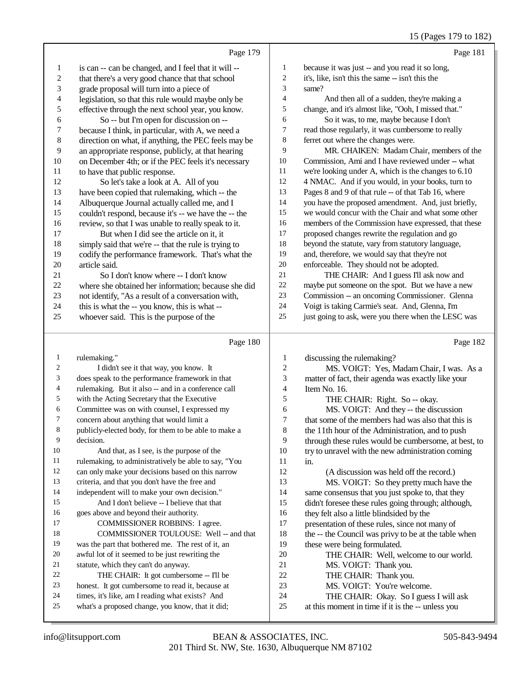|                |                                                      |    | .                                                    |
|----------------|------------------------------------------------------|----|------------------------------------------------------|
|                | Page 179                                             |    | Page 181                                             |
| 1              | is can -- can be changed, and I feel that it will -- | 1  | because it was just -- and you read it so long,      |
| $\mathfrak{2}$ | that there's a very good chance that that school     | 2  | it's, like, isn't this the same -- isn't this the    |
| 3              | grade proposal will turn into a piece of             | 3  | same?                                                |
| 4              | legislation, so that this rule would maybe only be   | 4  | And then all of a sudden, they're making a           |
| 5              | effective through the next school year, you know.    | 5  | change, and it's almost like, "Ooh, I missed that."  |
| 6              | So -- but I'm open for discussion on --              | 6  | So it was, to me, maybe because I don't              |
| 7              | because I think, in particular, with A, we need a    | 7  | read those regularly, it was cumbersome to really    |
| $\,$ 8 $\,$    | direction on what, if anything, the PEC feels may be | 8  | ferret out where the changes were.                   |
| 9              | an appropriate response, publicly, at that hearing   | 9  | MR. CHAIKEN: Madam Chair, members of the             |
| $10\,$         | on December 4th; or if the PEC feels it's necessary  | 10 | Commission, Ami and I have reviewed under -- what    |
| 11             | to have that public response.                        | 11 | we're looking under A, which is the changes to 6.10  |
| 12             | So let's take a look at A. All of you                | 12 | 4 NMAC. And if you would, in your books, turn to     |
| 13             | have been copied that rulemaking, which -- the       | 13 | Pages 8 and 9 of that rule -- of that Tab 16, where  |
| 14             | Albuquerque Journal actually called me, and I        | 14 | you have the proposed amendment. And, just briefly,  |
| 15             | couldn't respond, because it's -- we have the -- the | 15 | we would concur with the Chair and what some other   |
| 16             | review, so that I was unable to really speak to it.  | 16 | members of the Commission have expressed, that these |
| 17             | But when I did see the article on it, it             | 17 | proposed changes rewrite the regulation and go       |
| 18             | simply said that we're -- that the rule is trying to | 18 | beyond the statute, vary from statutory language,    |
| 19             | codify the performance framework. That's what the    | 19 | and, therefore, we would say that they're not        |
| 20             | article said.                                        | 20 | enforceable. They should not be adopted.             |
| 21             | So I don't know where -- I don't know                | 21 | THE CHAIR: And I guess I'll ask now and              |
| 22             | where she obtained her information; because she did  | 22 | maybe put someone on the spot. But we have a new     |
| 23             | not identify, "As a result of a conversation with,   | 23 | Commission -- an oncoming Commissioner. Glenna       |
| 24             | this is what the -- you know, this is what --        | 24 | Voigt is taking Carmie's seat. And, Glenna, I'm      |
| 25             | whoever said. This is the purpose of the             | 25 | just going to ask, were you there when the LESC was  |
|                | Page 180                                             |    | Page 182                                             |

|    | Page 180                                             |                | Page 182                                             |
|----|------------------------------------------------------|----------------|------------------------------------------------------|
| 1  | rulemaking."                                         | 1              | discussing the rulemaking?                           |
| 2  | I didn't see it that way, you know. It               | $\overline{2}$ | MS. VOIGT: Yes, Madam Chair, I was. As a             |
| 3  | does speak to the performance framework in that      | 3              | matter of fact, their agenda was exactly like your   |
| 4  | rulemaking. But it also -- and in a conference call  | 4              | Item No. 16.                                         |
| 5  | with the Acting Secretary that the Executive         | 5              | THE CHAIR: Right. So -- okay.                        |
| 6  | Committee was on with counsel, I expressed my        | 6              | MS. VOIGT: And they -- the discussion                |
| 7  | concern about anything that would limit a            | 7              | that some of the members had was also that this is   |
| 8  | publicly-elected body, for them to be able to make a | 8              | the 11th hour of the Administration, and to push     |
| 9  | decision.                                            | 9              | through these rules would be cumbersome, at best, to |
| 10 | And that, as I see, is the purpose of the            | 10             | try to unravel with the new administration coming    |
| 11 | rulemaking, to administratively be able to say, "You | 11             | in.                                                  |
| 12 | can only make your decisions based on this narrow    | 12             | (A discussion was held off the record.)              |
| 13 | criteria, and that you don't have the free and       | 13             | MS. VOIGT: So they pretty much have the              |
| 14 | independent will to make your own decision."         | 14             | same consensus that you just spoke to, that they     |
| 15 | And I don't believe -- I believe that that           | 15             | didn't foresee these rules going through; although,  |
| 16 | goes above and beyond their authority.               | 16             | they felt also a little blindsided by the            |
| 17 | <b>COMMISSIONER ROBBINS: I agree.</b>                | 17             | presentation of these rules, since not many of       |
| 18 | COMMISSIONER TOULOUSE: Well -- and that              | 18             | the -- the Council was privy to be at the table when |
| 19 | was the part that bothered me. The rest of it, an    | 19             | these were being formulated.                         |
| 20 | awful lot of it seemed to be just rewriting the      | 20             | THE CHAIR: Well, welcome to our world.               |
| 21 | statute, which they can't do anyway.                 | 21             | MS. VOIGT: Thank you.                                |
| 22 | THE CHAIR: It got cumbersome -- I'll be              | 22             | THE CHAIR: Thank you.                                |
| 23 | honest. It got cumbersome to read it, because at     | 23             | MS. VOIGT: You're welcome.                           |
| 24 | times, it's like, am I reading what exists? And      | 24             | THE CHAIR: Okay. So I guess I will ask               |
| 25 | what's a proposed change, you know, that it did;     | 25             | at this moment in time if it is the -- unless you    |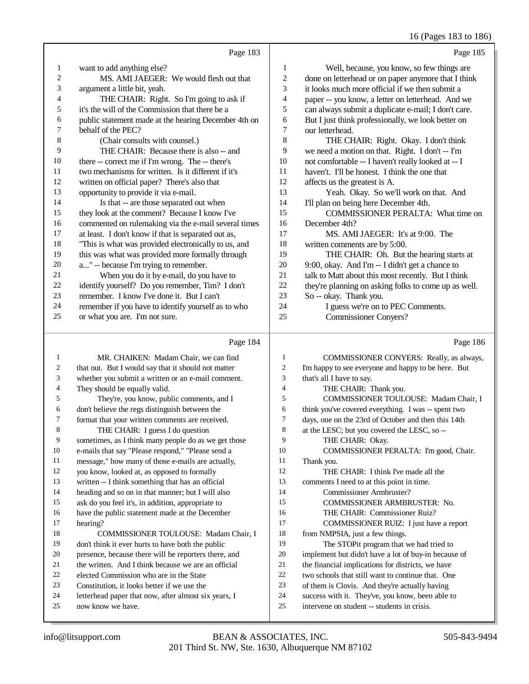16 (Pages 183 to 186)

|                |                                                      |                  | -0                                                   |
|----------------|------------------------------------------------------|------------------|------------------------------------------------------|
|                | Page 183                                             |                  | Page 185                                             |
| 1              | want to add anything else?                           | 1                | Well, because, you know, so few things are           |
| $\overline{c}$ | MS. AMI JAEGER: We would flesh out that              | $\sqrt{2}$       | done on letterhead or on paper anymore that I think  |
| 3              | argument a little bit, yeah.                         | 3                | it looks much more official if we then submit a      |
| 4              | THE CHAIR: Right. So I'm going to ask if             | $\overline{4}$   | paper -- you know, a letter on letterhead. And we    |
| 5              | it's the will of the Commission that there be a      | 5                | can always submit a duplicate e-mail; I don't care.  |
| 6              | public statement made at the hearing December 4th on | 6                | But I just think professionally, we look better on   |
| 7              | behalf of the PEC?                                   | $\boldsymbol{7}$ | our letterhead.                                      |
| $\,$ 8 $\,$    | (Chair consults with counsel.)                       | $\,$ 8 $\,$      | THE CHAIR: Right. Okay. I don't think                |
| 9              | THE CHAIR: Because there is also -- and              | 9                | we need a motion on that. Right. I don't -- I'm      |
| 10             | there -- correct me if I'm wrong. The -- there's     | 10               | not comfortable -- I haven't really looked at -- I   |
| 11             | two mechanisms for written. Is it different if it's  | 11               | haven't. I'll be honest. I think the one that        |
| 12             | written on official paper? There's also that         | 12               | affects us the greatest is A.                        |
| 13             | opportunity to provide it via e-mail.                | 13               | Yeah. Okay. So we'll work on that. And               |
| 14             | Is that -- are those separated out when              | 14               | I'll plan on being here December 4th.                |
| 15             | they look at the comment? Because I know I've        | 15               | <b>COMMISSIONER PERALTA: What time on</b>            |
| 16             | commented on rulemaking via the e-mail several times | 16               | December 4th?                                        |
| 17             | at least. I don't know if that is separated out as,  | 17               | MS. AMI JAEGER: It's at 9:00. The                    |
| 18             | "This is what was provided electronically to us, and | 18               | written comments are by 5:00.                        |
| 19             | this was what was provided more formally through     | 19               | THE CHAIR: Oh. But the hearing starts at             |
| 20             | a" -- because I'm trying to remember.                | 20               | 9:00, okay. And I'm -- I didn't get a chance to      |
| 21             | When you do it by e-mail, do you have to             | 21               | talk to Matt about this most recently. But I think   |
| 22             | identify yourself? Do you remember, Tim? I don't     | 22               | they're planning on asking folks to come up as well. |
| 23             | remember. I know I've done it. But I can't           | 23               | So -- okay. Thank you.                               |
| 24             | remember if you have to identify yourself as to who  | 24               | I guess we're on to PEC Comments.                    |
| 25             | or what you are. I'm not sure.                       | 25               | <b>Commissioner Convers?</b>                         |
|                | Page 184                                             |                  | Page 186                                             |
| 1              | MR. CHAIKEN: Madam Chair, we can find                | 1                | COMMISSIONER CONYERS: Really, as always,             |
| 2              | that out. But I would say that it should not matter  | $\overline{c}$   | I'm happy to see everyone and happy to be here. But  |
| 3              | whether you submit a written or an e-mail comment.   | 3                | that's all I have to say.                            |
| 4              | They should be equally valid.                        | $\overline{4}$   | THE CHAIR: Thank you.                                |
| 5              | They're, you know, public comments, and I            | 5                | COMMISSIONER TOULOUSE: Madam Chair, I                |
| 6              | don't believe the regs distinguish between the       | 6                | think you've covered everything. I was -- spent two  |

- format that your written comments are received. THE CHAIR: I guess I do question
- sometimes, as I think many people do as we get those e-mails that say "Please respond," "Please send a
- 11 message," how many of those e-mails are actually,<br>12 vou know, looked at, as opposed to formally
- you know, looked at, as opposed to formally
- written -- I think something that has an official
- heading and so on in that manner; but I will also
- ask do you feel it's, in addition, appropriate to
- have the public statement made at the December hearing?

# COMMISSIONER TOULOUSE: Madam Chair, I

- don't think it ever hurts to have both the public
- presence, because there will be reporters there, and
- 21 the written. And I think because we are an official<br>22 elected Commission who are in the State
- 22 elected Commission who are in the State<br>23 Constitution, it looks better if we use the
- Constitution, it looks better if we use the
- letterhead paper that now, after almost six years, I now know we have.
- days, one on the 23rd of October and then this 14th
- at the LESC; but you covered the LESC, so --
- THE CHAIR: Okay.
- COMMISSIONER PERALTA: I'm good, Chair.
- Thank you.
- THE CHAIR: I think I've made all the
- comments I need to at this point in time.
- Commissioner Armbruster?
- COMMISSIONER ARMBRUSTER: No.
- THE CHAIR: Commissioner Ruiz?
- COMMISSIONER RUIZ: I just have a report
- 18 from NMPSIA, just a few things.
- The STOPit program that we had tried to
- implement but didn't have a lot of buy-in because of
- 21 the financial implications for districts, we have<br>22 two schools that still want to continue that. One
- 22 two schools that still want to continue that. One<br>23 of them is Clovis. And they're actually having
- of them is Clovis. And they're actually having
- success with it. They've, you know, been able to
- intervene on student -- students in crisis.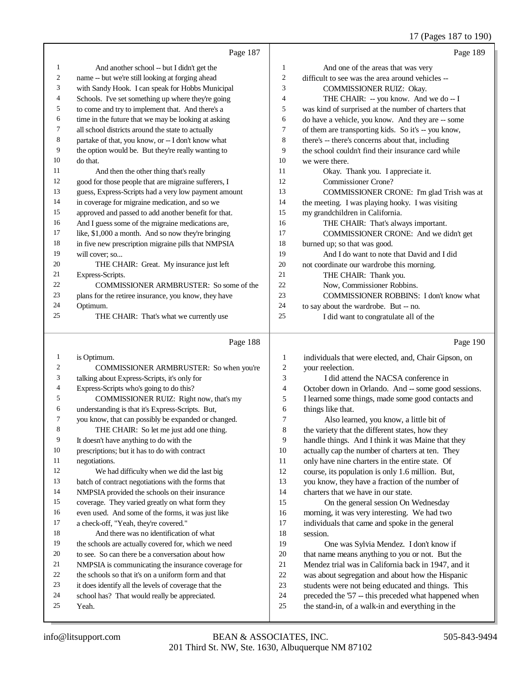### 17 (Pages 187 to 190)

|                | Page 187                                             |                | Page 189                                             |
|----------------|------------------------------------------------------|----------------|------------------------------------------------------|
| 1              | And another school -- but I didn't get the           | 1              | And one of the areas that was very                   |
| 2              | name -- but we're still looking at forging ahead     | $\overline{c}$ | difficult to see was the area around vehicles --     |
| 3              | with Sandy Hook. I can speak for Hobbs Municipal     | 3              | COMMISSIONER RUIZ: Okay.                             |
| 4              | Schools. I've set something up where they're going   | 4              | THE CHAIR: -- you know. And we do -- I               |
| 5              | to come and try to implement that. And there's a     | 5              | was kind of surprised at the number of charters that |
| 6              | time in the future that we may be looking at asking  | 6              | do have a vehicle, you know. And they are -- some    |
| 7              | all school districts around the state to actually    | 7              | of them are transporting kids. So it's -- you know,  |
| 8              | partake of that, you know, or -- I don't know what   | 8              | there's -- there's concerns about that, including    |
| 9              | the option would be. But they're really wanting to   | 9              | the school couldn't find their insurance card while  |
| 10             | do that.                                             | 10             | we were there.                                       |
| 11             | And then the other thing that's really               | 11             | Okay. Thank you. I appreciate it.                    |
| 12             | good for those people that are migraine sufferers, I | 12             | <b>Commissioner Crone?</b>                           |
| 13             | guess, Express-Scripts had a very low payment amount | 13             | COMMISSIONER CRONE: I'm glad Trish was at            |
| 14             | in coverage for migraine medication, and so we       | 14             | the meeting. I was playing hooky. I was visiting     |
| 15             | approved and passed to add another benefit for that. | 15             | my grandchildren in California.                      |
| 16             | And I guess some of the migraine medications are,    | 16             | THE CHAIR: That's always important.                  |
| 17             | like, \$1,000 a month. And so now they're bringing   | 17             | COMMISSIONER CRONE: And we didn't get                |
| 18             | in five new prescription migraine pills that NMPSIA  | 18             | burned up; so that was good.                         |
| 19             | will cover; so                                       | 19             | And I do want to note that David and I did           |
| 20             | THE CHAIR: Great. My insurance just left             | 20             | not coordinate our wardrobe this morning.            |
| 21             | Express-Scripts.                                     | 21             | THE CHAIR: Thank you.                                |
| 22             | COMMISSIONER ARMBRUSTER: So some of the              | 22             | Now, Commissioner Robbins.                           |
| 23             | plans for the retiree insurance, you know, they have | 23             | COMMISSIONER ROBBINS: I don't know what              |
| 24             | Optimum.                                             | 24             | to say about the wardrobe. But -- no.                |
| 25             | THE CHAIR: That's what we currently use              | 25             | I did want to congratulate all of the                |
|                | Page 188                                             |                | Page 190                                             |
| $\mathbf{1}$   | is Optimum.                                          | 1              | individuals that were elected, and, Chair Gipson, on |
| $\overline{c}$ | COMMISSIONER ARMBRUSTER: So when you're              | $\overline{c}$ | your reelection.                                     |
| 3              | talking about Express-Scripts, it's only for         | 3              | I did attend the NACSA conference in                 |
| 4              | Express-Scripts who's going to do this?              | $\overline{4}$ | October down in Orlando. And -- some good sessions.  |

- COMMISSIONER RUIZ: Right now, that's my understanding is that it's Express-Scripts. But,
- you know, that can possibly be expanded or changed.
- THE CHAIR: So let me just add one thing.
- It doesn't have anything to do with the
- prescriptions; but it has to do with contract
- negotiations. We had difficulty when we did the last big
- batch of contract negotiations with the forms that
- NMPSIA provided the schools on their insurance
- coverage. They varied greatly on what form they
- even used. And some of the forms, it was just like
- a check-off, "Yeah, they're covered." And there was no identification of what
- the schools are actually covered for, which we need
- to see. So can there be a conversation about how
- NMPSIA is communicating the insurance coverage for
- the schools so that it's on a uniform form and that
- it does identify all the levels of coverage that the
- school has? That would really be appreciated.
- Yeah.
- 201 Third St. NW, Ste. 1630, Albuquerque NM 87102 info@litsupport.com BEAN & ASSOCIATES, INC. 505-843-9494

I learned some things, made some good contacts and

 Also learned, you know, a little bit of the variety that the different states, how they handle things. And I think it was Maine that they actually cap the number of charters at ten. They only have nine charters in the entire state. Of course, its population is only 1.6 million. But, you know, they have a fraction of the number of

 On the general session On Wednesday morning, it was very interesting. We had two individuals that came and spoke in the general

 One was Sylvia Mendez. I don't know if that name means anything to you or not. But the Mendez trial was in California back in 1947, and it was about segregation and about how the Hispanic students were not being educated and things. This preceded the '57 -- this preceded what happened when the stand-in, of a walk-in and everything in the

charters that we have in our state.

things like that.

session.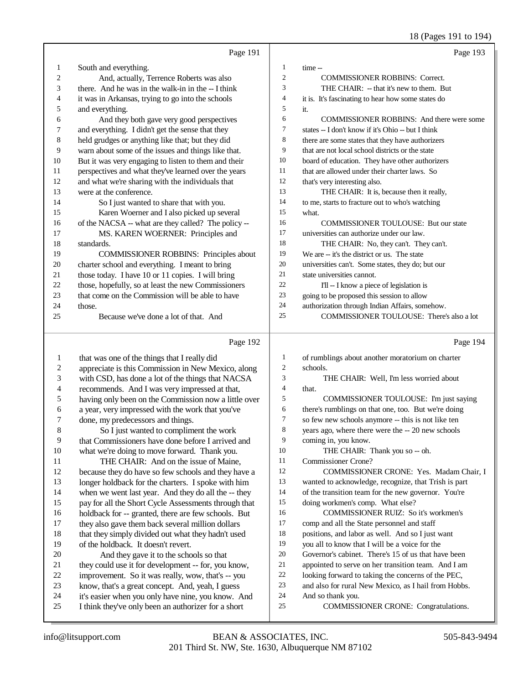18 (Pages 191 to 194)

|                   |                                                                                                           |                          | 18 (Pages 191 to 194)                                        |
|-------------------|-----------------------------------------------------------------------------------------------------------|--------------------------|--------------------------------------------------------------|
|                   | Page 191                                                                                                  |                          | Page 193                                                     |
| $\mathbf{1}$      | South and everything.                                                                                     | $\mathbf{1}$             | time --                                                      |
| 2                 | And, actually, Terrence Roberts was also                                                                  | $\mathfrak{2}$           | <b>COMMISSIONER ROBBINS: Correct.</b>                        |
| 3                 | there. And he was in the walk-in in the -- I think                                                        | 3                        | THE CHAIR: -- that it's new to them. But                     |
| 4                 | it was in Arkansas, trying to go into the schools                                                         | $\overline{\mathcal{L}}$ | it is. It's fascinating to hear how some states do           |
| 5                 | and everything.                                                                                           | 5                        | it.                                                          |
| 6                 | And they both gave very good perspectives                                                                 | 6                        | <b>COMMISSIONER ROBBINS: And there were some</b>             |
| 7                 | and everything. I didn't get the sense that they                                                          | 7                        | states -- I don't know if it's Ohio -- but I think           |
| $\,8\,$           | held grudges or anything like that; but they did                                                          | 8                        | there are some states that they have authorizers             |
| 9                 | warn about some of the issues and things like that.                                                       | 9                        | that are not local school districts or the state             |
| 10                | But it was very engaging to listen to them and their                                                      | 10                       | board of education. They have other authorizers              |
| 11                | perspectives and what they've learned over the years                                                      | 11                       | that are allowed under their charter laws. So                |
| 12                | and what we're sharing with the individuals that                                                          | 12                       | that's very interesting also.                                |
| 13                | were at the conference.                                                                                   | 13                       | THE CHAIR: It is, because then it really,                    |
| 14                | So I just wanted to share that with you.                                                                  | 14                       | to me, starts to fracture out to who's watching              |
| 15                | Karen Woerner and I also picked up several                                                                | 15                       | what.                                                        |
| 16                | of the NACSA -- what are they called? The policy --                                                       | 16                       | <b>COMMISSIONER TOULOUSE: But our state</b>                  |
| 17                | MS. KAREN WOERNER: Principles and                                                                         | 17                       | universities can authorize under our law.                    |
| 18                | standards.                                                                                                | 18                       | THE CHAIR: No, they can't. They can't.                       |
| 19                | <b>COMMISSIONER ROBBINS: Principles about</b>                                                             | 19                       | We are -- it's the district or us. The state                 |
| 20                | charter school and everything. I meant to bring                                                           | 20                       | universities can't. Some states, they do; but our            |
| 21                | those today. I have 10 or 11 copies. I will bring                                                         | 21                       | state universities cannot.                                   |
| 22                | those, hopefully, so at least the new Commissioners                                                       | 22                       | I'll -- I know a piece of legislation is                     |
| 23                | that come on the Commission will be able to have                                                          | 23                       | going to be proposed this session to allow                   |
| 24                | those.                                                                                                    | 24                       | authorization through Indian Affairs, somehow.               |
| 25                | Because we've done a lot of that. And                                                                     | 25                       | COMMISSIONER TOULOUSE: There's also a lot                    |
|                   |                                                                                                           |                          |                                                              |
|                   | Page 192                                                                                                  |                          | Page 194                                                     |
|                   |                                                                                                           | 1                        |                                                              |
| $\mathbf{1}$<br>2 | that was one of the things that I really did                                                              | $\overline{c}$           | of rumblings about another moratorium on charter<br>schools. |
| 3                 | appreciate is this Commission in New Mexico, along                                                        | 3                        | THE CHAIR: Well, I'm less worried about                      |
| 4                 | with CSD, has done a lot of the things that NACSA                                                         | $\overline{4}$           | that.                                                        |
| 5                 | recommends. And I was very impressed at that,                                                             | 5                        | COMMISSIONER TOULOUSE: I'm just saying                       |
| 6                 | having only been on the Commission now a little over<br>a year, very impressed with the work that you've  | 6                        | there's rumblings on that one, too. But we're doing          |
| 7                 | done, my predecessors and things.                                                                         | 7                        | so few new schools anymore -- this is not like ten           |
| 8                 | So I just wanted to compliment the work                                                                   | 8                        | years ago, where there were the -- 20 new schools            |
| $\overline{9}$    | that Commissioners have done before I arrived and                                                         | 9                        | coming in, you know.                                         |
| 10                | what we're doing to move forward. Thank you.                                                              | 10                       | THE CHAIR: Thank you so -- oh.                               |
| 11                | THE CHAIR: And on the issue of Maine,                                                                     | 11                       | <b>Commissioner Crone?</b>                                   |
| 12                | because they do have so few schools and they have a                                                       | 12                       | COMMISSIONER CRONE: Yes. Madam Chair, I                      |
| 13                | longer holdback for the charters. I spoke with him                                                        | 13                       | wanted to acknowledge, recognize, that Trish is part         |
| 14                | when we went last year. And they do all the -- they                                                       | 14                       | of the transition team for the new governor. You're          |
| 15                | pay for all the Short Cycle Assessments through that                                                      | 15                       | doing workmen's comp. What else?                             |
| 16                | holdback for -- granted, there are few schools. But                                                       | 16                       | COMMISSIONER RUIZ: So it's workmen's                         |
| 17                | they also gave them back several million dollars                                                          | 17                       | comp and all the State personnel and staff                   |
| 18                | that they simply divided out what they hadn't used                                                        | 18                       | positions, and labor as well. And so I just want             |
| 19                | of the holdback. It doesn't revert.                                                                       | 19                       | you all to know that I will be a voice for the               |
| 20                | And they gave it to the schools so that                                                                   | 20                       | Governor's cabinet. There's 15 of us that have been          |
| 21                | they could use it for development -- for, you know,                                                       | 21                       | appointed to serve on her transition team. And I am          |
| 22                | improvement. So it was really, wow, that's -- you                                                         | 22                       | looking forward to taking the concerns of the PEC,           |
| 23                | know, that's a great concept. And, yeah, I guess                                                          | 23                       | and also for rural New Mexico, as I hail from Hobbs.         |
| 24<br>25          | it's easier when you only have nine, you know. And<br>I think they've only been an authorizer for a short | 24<br>25                 | And so thank you.<br>COMMISSIONER CRONE: Congratulations.    |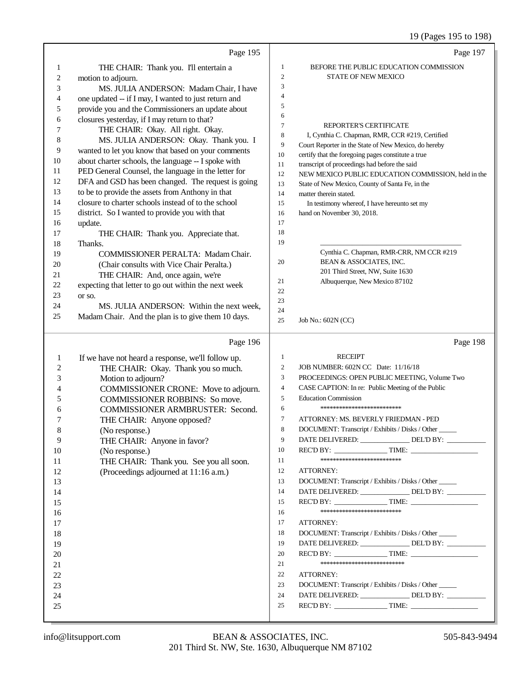## 19 (Pages 195 to 198)

|              | Page 195                                             |                  | Page 197                                                                                               |
|--------------|------------------------------------------------------|------------------|--------------------------------------------------------------------------------------------------------|
| $\mathbf{1}$ | THE CHAIR: Thank you. I'll entertain a               | $\mathbf{1}$     | BEFORE THE PUBLIC EDUCATION COMMISSION                                                                 |
| $\sqrt{2}$   | motion to adjourn.                                   | $\sqrt{2}$       | <b>STATE OF NEW MEXICO</b>                                                                             |
| 3            | MS. JULIA ANDERSON: Madam Chair, I have              | 3                |                                                                                                        |
| 4            | one updated -- if I may, I wanted to just return and | $\overline{4}$   |                                                                                                        |
| 5            | provide you and the Commissioners an update about    | 5                |                                                                                                        |
| 6            | closures yesterday, if I may return to that?         | 6                |                                                                                                        |
| 7            | THE CHAIR: Okay. All right. Okay.                    | $\tau$           | <b>REPORTER'S CERTIFICATE</b>                                                                          |
| 8            | MS. JULIA ANDERSON: Okay. Thank you. I               | $\,$ 8 $\,$      | I, Cynthia C. Chapman, RMR, CCR #219, Certified                                                        |
| 9            | wanted to let you know that based on your comments   | 9                | Court Reporter in the State of New Mexico, do hereby                                                   |
| 10           | about charter schools, the language -- I spoke with  | 10               | certify that the foregoing pages constitute a true                                                     |
| 11           | PED General Counsel, the language in the letter for  | 11               | transcript of proceedings had before the said                                                          |
| 12           | DFA and GSD has been changed. The request is going   | 12<br>13         | NEW MEXICO PUBLIC EDUCATION COMMISSION, held in the<br>State of New Mexico, County of Santa Fe, in the |
| 13           | to be to provide the assets from Anthony in that     | 14               | matter therein stated.                                                                                 |
| 14           | closure to charter schools instead of to the school  | 15               | In testimony whereof, I have hereunto set my                                                           |
| 15           | district. So I wanted to provide you with that       | 16               | hand on November 30, 2018.                                                                             |
| 16           | update.                                              | 17               |                                                                                                        |
| 17           | THE CHAIR: Thank you. Appreciate that.               | 18               |                                                                                                        |
| 18           | Thanks.                                              | 19               |                                                                                                        |
| 19           | COMMISSIONER PERALTA: Madam Chair.                   |                  | Cynthia C. Chapman, RMR-CRR, NM CCR #219                                                               |
| 20           | (Chair consults with Vice Chair Peralta.)            | 20               | BEAN & ASSOCIATES, INC.                                                                                |
| 21           | THE CHAIR: And, once again, we're                    |                  | 201 Third Street, NW, Suite 1630                                                                       |
| 22           | expecting that letter to go out within the next week | 21               | Albuquerque, New Mexico 87102                                                                          |
| 23           | or so.                                               | 22               |                                                                                                        |
| 24           | MS. JULIA ANDERSON: Within the next week,            | 23               |                                                                                                        |
| 25           | Madam Chair. And the plan is to give them 10 days.   | 24<br>25         | Job No.: 602N (CC)                                                                                     |
|              |                                                      |                  |                                                                                                        |
|              | Page 196                                             |                  | Page 198                                                                                               |
| 1            | If we have not heard a response, we'll follow up.    | $\mathbf{1}$     | <b>RECEIPT</b>                                                                                         |
| 2            | THE CHAIR: Okay. Thank you so much.                  | $\overline{c}$   | JOB NUMBER: 602N CC Date: 11/16/18                                                                     |
| 3            | Motion to adjourn?                                   | 3                | PROCEEDINGS: OPEN PUBLIC MEETING, Volume Two                                                           |
| 4            | COMMISSIONER CRONE: Move to adjourn.                 | $\overline{4}$   | CASE CAPTION: In re: Public Meeting of the Public                                                      |
| 5            | <b>COMMISSIONER ROBBINS: So move.</b>                | 5                | <b>Education Commission</b>                                                                            |
| 6            | COMMISSIONER ARMBRUSTER: Second.                     | 6                | **************************                                                                             |
| 7            | THE CHAIR: Anyone opposed?                           | $\boldsymbol{7}$ | ATTORNEY: MS. BEVERLY FRIEDMAN - PED                                                                   |
| 8            | (No response.)                                       | 8                | DOCUMENT: Transcript / Exhibits / Disks / Other                                                        |
| 9            | THE CHAIR: Anyone in favor?                          | 9                | DATE DELIVERED: _______________ DEL'D BY: ________                                                     |
| 10           | (No response.)                                       | 10               |                                                                                                        |
| 11           |                                                      |                  |                                                                                                        |
| 12           | THE CHAIR: Thank you. See you all soon.              | 11               | **************************                                                                             |
|              | (Proceedings adjourned at 11:16 a.m.)                | 12               | ATTORNEY:                                                                                              |
| 13           |                                                      | 13               | DOCUMENT: Transcript / Exhibits / Disks / Other                                                        |
| 14           |                                                      | 14               | DATE DELIVERED: _______________ DEL'D BY: ___________                                                  |
| 15           |                                                      | 15               |                                                                                                        |
| 16           |                                                      | 16               | **************************                                                                             |
| 17           |                                                      | 17               | ATTORNEY:                                                                                              |
| 18           |                                                      | 18               | DOCUMENT: Transcript / Exhibits / Disks / Other                                                        |
| 19           |                                                      | 19               | DATE DELIVERED: _______________ DEL'D BY: _________                                                    |
| 20           |                                                      | 20               |                                                                                                        |
| 21           |                                                      | 21               | ***************************                                                                            |
| 22           |                                                      | 22               | ATTORNEY:                                                                                              |
| 23           |                                                      | 23               | DOCUMENT: Transcript / Exhibits / Disks / Other                                                        |
| 24           |                                                      | 24               | DATE DELIVERED: _______________ DEL'D BY: __________                                                   |
| 25           |                                                      | 25               |                                                                                                        |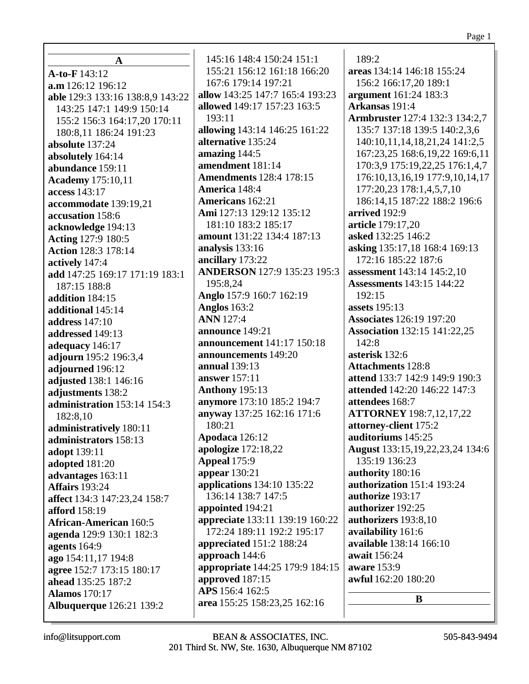| $\mathbf A$                      | 145:16 148:4 150:24 151:1       | 189:2                                 |
|----------------------------------|---------------------------------|---------------------------------------|
| A-to-F 143:12                    | 155:21 156:12 161:18 166:20     | areas 134:14 146:18 155:24            |
| a.m 126:12 196:12                | 167:6 179:14 197:21             | 156:2 166:17,20 189:1                 |
| able 129:3 133:16 138:8,9 143:22 | allow 143:25 147:7 165:4 193:23 | argument 161:24 183:3                 |
| 143:25 147:1 149:9 150:14        | allowed 149:17 157:23 163:5     | Arkansas 191:4                        |
| 155:2 156:3 164:17,20 170:11     | 193:11                          | <b>Armbruster</b> 127:4 132:3 134:2,7 |
| 180:8,11 186:24 191:23           | allowing 143:14 146:25 161:22   | 135:7 137:18 139:5 140:2,3,6          |
| absolute 137:24                  | alternative 135:24              | 140:10,11,14,18,21,24 141:2,5         |
| absolutely 164:14                | amazing 144:5                   | 167:23,25 168:6,19,22 169:6,11        |
| abundance 159:11                 | amendment 181:14                | 170:3,9 175:19,22,25 176:1,4,7        |
| <b>Academy</b> 175:10,11         | <b>Amendments</b> 128:4 178:15  | 176:10,13,16,19 177:9,10,14,17        |
| access 143:17                    | America 148:4                   | 177:20,23 178:1,4,5,7,10              |
| accommodate 139:19,21            | Americans 162:21                | 186:14,15 187:22 188:2 196:6          |
| accusation 158:6                 | Ami 127:13 129:12 135:12        | arrived 192:9                         |
| acknowledge 194:13               | 181:10 183:2 185:17             | article 179:17,20                     |
| <b>Acting 127:9 180:5</b>        | amount 131:22 134:4 187:13      | asked 132:25 146:2                    |
| <b>Action 128:3 178:14</b>       | analysis 133:16                 | asking 135:17,18 168:4 169:13         |
| actively 147:4                   | ancillary 173:22                | 172:16 185:22 187:6                   |
| add 147:25 169:17 171:19 183:1   | ANDERSON 127:9 135:23 195:3     | assessment 143:14 145:2,10            |
| 187:15 188:8                     | 195:8,24                        | <b>Assessments</b> 143:15 144:22      |
| addition 184:15                  | Anglo 157:9 160:7 162:19        | 192:15                                |
| additional 145:14                | <b>Anglos</b> 163:2             | <b>assets</b> 195:13                  |
| <b>address</b> 147:10            | <b>ANN</b> 127:4                | <b>Associates</b> 126:19 197:20       |
| addressed 149:13                 | announce 149:21                 | <b>Association</b> 132:15 141:22,25   |
| adequacy 146:17                  | announcement 141:17 150:18      | 142:8                                 |
| adjourn 195:2 196:3,4            | announcements 149:20            | asterisk 132:6                        |
| adjourned 196:12                 | annual 139:13                   | <b>Attachments 128:8</b>              |
| adjusted 138:1 146:16            | answer 157:11                   | attend 133:7 142:9 149:9 190:3        |
| adjustments 138:2                | <b>Anthony</b> 195:13           | attended 142:20 146:22 147:3          |
| administration 153:14 154:3      | anymore 173:10 185:2 194:7      | attendees 168:7                       |
| 182:8,10                         | anyway 137:25 162:16 171:6      | <b>ATTORNEY</b> 198:7,12,17,22        |
| administratively 180:11          | 180:21                          | attorney-client 175:2                 |
| administrators 158:13            | Apodaca 126:12                  | auditoriums 145:25                    |
| adopt 139:11                     | apologize 172:18,22             | August 133:15, 19, 22, 23, 24 134: 6  |
| adopted 181:20                   | Appeal 175:9                    | 135:19 136:23                         |
| advantages 163:11                | appear $130:21$                 | authority 180:16                      |
| <b>Affairs</b> 193:24            | applications 134:10 135:22      | authorization 151:4 193:24            |
| affect 134:3 147:23,24 158:7     | 136:14 138:7 147:5              | authorize 193:17                      |
| afford 158:19                    | appointed 194:21                | authorizer 192:25                     |
| <b>African-American 160:5</b>    | appreciate 133:11 139:19 160:22 | authorizers 193:8,10                  |
| agenda 129:9 130:1 182:3         | 172:24 189:11 192:2 195:17      | availability 161:6                    |
| agents $164:9$                   | <b>appreciated</b> 151:2 188:24 | available 138:14 166:10               |
| ago 154:11,17 194:8              | approach 144:6                  | await 156:24                          |
| agree 152:7 173:15 180:17        | appropriate 144:25 179:9 184:15 | aware 153:9                           |
| ahead 135:25 187:2               | approved 187:15                 | awful 162:20 180:20                   |
| <b>Alamos</b> 170:17             | APS 156:4 162:5                 | B                                     |
| <b>Albuquerque</b> 126:21 139:2  | area 155:25 158:23,25 162:16    |                                       |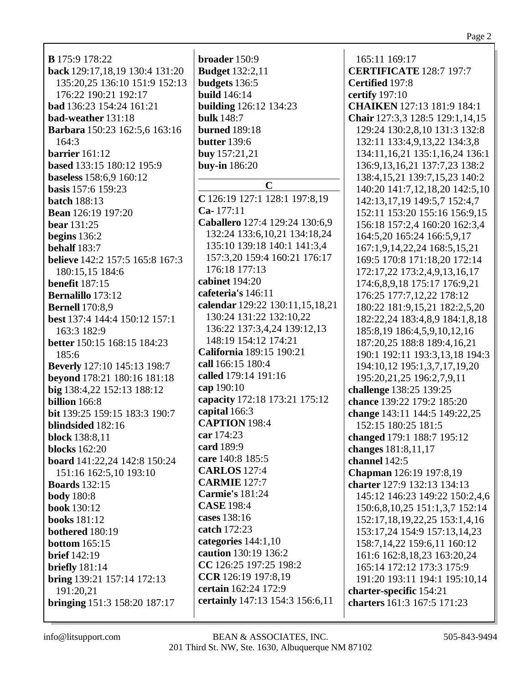**B** 175:9 178:22 **back** 129:17,18,19 130:4 131:20 135:20,25 136:10 151:9 152:13 176:22 190:21 192:17 **bad** 136:23 154:24 161:21 **bad-weather** 131:18 **Barbara** 150:23 162:5,6 163:16  $164:3$ **barrier** 161:12 **based** 133:15 180:12 195:9 **baseless** 158:6,9 160:12 **basis** 157:6 159:23 **batch** 188:13 **Bean** 126:19 197:20 **bear** 131:25 **begins** 136:2 **behalf** 183:7 **believe** 142:2 157:5 165:8 167:3 180:15,15 184:6 **benefit** 187:15 **Bernalillo** 173:12 **Bernell** 170:8,9 **best** 137:4 144:4 150:12 157:1 163:3 182:9 **better** 150:15 168:15 184:23 185:6 **Beverly** 127:10 145:13 198:7 **beyond** 178:21 180:16 181:18 **big** 138:4,22 152:13 188:12 **billion** 166:8 **bit** 139:25 159:15 183:3 190:7 **blindsided** 182:16 **block** 138:8,11 **blocks** 162:20 **board** 141:22,24 142:8 150:24 151:16 162:5,10 193:10 **Boards** 132:15 **body** 180:8 **book** 130:12 **books** 181:12 **bothered** 180:19 **bottom** 165:15 **brief** 142:19 **briefly** 181:14 **bring** 139:21 157:14 172:13 191:20,21 **bringing** 151:3 158:20 187:17

**broader** 150:9 **Budget** 132:2,11 **budgets** 136:5 **build** 146:14 **building** 126:12 134:23 **bulk** 148:7 **burned** 189:18 **butter** 139:6 **buy** 157:21,21 **buy-in** 186:20 **C C** 126:19 127:1 128:1 197:8,19 **Ca-** 177:11 **Caballero** 127:4 129:24 130:6,9 132:24 133:6,10,21 134:18,24 135:10 139:18 140:1 141:3,4 157:3,20 159:4 160:21 176:17 176:18 177:13 **cabinet** 194:20 **cafeteria's** 146:11 **calendar** 129:22 130:11,15,18,21 130:24 131:22 132:10,22 136:22 137:3,4,24 139:12,13 148:19 154:12 174:21 **California** 189:15 190:21 **call** 166:15 180:4 **called** 179:14 191:16 **cap** 190:10 **capacity** 172:18 173:21 175:12 **capital** 166:3 **CAPTION** 198:4 **car** 174:23 **card** 189:9 **care** 140:8 185:5 **CARLOS** 127:4 **CARMIE** 127:7 **Carmie's** 181:24 **CASE** 198:4 **cases** 138:16 **catch** 172:23 **categories** 144:1,10 **caution** 130:19 136:2 **CC** 126:25 197:25 198:2 **CCR** 126:19 197:8,19 **certain** 162:24 172:9 **certainly** 147:13 154:3 156:6,11

165:11 169:17 **CERTIFICATE** 128:7 197:7 **Certified** 197:8 **certify** 197:10 **CHAIKEN** 127:13 181:9 184:1 **Chair** 127:3,3 128:5 129:1,14,15 129:24 130:2,8,10 131:3 132:8 132:11 133:4,9,13,22 134:3,8 134:11,16,21 135:1,16,24 136:1 136:9,13,16,21 137:7,23 138:2 138:4,15,21 139:7,15,23 140:2 140:20 141:7,12,18,20 142:5,10 142:13,17,19 149:5,7 152:4,7 152:11 153:20 155:16 156:9,15 156:18 157:2,4 160:20 162:3,4 164:5,20 165:24 166:5,9,17 167:1,9,14,22,24 168:5,15,21 169:5 170:8 171:18,20 172:14 172:17,22 173:2,4,9,13,16,17 174:6,8,9,18 175:17 176:9,21 176:25 177:7,12,22 178:12 180:22 181:9,15,21 182:2,5,20 182:22,24 183:4,8,9 184:1,8,18 185:8,19 186:4,5,9,10,12,16 187:20,25 188:8 189:4,16,21 190:1 192:11 193:3,13,18 194:3 194:10,12 195:1,3,7,17,19,20 195:20,21,25 196:2,7,9,11 **challenge** 138:25 139:25 **chance** 139:22 179:2 185:20 **change** 143:11 144:5 149:22,25 152:15 180:25 181:5 **changed** 179:1 188:7 195:12 **changes** 181:8,11,17 **channel** 142:5 **Chapman** 126:19 197:8,19 **charter** 127:9 132:13 134:13 145:12 146:23 149:22 150:2,4,6 150:6,8,10,25 151:1,3,7 152:14 152:17,18,19,22,25 153:1,4,16 153:17,24 154:9 157:13,14,23 158:7,14,22 159:6,11 160:12 161:6 162:8,18,23 163:20,24 165:14 172:12 173:3 175:9 191:20 193:11 194:1 195:10,14 **charter-specific** 154:21 **charters** 161:3 167:5 171:23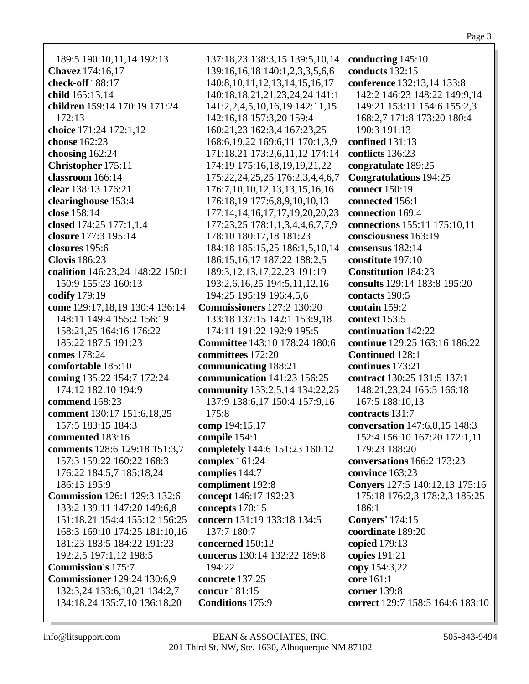| 189:5 190:10,11,14 192:13           | 137:18,23 138:3,15 139:5,10,14        | conducting 145:10                     |
|-------------------------------------|---------------------------------------|---------------------------------------|
| Chavez 174:16,17                    | 139:16,16,18 140:1,2,3,3,5,6,6        | conducts 132:15                       |
| check-off 188:17                    | 140:8, 10, 11, 12, 13, 14, 15, 16, 17 | conference 132:13,14 133:8            |
| child 165:13,14                     | 140:18,18,21,21,23,24,24 141:1        | 142:2 146:23 148:22 149:9,14          |
| children 159:14 170:19 171:24       | 141:2,2,4,5,10,16,19 142:11,15        | 149:21 153:11 154:6 155:2,3           |
| 172:13                              | 142:16,18 157:3,20 159:4              | 168:2,7 171:8 173:20 180:4            |
| choice 171:24 172:1,12              | 160:21,23 162:3,4 167:23,25           | 190:3 191:13                          |
| choose 162:23                       | 168:6, 19, 22 169:6, 11 170:1, 3, 9   | confined 131:13                       |
| choosing 162:24                     | 171:18,21 173:2,6,11,12 174:14        | conflicts 136:23                      |
| Christopher 175:11                  | 174:19 175:16,18,19,19,21,22          | congratulate 189:25                   |
| classroom 166:14                    | 175:22,24,25,25 176:2,3,4,4,6,7       | <b>Congratulations</b> 194:25         |
| clear 138:13 176:21                 | 176:7, 10, 10, 12, 13, 13, 15, 16, 16 | connect 150:19                        |
| clearinghouse 153:4                 | 176:18,19 177:6,8,9,10,10,13          | connected 156:1                       |
| close 158:14                        | 177:14,14,16,17,17,19,20,20,23        | connection 169:4                      |
| closed 174:25 177:1,1,4             | 177:23,25 178:1,1,3,4,4,6,7,7,9       | connections 155:11 175:10,11          |
| closure 177:3 195:14                | 178:10 180:17,18 181:23               | consciousness 163:19                  |
| closures 195:6                      |                                       | consensus 182:14                      |
|                                     | 184:18 185:15,25 186:1,5,10,14        |                                       |
| <b>Clovis</b> 186:23                | 186:15, 16, 17 187:22 188:2, 5        | constitute 197:10                     |
| coalition 146:23,24 148:22 150:1    | 189:3, 12, 13, 17, 22, 23 191: 19     | <b>Constitution 184:23</b>            |
| 150:9 155:23 160:13                 | 193:2,6,16,25 194:5,11,12,16          | consults 129:14 183:8 195:20          |
| codify 179:19                       | 194:25 195:19 196:4,5,6               | contacts 190:5                        |
| come 129:17,18,19 130:4 136:14      | <b>Commissioners</b> 127:2 130:20     | contain 159:2                         |
| 148:11 149:4 155:2 156:19           | 133:18 137:15 142:1 153:9,18          | context 153:5                         |
| 158:21,25 164:16 176:22             | 174:11 191:22 192:9 195:5             | continuation 142:22                   |
| 185:22 187:5 191:23                 | <b>Committee</b> 143:10 178:24 180:6  | continue 129:25 163:16 186:22         |
| comes 178:24                        | committees 172:20                     | <b>Continued 128:1</b>                |
| comfortable 185:10                  | communicating 188:21                  | continues 173:21                      |
| coming 135:22 154:7 172:24          | communication 141:23 156:25           | contract 130:25 131:5 137:1           |
| 174:12 182:10 194:9                 | community 133:2,5,14 134:22,25        | 148:21,23,24 165:5 166:18             |
| commend 168:23                      | 137:9 138:6,17 150:4 157:9,16         | 167:5 188:10,13                       |
| comment 130:17 151:6,18,25          | 175:8                                 | contracts 131:7                       |
| 157:5 183:15 184:3                  | comp 194:15,17                        | conversation 147:6,8,15 148:3         |
| commented 183:16                    | compile 154:1                         | 152:4 156:10 167:20 172:1,11          |
| comments 128:6 129:18 151:3,7       | completely 144:6 151:23 160:12        | 179:23 188:20                         |
| 157:3 159:22 160:22 168:3           | complex $161:24$                      | conversations 166:2 173:23            |
| 176:22 184:5,7 185:18,24            | complies 144:7                        | convince 163:23                       |
| 186:13 195:9                        | compliment 192:8                      | <b>Convers</b> 127:5 140:12,13 175:16 |
| <b>Commission</b> 126:1 129:3 132:6 | concept 146:17 192:23                 | 175:18 176:2,3 178:2,3 185:25         |
| 133:2 139:11 147:20 149:6,8         | concepts 170:15                       | 186:1                                 |
| 151:18,21 154:4 155:12 156:25       | concern 131:19 133:18 134:5           | <b>Conyers'</b> 174:15                |
| 168:3 169:10 174:25 181:10,16       | 137:7 180:7                           | coordinate 189:20                     |
| 181:23 183:5 184:22 191:23          | concerned 150:12                      | copied 179:13                         |
| 192:2,5 197:1,12 198:5              | concerns 130:14 132:22 189:8          | copies 191:21                         |
| <b>Commission's 175:7</b>           | 194:22                                | copy 154:3,22                         |
| <b>Commissioner</b> 129:24 130:6,9  | concrete 137:25                       | core 161:1                            |
| 132:3,24 133:6,10,21 134:2,7        | concur 181:15                         | corner 139:8                          |
| 134:18,24 135:7,10 136:18,20        | <b>Conditions</b> 175:9               | correct 129:7 158:5 164:6 183:10      |
|                                     |                                       |                                       |
|                                     |                                       |                                       |

Page 3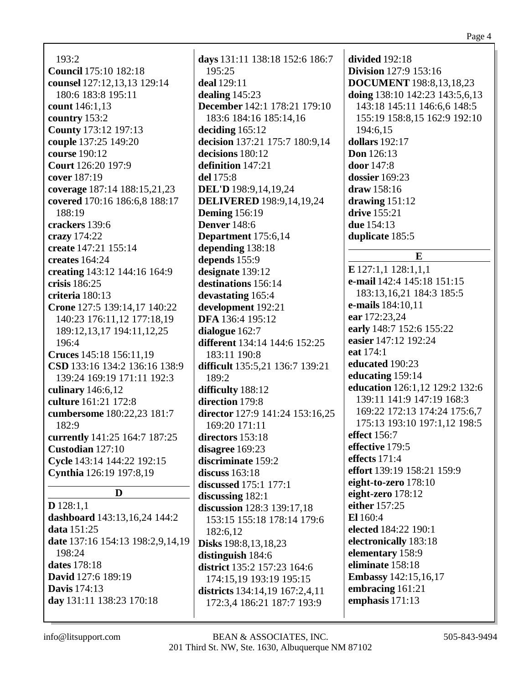$193:2$ **Council** 175:10 182:18 counsel 127:12,13,13 129:14 180:6 183:8 195:11 **count** 146:1,13 country  $153:2$ **County** 173:12 197:13 couple 137:25 149:20 course 190:12 **Court** 126:20 197:9 cover 187:19 coverage 187:14 188:15,21,23 covered 170:16 186:6,8 188:17 188:19 crackers 139:6 crazy  $174:22$ create 147:21 155:14 creates  $164:24$ creating 143:12 144:16 164:9 crisis 186:25 criteria  $180:13$ Crone 127:5 139:14,17 140:22 140:23 176:11.12 177:18.19 189:12, 13, 17 194: 11, 12, 25  $196:4$ Cruces 145:18 156:11,19 CSD 133:16 134:2 136:16 138:9 139:24 169:19 171:11 192:3 culinary 146:6,12 culture 161:21 172:8 cumbersome 180:22,23 181:7  $182:9$ currently 141:25 164:7 187:25 Custodian 127:10 Cycle 143:14 144:22 192:15 Cynthia 126:19 197:8,19 D  $D$  128:1.1 dashboard 143:13,16,24 144:2 **data**  $151:25$ date 137:16 154:13 198:2,9,14,19 198:24 dates 178:18 **David** 127:6 189:19 **Davis** 174:13 day 131:11 138:23 170:18

days 131:11 138:18 152:6 186:7  $195:25$ deal 129:11 dealing  $145:23$ **December** 142:1 178:21 179:10 183:6 184:16 185:14.16 deciding  $165:12$ decision 137:21 175:7 180:9,14 decisions 180:12 definition 147:21 del 175:8 **DEL'D** 198:9,14,19,24 **DELIVERED** 198:9,14,19,24 **Deming** 156:19 **Denver** 148:6 Department 175:6,14 depending 138:18 depends 155:9 designate 139:12 destinations 156:14 devastating 165:4 development 192:21 **DFA** 136:4 195:12 dialogue 162:7 different 134:14 144:6 152:25 183:11 190:8 difficult 135:5,21 136:7 139:21 189:2 difficulty 188:12 direction 179:8 director 127:9 141:24 153:16,25 169:20 171:11 directors 153:18 disagree  $169:23$ discriminate 159:2 discuss  $163:18$ **discussed** 175:1 177:1 discussing  $182:1$ discussion 128:3 139:17,18 153:15 155:18 178:14 179:6 182:6.12 **Disks** 198:8, 13, 18, 23 distinguish  $184:6$ district 135:2 157:23 164:6 174:15.19 193:19 195:15 districts 134:14,19 167:2,4,11 172:3,4 186:21 187:7 193:9

divided  $192:18$ **Division** 127:9 153:16 **DOCUMENT** 198:8,13,18,23 doing  $138:10$   $142:23$   $143:5,6,13$ 143:18 145:11 146:6,6 148:5 155:19 158:8,15 162:9 192:10  $194:6.15$ dollars  $192:17$ **Don** 126:13 **door** 147:8 dossier  $169:23$ draw  $158:16$ drawing  $151:12$ **drive** 155:21 **due** 154:13 duplicate 185:5  $E$  $E$ 127:1,1 128:1,1,1 e-mail 142:4 145:18 151:15 183:13, 16, 21 184: 3 185: 5 **e-mails** 184:10.11 ear 172:23,24 early 148:7 152:6 155:22 easier 147:12 192:24 eat 174:1 educated 190:23 educating 159:14 education 126:1,12 129:2 132:6 139:11 141:9 147:19 168:3 169:22 172:13 174:24 175:6.7 175:13 193:10 197:1,12 198:5 effect  $156:7$ effective 179:5 effects  $171.4$ effort 139:19 158:21 159:9 eight-to-zero  $178:10$ eight-zero 178:12 either 157:25 El 160:4 elected 184:22 190:1 electronically 183:18 elementary 158:9 eliminate 158:18 **Embassy** 142:15,16,17 embracing 161:21 emphasis  $171:13$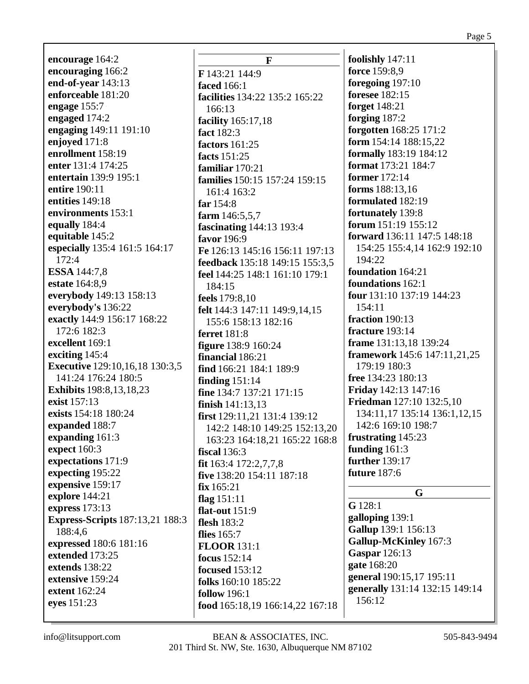**encourage** 164:2 **encouraging** 166:2 **end-of-year** 143:13 **enforceable** 181:20 **engage** 155:7 **engaged** 174:2 **engaging** 149:11 191:10 **enjoyed** 171:8 **enrollment** 158:19 **enter** 131:4 174:25 **entertain** 139:9 195:1 **entire** 190:11 **entities** 149:18 **environments** 153:1 **equally** 184:4 **equitable** 145:2 **especially** 135:4 161:5 164:17 172:4 **ESSA** 144:7,8 **estate** 164:8,9 **everybody** 149:13 158:13 **everybody's** 136:22 **exactly** 144:9 156:17 168:22 172:6 182:3 **excellent** 169:1 **exciting** 145:4 **Executive** 129:10,16,18 130:3,5 141:24 176:24 180:5 **Exhibits** 198:8,13,18,23 **exist** 157:13 **exists** 154:18 180:24 **expanded** 188:7 **expanding** 161:3 **expect** 160:3 **expectations** 171:9 **expecting** 195:22 **expensive** 159:17 **explore** 144:21 **express** 173:13 **Express-Scripts** 187:13,21 188:3 188:4,6 **expressed** 180:6 181:16 **extended** 173:25 **extends** 138:22 **extensive** 159:24 **extent** 162:24 **eyes** 151:23

**F F** 143:21 144:9 **faced** 166:1 **facilities** 134:22 135:2 165:22 166:13 **facility** 165:17,18 **fact** 182:3 **factors** 161:25 **facts** 151:25 **familiar** 170:21 **families** 150:15 157:24 159:15 161:4 163:2 **far** 154:8 **farm** 146:5,5,7 **fascinating** 144:13 193:4 **favor** 196:9 **Fe** 126:13 145:16 156:11 197:13 **feedback** 135:18 149:15 155:3,5 **feel** 144:25 148:1 161:10 179:1 184:15 **feels** 179:8,10 **felt** 144:3 147:11 149:9,14,15 155:6 158:13 182:16 **ferret** 181:8 **figure** 138:9 160:24 **financial** 186:21 **find** 166:21 184:1 189:9 **finding** 151:14 **fine** 134:7 137:21 171:15 **finish** 141:13,13 **first** 129:11,21 131:4 139:12 142:2 148:10 149:25 152:13,20 163:23 164:18,21 165:22 168:8 **fiscal** 136:3 **fit** 163:4 172:2,7,7,8 **five** 138:20 154:11 187:18 **fix** 165:21 **flag** 151:11 **flat-out** 151:9 **flesh** 183:2 **flies** 165:7 **FLOOR** 131:1 **focus** 152:14 **focused** 153:12 **folks** 160:10 185:22 **follow** 196:1 **food** 165:18,19 166:14,22 167:18

**foolishly** 147:11 **force** 159:8,9 **foregoing** 197:10 **foresee** 182:15 **forget** 148:21 **forging** 187:2 **forgotten** 168:25 171:2 **form** 154:14 188:15,22 **formally** 183:19 184:12 **format** 173:21 184:7 **former** 172:14 **forms** 188:13,16 **formulated** 182:19 **fortunately** 139:8 **forum** 151:19 155:12 **forward** 136:11 147:5 148:18 154:25 155:4,14 162:9 192:10 194:22 **foundation** 164:21 **foundations** 162:1 **four** 131:10 137:19 144:23 154:11 **fraction** 190:13 **fracture** 193:14 **frame** 131:13,18 139:24 **framework** 145:6 147:11,21,25 179:19 180:3 **free** 134:23 180:13 **Friday** 142:13 147:16 **Friedman** 127:10 132:5,10 134:11,17 135:14 136:1,12,15 142:6 169:10 198:7 **frustrating** 145:23 **funding** 161:3 **further** 139:17 **future** 187:6 **G G** 128:1 **galloping** 139:1 **Gallup** 139:1 156:13 **Gallup-McKinley** 167:3 **Gaspar** 126:13 **gate** 168:20 **general** 190:15,17 195:11 **generally** 131:14 132:15 149:14 156:12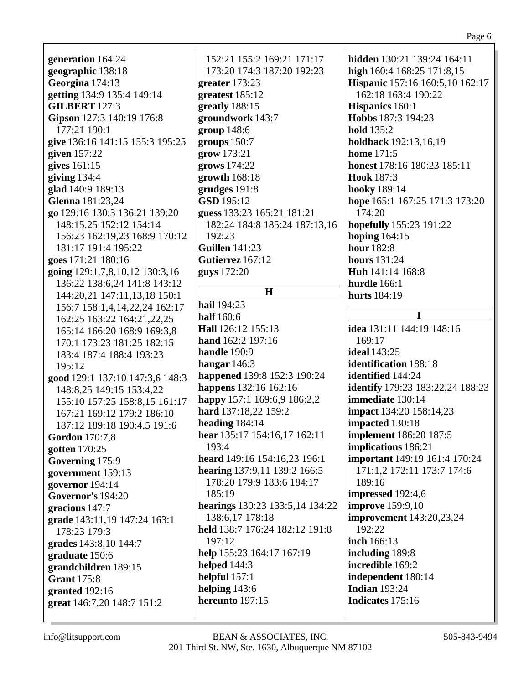| generation 164:24               | 152:21 155:2 169:21 171:17      | hidden 130:21 139:24 164:11             |
|---------------------------------|---------------------------------|-----------------------------------------|
| geographic 138:18               | 173:20 174:3 187:20 192:23      | high 160:4 168:25 171:8,15              |
| Georgina 174:13                 | greater $173:23$                | Hispanic 157:16 160:5,10 162:17         |
| getting 134:9 135:4 149:14      | greatest 185:12                 | 162:18 163:4 190:22                     |
| <b>GILBERT 127:3</b>            | greatly 188:15                  | <b>Hispanics</b> 160:1                  |
| Gipson 127:3 140:19 176:8       | groundwork 143:7                | Hobbs 187:3 194:23                      |
| 177:21 190:1                    | group 148:6                     | <b>hold</b> 135:2                       |
| give 136:16 141:15 155:3 195:25 | groups 150:7                    | holdback 192:13,16,19                   |
| given $157:22$                  | grow 173:21                     | <b>home</b> 171:5                       |
| gives 161:15                    | grows 174:22                    | honest 178:16 180:23 185:11             |
| giving $134:4$                  | growth 168:18                   | Hook 187:3                              |
| glad 140:9 189:13               | grudges 191:8                   | hooky 189:14                            |
| Glenna 181:23,24                | GSD 195:12                      | hope 165:1 167:25 171:3 173:20          |
| go 129:16 130:3 136:21 139:20   | guess 133:23 165:21 181:21      | 174:20                                  |
| 148:15,25 152:12 154:14         | 182:24 184:8 185:24 187:13,16   | hopefully 155:23 191:22                 |
| 156:23 162:19,23 168:9 170:12   | 192:23                          | hoping 164:15                           |
| 181:17 191:4 195:22             | <b>Guillen</b> 141:23           | hour 182:8                              |
| goes 171:21 180:16              | Gutierrez 167:12                | <b>hours</b> 131:24                     |
| going 129:1,7,8,10,12 130:3,16  | guys 172:20                     | Huh 141:14 168:8                        |
| 136:22 138:6,24 141:8 143:12    |                                 | hurdle 166:1                            |
| 144:20,21 147:11,13,18 150:1    | H                               | hurts 184:19                            |
| 156:7 158:1,4,14,22,24 162:17   | hail 194:23                     |                                         |
| 162:25 163:22 164:21,22,25      | half 160:6                      | I                                       |
| 165:14 166:20 168:9 169:3,8     | Hall 126:12 155:13              | idea 131:11 144:19 148:16               |
| 170:1 173:23 181:25 182:15      | hand 162:2 197:16               | 169:17                                  |
| 183:4 187:4 188:4 193:23        | handle 190:9                    | <b>ideal</b> 143:25                     |
| 195:12                          | hangar $146:3$                  | identification 188:18                   |
| good 129:1 137:10 147:3,6 148:3 | happened 139:8 152:3 190:24     | identified 144:24                       |
| 148:8,25 149:15 153:4,22        | happens 132:16 162:16           | <b>identify</b> 179:23 183:22,24 188:23 |
| 155:10 157:25 158:8,15 161:17   | happy 157:1 169:6,9 186:2,2     | immediate 130:14                        |
| 167:21 169:12 179:2 186:10      | hard 137:18,22 159:2            | <b>impact</b> 134:20 158:14,23          |
| 187:12 189:18 190:4,5 191:6     | heading $184:14$                | impacted 130:18                         |
| <b>Gordon</b> 170:7,8           | hear 135:17 154:16,17 162:11    | implement 186:20 187:5                  |
| gotten 170:25                   | 193:4                           | implications 186:21                     |
| Governing 175:9                 | heard 149:16 154:16,23 196:1    | important 149:19 161:4 170:24           |
| government 159:13               | hearing 137:9,11 139:2 166:5    | 171:1,2 172:11 173:7 174:6              |
| governor 194:14                 | 178:20 179:9 183:6 184:17       | 189:16                                  |
| <b>Governor's 194:20</b>        | 185:19                          | impressed 192:4,6                       |
| gracious 147:7                  | hearings 130:23 133:5,14 134:22 | <b>improve</b> 159:9,10                 |
| grade 143:11,19 147:24 163:1    | 138:6,17 178:18                 | improvement 143:20,23,24                |
| 178:23 179:3                    | held 138:7 176:24 182:12 191:8  | 192:22                                  |
| grades 143:8,10 144:7           | 197:12                          | inch 166:13                             |
| graduate 150:6                  | help 155:23 164:17 167:19       | including 189:8                         |
| grandchildren 189:15            | helped $144:3$                  | incredible 169:2                        |
| <b>Grant</b> 175:8              | helpful 157:1                   | independent 180:14                      |
| granted 192:16                  | helping 143:6                   | <b>Indian 193:24</b>                    |
| great 146:7,20 148:7 151:2      | hereunto 197:15                 | Indicates 175:16                        |
|                                 |                                 |                                         |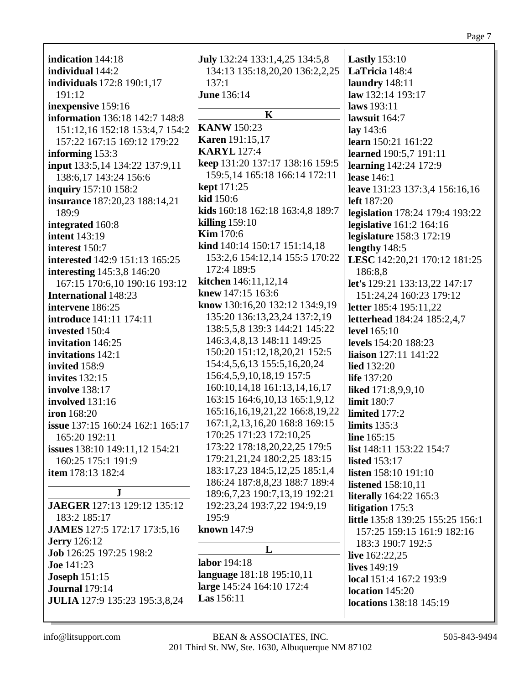| indication 144:18                     | July 132:24 133:1,4,25 134:5,8               | <b>Lastly</b> 153:10             |
|---------------------------------------|----------------------------------------------|----------------------------------|
| individual 144:2                      |                                              | LaTricia 148:4                   |
|                                       | 134:13 135:18,20,20 136:2,2,25               |                                  |
| individuals 172:8 190:1,17            | 137:1                                        | laundry 148:11                   |
| 191:12                                | <b>June 136:14</b>                           | law 132:14 193:17                |
| inexpensive 159:16                    | $\mathbf K$                                  | laws 193:11                      |
| information 136:18 142:7 148:8        | <b>KANW</b> 150:23                           | lawsuit 164:7                    |
| 151:12,16 152:18 153:4,7 154:2        |                                              | lay 143:6                        |
| 157:22 167:15 169:12 179:22           | <b>Karen</b> 191:15,17<br><b>KARYL</b> 127:4 | learn 150:21 161:22              |
| informing 153:3                       |                                              | learned 190:5,7 191:11           |
| input 133:5,14 134:22 137:9,11        | keep 131:20 137:17 138:16 159:5              | learning 142:24 172:9            |
| 138:6, 17 143:24 156:6                | 159:5,14 165:18 166:14 172:11                | lease 146:1                      |
| inquiry 157:10 158:2                  | <b>kept</b> 171:25                           | leave 131:23 137:3,4 156:16,16   |
| insurance 187:20,23 188:14,21         | kid 150:6                                    | left 187:20                      |
| 189:9                                 | kids 160:18 162:18 163:4,8 189:7             | legislation 178:24 179:4 193:22  |
| integrated 160:8                      | killing $159:10$                             | legislative 161:2 164:16         |
| <b>intent</b> 143:19                  | <b>Kim</b> 170:6                             | legislature 158:3 172:19         |
| interest 150:7                        | kind 140:14 150:17 151:14,18                 | lengthy 148:5                    |
| interested 142:9 151:13 165:25        | 153:2,6 154:12,14 155:5 170:22               | LESC 142:20,21 170:12 181:25     |
| interesting 145:3,8 146:20            | 172:4 189:5                                  | 186:8,8                          |
| 167:15 170:6,10 190:16 193:12         | kitchen 146:11,12,14                         | let's 129:21 133:13,22 147:17    |
| <b>International 148:23</b>           | knew 147:15 163:6                            | 151:24,24 160:23 179:12          |
| intervene 186:25                      | know 130:16,20 132:12 134:9,19               | letter 185:4 195:11,22           |
| introduce 141:11 174:11               | 135:20 136:13,23,24 137:2,19                 | letterhead 184:24 185:2,4,7      |
| invested 150:4                        | 138:5,5,8 139:3 144:21 145:22                | level 165:10                     |
| invitation 146:25                     | 146:3,4,8,13 148:11 149:25                   | levels 154:20 188:23             |
| invitations 142:1                     | 150:20 151:12,18,20,21 152:5                 | liaison 127:11 141:22            |
| invited 158:9                         | 154:4,5,6,13 155:5,16,20,24                  | <b>lied</b> 132:20               |
| <b>invites</b> 132:15                 | 156:4,5,9,10,18,19 157:5                     | life 137:20                      |
| <b>involve</b> 138:17                 | 160:10,14,18 161:13,14,16,17                 | liked 171:8,9,9,10               |
| involved 131:16                       | 163:15 164:6, 10, 13 165:1, 9, 12            | limit 180:7                      |
| <b>iron</b> 168:20                    | 165:16,16,19,21,22 166:8,19,22               | limited 177:2                    |
|                                       | 167:1,2,13,16,20 168:8 169:15                |                                  |
| issue 137:15 160:24 162:1 165:17      | 170:25 171:23 172:10,25                      | limits $135:3$                   |
| 165:20 192:11                         | 173:22 178:18,20,22,25 179:5                 | line 165:15                      |
| <b>issues</b> 138:10 149:11,12 154:21 | 179:21,21,24 180:2,25 183:15                 | list 148:11 153:22 154:7         |
| 160:25 175:1 191:9                    | 183:17,23 184:5,12,25 185:1,4                | <b>listed</b> 153:17             |
| item 178:13 182:4                     |                                              | <b>listen</b> 158:10 191:10      |
| $\bf J$                               | 186:24 187:8,8,23 188:7 189:4                | <b>listened</b> 158:10,11        |
| JAEGER 127:13 129:12 135:12           | 189:6,7,23 190:7,13,19 192:21                | <b>literally</b> 164:22 165:3    |
|                                       | 192:23,24 193:7,22 194:9,19                  | litigation 175:3                 |
| 183:2 185:17                          | 195:9                                        | little 135:8 139:25 155:25 156:1 |
| JAMES 127:5 172:17 173:5,16           | known 147:9                                  | 157:25 159:15 161:9 182:16       |
| <b>Jerry</b> 126:12                   | L                                            | 183:3 190:7 192:5                |
| Job 126:25 197:25 198:2               | labor 194:18                                 | live $162:22,25$                 |
| <b>Joe</b> 141:23                     |                                              | lives 149:19                     |
| <b>Joseph 151:15</b>                  | language 181:18 195:10,11                    | local 151:4 167:2 193:9          |
| <b>Journal</b> 179:14                 | large 145:24 164:10 172:4                    | location 145:20                  |
| <b>JULIA</b> 127:9 135:23 195:3,8,24  | <b>Las</b> 156:11                            | locations 138:18 145:19          |
|                                       |                                              |                                  |

Page 7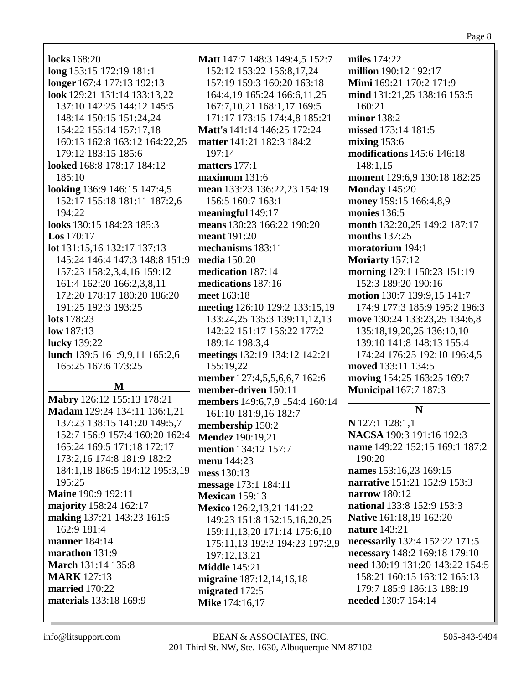| <b>locks</b> 168:20            | $\mathbf N$ |
|--------------------------------|-------------|
| long 153:15 172:19 181:1       |             |
| longer 167:4 177:13 192:13     |             |
|                                |             |
| look 129:21 131:14 133:13,22   |             |
| 137:10 142:25 144:12 145:5     |             |
| 148:14 150:15 151:24,24        |             |
| 154:22 155:14 157:17,18        | N           |
| 160:13 162:8 163:12 164:22,25  | m           |
| 179:12 183:15 185:6            |             |
| looked 168:8 178:17 184:12     | m           |
| 185:10                         | m           |
| looking 136:9 146:15 147:4,5   | m           |
| 152:17 155:18 181:11 187:2,6   |             |
| 194:22                         | m           |
| looks 130:15 184:23 185:3      | m           |
| Los $170:17$                   | m           |
| lot 131:15,16 132:17 137:13    | m           |
| 145:24 146:4 147:3 148:8 151:9 | m           |
| 157:23 158:2,3,4,16 159:12     | m           |
| 161:4 162:20 166:2,3,8,11      | m           |
| 172:20 178:17 180:20 186:20    | m           |
| 191:25 192:3 193:25            | m           |
| <b>lots</b> 178:23             |             |
|                                |             |
| low 187:13                     |             |
| lucky 139:22                   |             |
| lunch 139:5 161:9,9,11 165:2,6 | m           |
| 165:25 167:6 173:25            |             |
| M                              | m           |
| Mabry 126:12 155:13 178:21     | m           |
| Madam 129:24 134:11 136:1,21   | m           |
|                                |             |
| 137:23 138:15 141:20 149:5,7   | m           |
| 152:7 156:9 157:4 160:20 162:4 | N           |
| 165:24 169:5 171:18 172:17     | m           |
| 173:2,16 174:8 181:9 182:2     | m           |
| 184:1,18 186:5 194:12 195:3,19 | m           |
| 195:25                         | m           |
| <b>Maine</b> 190:9 192:11      | N           |
| majority 158:24 162:17         | $\mathbf N$ |
| making 137:21 143:23 161:5     |             |
| 162:9 181:4                    |             |
| manner 184:14                  |             |
| marathon 131:9                 |             |
| <b>March</b> 131:14 135:8      | N           |
| <b>MARK</b> 127:13             | m           |
| married 170:22                 | m           |
| materials 133:18 169:9         | N           |

**fatt** 147:7 148:3 149:4,5 152:7 152:12 153:22 156:8,17,24 157:19 159:3 160:20 163:18 164:4,19 165:24 166:6,11,25 167:7, 10, 21 168: 1, 17 169: 5 171:17 173:15 174:4,8 185:21 **fatt's** 141:14 146:25 172:24 **atter** 141:21 182:3 184:2  $197:14$ natters  $177:1$  $\alpha$ ximum 131:6 **ean** 133:23 136:22,23 154:19 156:5 160:7 163:1 **eaningful** 149:17 **eans** 130:23 166:22 190:20  $\mathbf{191:}20$ nechanisms 183:11 **nedia** 150:20 **nedication** 187:14 **nedications** 187:16 reet 163:18 **neeting** 126:10 129:2 133:15,19 133:24.25 135:3 139:11.12.13 142:22 151:17 156:22 177:2 189:14 198:3,4 **neetings** 132:19 134:12 142:21 155:19,22 **nember** 127:4.5.5.6.6.7 162:6 **nember-driven** 150:11 **nembers** 149:6,7,9 154:4 160:14 161:10 181:9,16 182:7 **nembership** 150:2 **Iendez** 190:19,21 **nention** 134:12 157:7 **enu** 144:23 **ness** 130:13 **ressage** 173:1 184:11 **Iexican** 159:13 **Iexico** 126:2,13,21 141:22 149:23 151:8 152:15,16,20,25 159:11, 13, 20 171:14 175:6, 10 175:11,13 192:2 194:23 197:2,9 197:12,13,21 **fiddle** 145:21 **igraine** 187:12,14,16,18 nigrated  $172:5$ **Mike** 174:16,17

miles 174:22 million 190:12 192:17 **Mimi** 169:21 170:2 171:9 mind 131:21,25 138:16 153:5  $160:21$ minor 138:2 missed 173:14 181:5 mixing  $153:6$ modifications  $145:6$  146:18 148:1.15 moment 129:6.9 130:18 182:25 **Monday 145:20** money 159:15 166:4,8,9 monies  $136:5$ month 132:20.25 149:2 187:17 **months** 137:25 moratorium 194:1 Moriarty  $157:12$ morning 129:1 150:23 151:19 152:3 189:20 190:16 motion 130:7 139:9,15 141:7 174:9 177:3 185:9 195:2 196:3 move 130:24 133:23.25 134:6.8 135:18, 19, 20, 25 136:10, 10 139:10 141:8 148:13 155:4 174:24 176:25 192:10 196:4,5 moved 133:11 134:5 moving 154:25 163:25 169:7 **Municipal** 167:7 187:3 N N 127:1 128:1,1

NACSA 190:3 191:16 192:3 name 149:22 152:15 169:1 187:2  $190:20$ names 153:16,23 169:15 narrative 151:21 152:9 153:3 narrow  $180:12$ national 133:8 152:9 153:3 Native 161:18,19 162:20 nature  $143:21$ necessarily 132:4 152:22 171:5 necessary 148:2 169:18 179:10 need 130:19 131:20 143:22 154:5 158:21 160:15 163:12 165:13 179:7 185:9 186:13 188:19 needed 130:7 154:14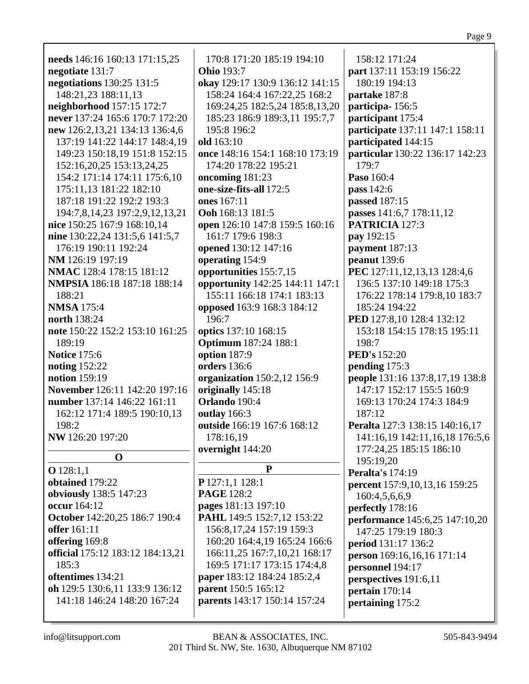| needs 146:16 160:13 171:15,25                | 170:8 171:20 185:19 194:10<br><b>Ohio</b> 193:7 | 158:12 171:24                                      |
|----------------------------------------------|-------------------------------------------------|----------------------------------------------------|
| negotiate 131:7<br>negotiations 130:25 131:5 | okay 129:17 130:9 136:12 141:15                 | part 137:11 153:19 156:22<br>180:19 194:13         |
| 148:21,23 188:11,13                          | 158:24 164:4 167:22,25 168:2                    | partake 187:8                                      |
| neighborhood 157:15 172:7                    | 169:24,25 182:5,24 185:8,13,20                  | participa-156:5                                    |
| never 137:24 165:6 170:7 172:20              | 185:23 186:9 189:3,11 195:7,7                   | participant 175:4                                  |
| new 126:2,13,21 134:13 136:4,6               | 195:8 196:2                                     | participate 137:11 147:1 158:11                    |
| 137:19 141:22 144:17 148:4,19                | old 163:10                                      | participated 144:15                                |
| 149:23 150:18,19 151:8 152:15                | once 148:16 154:1 168:10 173:19                 | particular 130:22 136:17 142:23                    |
| 152:16,20,25 153:13,24,25                    | 174:20 178:22 195:21                            | 179:7                                              |
| 154:2 171:14 174:11 175:6,10                 | oncoming 181:23                                 | Paso 160:4                                         |
| 175:11,13 181:22 182:10                      | one-size-fits-all 172:5                         | pass 142:6                                         |
| 187:18 191:22 192:2 193:3                    | ones 167:11                                     | passed 187:15                                      |
| 194:7,8,14,23 197:2,9,12,13,21               | Ooh 168:13 181:5                                | passes 141:6,7 178:11,12                           |
| nice 150:25 167:9 168:10,14                  | open 126:10 147:8 159:5 160:16                  | PATRICIA 127:3                                     |
| nine 130:22,24 131:5,6 141:5,7               | 161:7 179:6 198:3                               | pay 192:15                                         |
| 176:19 190:11 192:24                         | opened 130:12 147:16                            | payment 187:13                                     |
| NM 126:19 197:19                             | operating 154:9                                 | peanut 139:6                                       |
| NMAC 128:4 178:15 181:12                     | opportunities 155:7,15                          | PEC 127:11,12,13,13 128:4,6                        |
| NMPSIA 186:18 187:18 188:14                  | opportunity 142:25 144:11 147:1                 | 136:5 137:10 149:18 175:3                          |
| 188:21                                       | 155:11 166:18 174:1 183:13                      | 176:22 178:14 179:8,10 183:7                       |
| <b>NMSA</b> 175:4                            | opposed 163:9 168:3 184:12                      | 185:24 194:22                                      |
| north 138:24                                 | 196:7                                           | PED 127:8,10 128:4 132:12                          |
| note 150:22 152:2 153:10 161:25              | optics 137:10 168:15                            | 153:18 154:15 178:15 195:11                        |
| 189:19                                       | <b>Optimum</b> 187:24 188:1                     | 198:7                                              |
| <b>Notice 175:6</b>                          | option 187:9                                    | <b>PED's</b> 152:20                                |
| <b>noting</b> 152:22                         | orders 136:6                                    | pending 175:3                                      |
| notion 159:19                                | organization 150:2,12 156:9                     | people 131:16 137:8,17,19 138:8                    |
| November 126:11 142:20 197:16                | originally 145:18                               | 147:17 152:17 155:5 160:9                          |
| number 137:14 146:22 161:11                  | Orlando 190:4                                   | 169:13 170:24 174:3 184:9                          |
| 162:12 171:4 189:5 190:10,13                 | outlay 166:3                                    | 187:12                                             |
| 198:2                                        | outside 166:19 167:6 168:12                     | Peralta 127:3 138:15 140:16,17                     |
| NW 126:20 197:20                             | 178:16,19                                       | 141:16,19 142:11,16,18 176:5,6                     |
| $\mathbf 0$                                  | overnight 144:20                                | 177:24,25 185:15 186:10                            |
| $O$ 128:1,1                                  | ${\bf P}$                                       | 195:19,20                                          |
| obtained 179:22                              | P 127:1,1 128:1                                 | <b>Peralta's 174:19</b>                            |
| obviously 138:5 147:23                       | <b>PAGE</b> 128:2                               | percent 157:9, 10, 13, 16 159:25                   |
| occur 164:12                                 | pages 181:13 197:10                             | 160:4,5,6,6,9                                      |
| October 142:20,25 186:7 190:4                | PAHL 149:5 152:7,12 153:22                      | perfectly 178:16<br>performance 145:6,25 147:10,20 |
| offer 161:11                                 | 156:8, 17, 24 157: 19 159: 3                    | 147:25 179:19 180:3                                |
| offering 169:8                               | 160:20 164:4,19 165:24 166:6                    | period 131:17 136:2                                |
| official 175:12 183:12 184:13,21             | 166:11,25 167:7,10,21 168:17                    | person 169:16,16,16 171:14                         |
| 185:3                                        | 169:5 171:17 173:15 174:4,8                     | personnel 194:17                                   |
| oftentimes 134:21                            | paper 183:12 184:24 185:2,4                     | perspectives 191:6,11                              |
| oh 129:5 130:6,11 133:9 136:12               | parent 150:5 165:12                             | pertain 170:14                                     |
| 141:18 146:24 148:20 167:24                  | parents 143:17 150:14 157:24                    | pertaining 175:2                                   |
|                                              |                                                 |                                                    |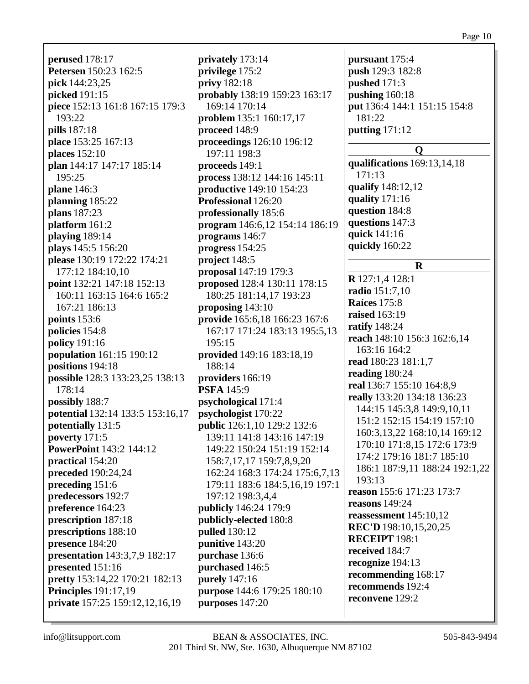**perused** 178:17 **Petersen** 150:23 162:5 **pick** 144:23,25 **picked** 191:15 **piece** 152:13 161:8 167:15 179:3 193:22 **pills** 187:18 **place** 153:25 167:13 **places** 152:10 **plan** 144:17 147:17 185:14 195:25 **plane** 146:3 **planning** 185:22 **plans** 187:23 **platform** 161:2 **playing** 189:14 **plays** 145:5 156:20 **please** 130:19 172:22 174:21 177:12 184:10,10 **point** 132:21 147:18 152:13 160:11 163:15 164:6 165:2 167:21 186:13 **points** 153:6 **policies** 154:8 **policy** 191:16 **population** 161:15 190:12 **positions** 194:18 **possible** 128:3 133:23,25 138:13 178:14 **possibly** 188:7 **potential** 132:14 133:5 153:16,17 **potentially** 131:5 **poverty** 171:5 **PowerPoint** 143:2 144:12 **practical** 154:20 **preceded** 190:24,24 **preceding** 151:6 **predecessors** 192:7 **preference** 164:23 **prescription** 187:18 **prescriptions** 188:10 **presence** 184:20 **presentation** 143:3,7,9 182:17 **presented** 151:16 **pretty** 153:14,22 170:21 182:13 **Principles** 191:17,19 **private** 157:25 159:12,12,16,19

**privately** 173:14 **privilege** 175:2 **privy** 182:18 **probably** 138:19 159:23 163:17 169:14 170:14 **problem** 135:1 160:17,17 **proceed** 148:9 **proceedings** 126:10 196:12 197:11 198:3 **proceeds** 149:1 **process** 138:12 144:16 145:11 **productive** 149:10 154:23 **Professional** 126:20 **professionally** 185:6 **program** 146:6,12 154:14 186:19 **programs** 146:7 **progress** 154:25 **project** 148:5 **proposal** 147:19 179:3 **proposed** 128:4 130:11 178:15 180:25 181:14,17 193:23 **proposing** 143:10 **provide** 165:6,18 166:23 167:6 167:17 171:24 183:13 195:5,13 195:15 **provided** 149:16 183:18,19 188:14 **providers** 166:19 **PSFA** 145:9 **psychological** 171:4 **psychologist** 170:22 **public** 126:1,10 129:2 132:6 139:11 141:8 143:16 147:19 149:22 150:24 151:19 152:14 158:7,17,17 159:7,8,9,20 162:24 168:3 174:24 175:6,7,13 179:11 183:6 184:5,16,19 197:1 197:12 198:3,4,4 **publicly** 146:24 179:9 **publicly-elected** 180:8 **pulled** 130:12 **punitive** 143:20 **purchase** 136:6 **purchased** 146:5 **purely** 147:16 **purpose** 144:6 179:25 180:10 **purposes** 147:20

**pursuant** 175:4 **push** 129:3 182:8 **pushed** 171:3 **pushing** 160:18 **put** 136:4 144:1 151:15 154:8 181:22 **putting** 171:12 **Q qualifications** 169:13,14,18 171:13 **qualify** 148:12,12 **quality** 171:16 **question** 184:8 **questions** 147:3 **quick** 141:16 **quickly** 160:22 **R R** 127:1,4 128:1 **radio** 151:7,10 **Raíces** 175:8 **raised** 163:19 **ratify** 148:24 **reach** 148:10 156:3 162:6,14 163:16 164:2 **read** 180:23 181:1,7 **reading** 180:24 **real** 136:7 155:10 164:8,9 **really** 133:20 134:18 136:23 144:15 145:3,8 149:9,10,11 151:2 152:15 154:19 157:10 160:3,13,22 168:10,14 169:12 170:10 171:8,15 172:6 173:9 174:2 179:16 181:7 185:10 186:1 187:9,11 188:24 192:1,22 193:13 **reason** 155:6 171:23 173:7 **reasons** 149:24 **reassessment** 145:10,12 **REC'D** 198:10,15,20,25 **RECEIPT** 198:1 **received** 184:7 **recognize** 194:13 **recommending** 168:17 **recommends** 192:4 **reconvene** 129:2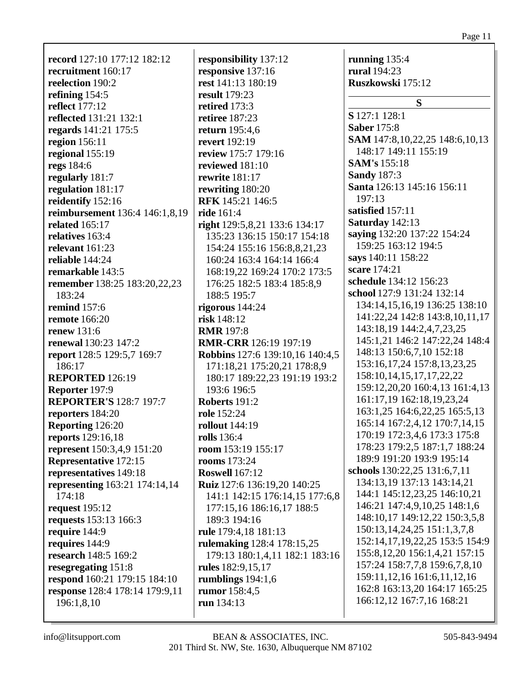| record 127:10 177:12 182:12          | ľ |
|--------------------------------------|---|
| recruitment 160:17                   | ľ |
| reelection 190:2                     | ľ |
| refining 154:5                       | ľ |
| <b>reflect</b> 177:12                | ľ |
| <b>reflected</b> 131:21 132:1        | ľ |
| regards 141:21 175:5                 |   |
| region 156:11                        | ľ |
|                                      | ľ |
| regional 155:19                      | ľ |
| regs 184:6                           | ľ |
| regularly 181:7                      | ľ |
| regulation 181:17                    | ľ |
| reidentify 152:16                    | I |
| reimbursement 136:4 146:1,8,19       | ľ |
| <b>related</b> 165:17                | ľ |
| relatives 163:4                      |   |
| relevant $161:23$                    |   |
| reliable 144:24                      |   |
| remarkable 143:5                     |   |
| remember 138:25 183:20,22,23         |   |
| 183:24                               |   |
| remind $157:6$                       | ľ |
| <b>remote</b> 166:20                 | ľ |
| renew 131:6                          | I |
| <b>renewal</b> 130:23 147:2          | I |
| report 128:5 129:5,7 169:7           | I |
| 186:17                               |   |
| <b>REPORTED 126:19</b>               |   |
| Reporter 197:9                       |   |
| <b>REPORTER'S 128:7 197:7</b>        | I |
|                                      |   |
| reporters 184:20                     | ľ |
| <b>Reporting 126:20</b>              | ľ |
| reports 129:16,18                    | ľ |
| represent 150:3,4,9 151:20           | ľ |
| Representative 172:15                | ľ |
| representatives 149:18               | I |
| <b>representing</b> 163:21 174:14,14 | I |
| 174:18                               |   |
| request 195:12                       |   |
| requests 153:13 166:3                |   |
| require 144:9                        | ľ |
| requires 144:9                       | ľ |
| research 148:5 169:2                 |   |
| resegregating 151:8                  | ľ |
| respond 160:21 179:15 184:10         | ľ |
| response 128:4 178:14 179:9,11       | ľ |
| 196:1,8,10                           | ľ |
|                                      |   |

**responsibility** 137:12 **responsive** 137:16 **rest** 141:13 180:19 **result** 179:23 **retired** 173:3 **retiree** 187:23 **return** 195:4,6 **revert** 192:19 **review** 175:7 179:16 **reviewed** 181:10 **rewrite** 181:17 **rewriting** 180:20 **RFK** 145:21 146:5 **ride** 161:4 **right** 129:5,8,21 133:6 134:17 135:23 136:15 150:17 154:18 154:24 155:16 156:8,8,21,23 160:24 163:4 164:14 166:4 168:19,22 169:24 170:2 173:5 176:25 182:5 183:4 185:8,9 188:5 195:7 **rigorous** 144:24 **risk** 148:12 **RMR** 197:8 **RMR-CRR** 126:19 197:19 **Robbins** 127:6 139:10,16 140:4,5 171:18,21 175:20,21 178:8,9 180:17 189:22,23 191:19 193:2 193:6 196:5 **Roberts** 191:2 **role** 152:24 **rollout** 144:19 **rolls** 136:4 **room** 153:19 155:17 **rooms** 173:24 **Roswell** 167:12 **Ruiz** 127:6 136:19,20 140:25 141:1 142:15 176:14,15 177:6,8 177:15,16 186:16,17 188:5 189:3 194:16 **rule** 179:4,18 181:13 **rulemaking** 128:4 178:15,25 179:13 180:1,4,11 182:1 183:16 **rules** 182:9,15,17 **rumblings** 194:1,6 **rumor** 158:4,5 **run** 134:13

**running** 135:4 **rural** 194:23 **Ruszkowski** 175:12 **S S** 127:1 128:1 **Saber** 175:8 **SAM** 147:8,10,22,25 148:6,10,13 148:17 149:11 155:19 **SAM's** 155:18 **Sandy** 187:3 **Santa** 126:13 145:16 156:11 197:13 **satisfied** 157:11 **Saturday** 142:13 **saying** 132:20 137:22 154:24 159:25 163:12 194:5 **says** 140:11 158:22 **scare** 174:21 **schedule** 134:12 156:23 **school** 127:9 131:24 132:14 134:14,15,16,19 136:25 138:10 141:22,24 142:8 143:8,10,11,17 143:18,19 144:2,4,7,23,25 145:1,21 146:2 147:22,24 148:4 148:13 150:6,7,10 152:18 153:16,17,24 157:8,13,23,25 158:10,14,15,17,17,22,22 159:12,20,20 160:4,13 161:4,13 161:17,19 162:18,19,23,24 163:1,25 164:6,22,25 165:5,13 165:14 167:2,4,12 170:7,14,15 170:19 172:3,4,6 173:3 175:8 178:23 179:2,5 187:1,7 188:24 189:9 191:20 193:9 195:14 **schools** 130:22,25 131:6,7,11 134:13,19 137:13 143:14,21 144:1 145:12,23,25 146:10,21 146:21 147:4,9,10,25 148:1,6 148:10,17 149:12,22 150:3,5,8 150:13,14,24,25 151:1,3,7,8 152:14,17,19,22,25 153:5 154:9 155:8,12,20 156:1,4,21 157:15 157:24 158:7,7,8 159:6,7,8,10 159:11,12,16 161:6,11,12,16 162:8 163:13,20 164:17 165:25 166:12,12 167:7,16 168:21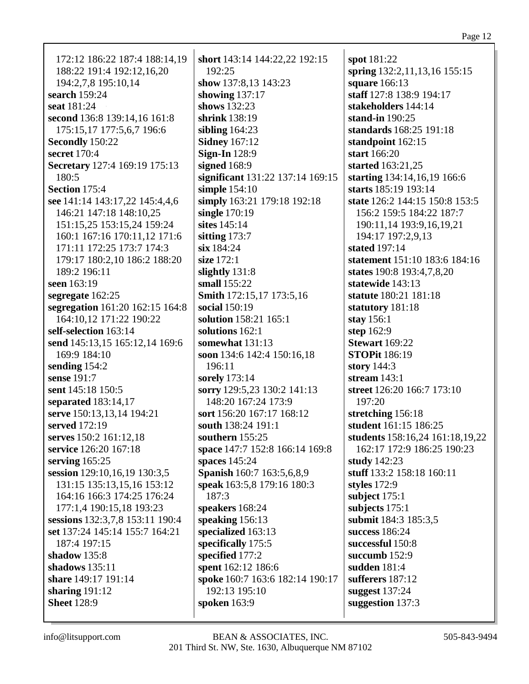172:12 186:22 187:4 188:14,19 188:22 191:4 192:12,16,20 194:2,7,8 195:10,14 **search** 159:24 **seat** 181:24 **second** 136:8 139:14,16 161:8 175:15,17 177:5,6,7 196:6 **Secondly** 150:22 **secret** 170:4 **Secretary** 127:4 169:19 175:13 180:5 **Section** 175:4 **see** 141:14 143:17,22 145:4,4,6 146:21 147:18 148:10,25 151:15,25 153:15,24 159:24 160:1 167:16 170:11,12 171:6 171:11 172:25 173:7 174:3 179:17 180:2,10 186:2 188:20 189:2 196:11 **seen** 163:19 **segregate** 162:25 **segregation** 161:20 162:15 164:8 164:10,12 171:22 190:22 **self-selection** 163:14 **send** 145:13,15 165:12,14 169:6 169:9 184:10 **sending** 154:2 **sense** 191:7 **sent** 145:18 150:5 **separated** 183:14,17 **serve** 150:13,13,14 194:21 **served** 172:19 **serves** 150:2 161:12,18 **service** 126:20 167:18 **serving** 165:25 **session** 129:10,16,19 130:3,5 131:15 135:13,15,16 153:12 164:16 166:3 174:25 176:24 177:1,4 190:15,18 193:23 **sessions** 132:3,7,8 153:11 190:4 **set** 137:24 145:14 155:7 164:21 187:4 197:15 **shadow** 135:8 **shadows** 135:11 **share** 149:17 191:14 **sharing** 191:12 **Sheet** 128:9

**short** 143:14 144:22,22 192:15 192:25 **show** 137:8,13 143:23 **showing** 137:17 **shows** 132:23 **shrink** 138:19 **sibling** 164:23 **Sidney** 167:12 **Sign-In** 128:9 **signed** 168:9 **significant** 131:22 137:14 169:15 **simple** 154:10 **simply** 163:21 179:18 192:18 **single** 170:19 **sites** 145:14 **sitting** 173:7 **six** 184:24 **size** 172:1 **slightly** 131:8 **small** 155:22 **Smith** 172:15,17 173:5,16 **social** 150:19 **solution** 158:21 165:1 **solutions** 162:1 **somewhat** 131:13 **soon** 134:6 142:4 150:16,18 196:11 **sorely** 173:14 **sorry** 129:5,23 130:2 141:13 148:20 167:24 173:9 **sort** 156:20 167:17 168:12 **south** 138:24 191:1 **southern** 155:25 **space** 147:7 152:8 166:14 169:8 **spaces** 145:24 **Spanish** 160:7 163:5,6,8,9 **speak** 163:5,8 179:16 180:3 187:3 **speakers** 168:24 **speaking** 156:13 **specialized** 163:13 **specifically** 175:5 **specified** 177:2 **spent** 162:12 186:6 **spoke** 160:7 163:6 182:14 190:17 192:13 195:10 **spoken** 163:9

**spot** 181:22 **spring** 132:2,11,13,16 155:15 **square** 166:13 **staff** 127:8 138:9 194:17 **stakeholders** 144:14 **stand-in** 190:25 **standards** 168:25 191:18 **standpoint** 162:15 **start** 166:20 **started** 163:21,25 **starting** 134:14,16,19 166:6 **starts** 185:19 193:14 **state** 126:2 144:15 150:8 153:5 156:2 159:5 184:22 187:7 190:11,14 193:9,16,19,21 194:17 197:2,9,13 **stated** 197:14 **statement** 151:10 183:6 184:16 **states** 190:8 193:4,7,8,20 **statewide** 143:13 **statute** 180:21 181:18 **statutory** 181:18 **stay** 156:1 **step** 162:9 **Stewart** 169:22 **STOPit** 186:19 **story** 144:3 **stream** 143:1 **street** 126:20 166:7 173:10 197:20 **stretching** 156:18 **student** 161:15 186:25 **students** 158:16,24 161:18,19,22 162:17 172:9 186:25 190:23 **study** 142:23 **stuff** 133:2 158:18 160:11 **styles** 172:9 **subject** 175:1 **subjects** 175:1 **submit** 184:3 185:3,5 **success** 186:24 **successful** 150:8 **succumb** 152:9 **sudden** 181:4 **sufferers** 187:12 **suggest** 137:24 **suggestion** 137:3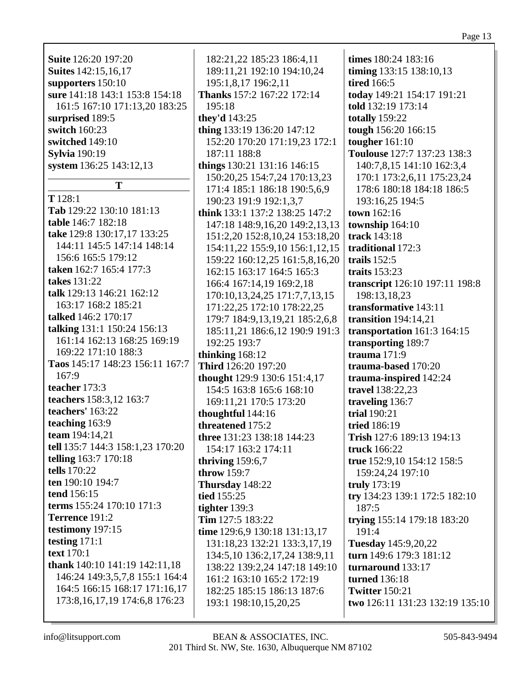| r |  |
|---|--|
|   |  |

**Suite** 126:20 197:20 **Suites** 142:15,16,17 **supporters** 150:10 **sure** 141:18 143:1 153:8 154:18 161:5 167:10 171:13,20 183:25 **surprised** 189:5 **switch** 160:23 **switched** 149:10 **Sylvia** 190:19 **system** 136:25 143:12,13

**T**

**T** 128:1 **Tab** 129:22 130:10 181:13 **table** 146:7 182:18 **take** 129:8 130:17,17 133:25 144:11 145:5 147:14 148:14 156:6 165:5 179:12 **taken** 162:7 165:4 177:3 **takes** 131:22 **talk** 129:13 146:21 162:12 163:17 168:2 185:21 **talked** 146:2 170:17 **talking** 131:1 150:24 156:13 161:14 162:13 168:25 169:19 169:22 171:10 188:3 **Taos** 145:17 148:23 156:11 167:7 167:9 **teacher** 173:3 **teachers** 158:3,12 163:7 **teachers'** 163:22 **teaching** 163:9 **team** 194:14,21 **tell** 135:7 144:3 158:1,23 170:20 **telling** 163:7 170:18 **tells** 170:22 **ten** 190:10 194:7 **tend** 156:15 **terms** 155:24 170:10 171:3 **Terrence** 191:2 **testimony** 197:15 **testing** 171:1 **text** 170:1 **thank** 140:10 141:19 142:11,18 146:24 149:3,5,7,8 155:1 164:4 164:5 166:15 168:17 171:16,17 173:8,16,17,19 174:6,8 176:23

182:21,22 185:23 186:4,11 189:11,21 192:10 194:10,24 195:1,8,17 196:2,11 **Thanks** 157:2 167:22 172:14 195:18 **they'd** 143:25 **thing** 133:19 136:20 147:12 152:20 170:20 171:19,23 172:1 187:11 188:8 **things** 130:21 131:16 146:15 150:20,25 154:7,24 170:13,23 171:4 185:1 186:18 190:5,6,9 190:23 191:9 192:1,3,7 **think** 133:1 137:2 138:25 147:2 147:18 148:9,16,20 149:2,13,13 151:2,20 152:8,10,24 153:18,20 154:11,22 155:9,10 156:1,12,15 159:22 160:12,25 161:5,8,16,20 162:15 163:17 164:5 165:3 166:4 167:14,19 169:2,18 170:10,13,24,25 171:7,7,13,15 171:22,25 172:10 178:22,25 179:7 184:9,13,19,21 185:2,6,8 185:11,21 186:6,12 190:9 191:3 192:25 193:7 **thinking** 168:12 **Third** 126:20 197:20 **thought** 129:9 130:6 151:4,17 154:5 163:8 165:6 168:10 169:11,21 170:5 173:20 **thoughtful** 144:16 **threatened** 175:2 **three** 131:23 138:18 144:23 154:17 163:2 174:11 **thriving** 159:6,7 **throw** 159:7 **Thursday** 148:22 **tied** 155:25 **tighter** 139:3 **Tim** 127:5 183:22 **time** 129:6,9 130:18 131:13,17 131:18,23 132:21 133:3,17,19 134:5,10 136:2,17,24 138:9,11 138:22 139:2,24 147:18 149:10 161:2 163:10 165:2 172:19 182:25 185:15 186:13 187:6 193:1 198:10,15,20,25

**times** 180:24 183:16 **timing** 133:15 138:10,13 **tired** 166:5 **today** 149:21 154:17 191:21 **told** 132:19 173:14 **totally** 159:22 **tough** 156:20 166:15 **tougher** 161:10 **Toulouse** 127:7 137:23 138:3 140:7,8,15 141:10 162:3,4 170:1 173:2,6,11 175:23,24 178:6 180:18 184:18 186:5 193:16,25 194:5 **town** 162:16 **township** 164:10 **track** 143:18 **traditional** 172:3 **trails** 152:5 **traits** 153:23 **transcript** 126:10 197:11 198:8 198:13,18,23 **transformative** 143:11 **transition** 194:14,21 **transportation** 161:3 164:15 **transporting** 189:7 **trauma** 171:9 **trauma-based** 170:20 **trauma-inspired** 142:24 **travel** 138:22,23 **traveling** 136:7 **trial** 190:21 **tried** 186:19 **Trish** 127:6 189:13 194:13 **truck** 166:22 **true** 152:9,10 154:12 158:5 159:24,24 197:10 **truly** 173:19 **try** 134:23 139:1 172:5 182:10 187:5 **trying** 155:14 179:18 183:20 191:4 **Tuesday** 145:9,20,22 **turn** 149:6 179:3 181:12 **turnaround** 133:17 **turned** 136:18 **Twitter** 150:21 **two** 126:11 131:23 132:19 135:10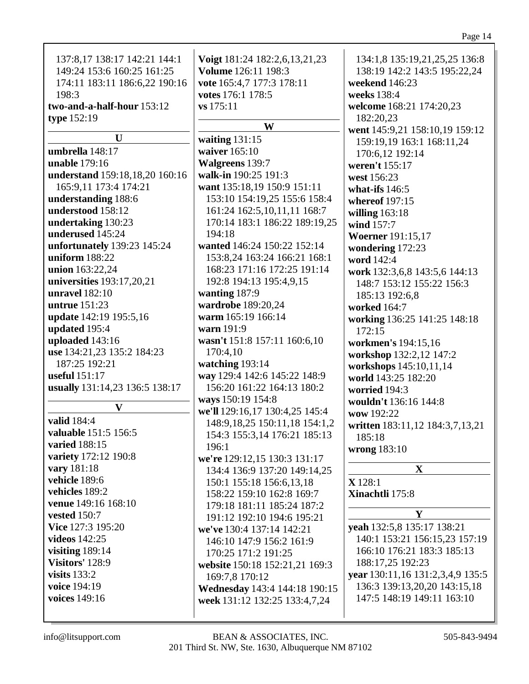| vote 165:4,7 177:3 178:11         | weekend 146:23                   |
|-----------------------------------|----------------------------------|
| votes 176:1 178:5                 | weeks 138:4                      |
| vs 175:11                         | welcome 168:21 174:20,23         |
|                                   | 182:20,23                        |
| W                                 | went 145:9,21 158:10,19 159:12   |
| waiting $131:15$                  | 159:19,19 163:1 168:11,24        |
| waiver 165:10                     | 170:6,12 192:14                  |
| <b>Walgreens 139:7</b>            | weren't 155:17                   |
| walk-in 190:25 191:3              | west 156:23                      |
| want 135:18,19 150:9 151:11       | what-ifs $146:5$                 |
| 153:10 154:19,25 155:6 158:4      | whereof 197:15                   |
| 161:24 162:5, 10, 11, 11 168:7    | willing $163:18$                 |
| 170:14 183:1 186:22 189:19,25     | wind 157:7                       |
| 194:18                            | <b>Woerner</b> 191:15,17         |
| wanted 146:24 150:22 152:14       | wondering 172:23                 |
| 153:8,24 163:24 166:21 168:1      | word 142:4                       |
| 168:23 171:16 172:25 191:14       | work 132:3,6,8 143:5,6 144:13    |
| 192:8 194:13 195:4,9,15           | 148:7 153:12 155:22 156:3        |
| wanting 187:9                     | 185:13 192:6,8                   |
| wardrobe 189:20,24                | worked 164:7                     |
| warm 165:19 166:14                | working 136:25 141:25 148:18     |
| warn 191:9                        | 172:15                           |
| wasn't 151:8 157:11 160:6,10      | workmen's 194:15,16              |
| 170:4,10                          | workshop 132:2,12 147:2          |
| watching 193:14                   | workshops 145:10,11,14           |
| way 129:4 142:6 145:22 148:9      | world 143:25 182:20              |
| 156:20 161:22 164:13 180:2        | worried 194:3                    |
| ways 150:19 154:8                 | wouldn't 136:16 144:8            |
| we'll 129:16,17 130:4,25 145:4    | wow 192:22                       |
| 148:9, 18, 25 150:11, 18 154:1, 2 | written 183:11,12 184:3,7,13,21  |
| 154:3 155:3,14 176:21 185:13      | 185:18                           |
| 196:1                             | wrong 183:10                     |
| we're 129:12,15 130:3 131:17      |                                  |
| 134:4 136:9 137:20 149:14,25      | X                                |
| 150:1 155:18 156:6,13,18          | X 128:1                          |
| 158:22 159:10 162:8 169:7         | Xinachtli 175:8                  |
| 179:18 181:11 185:24 187:2        |                                  |
| 191:12 192:10 194:6 195:21        | Y                                |
| we've 130:4 137:14 142:21         | yeah 132:5,8 135:17 138:21       |
| 146:10 147:9 156:2 161:9          | 140:1 153:21 156:15,23 157:19    |
| 170:25 171:2 191:25               | 166:10 176:21 183:3 185:13       |
| website 150:18 152:21,21 169:3    | 188:17,25 192:23                 |
| 169:7,8 170:12                    | year 130:11,16 131:2,3,4,9 135:5 |
| Wednesday 143:4 144:18 190:15     | 136:3 139:13,20,20 143:15,18     |
| week 131:12 132:25 133:4,7,24     | 147:5 148:19 149:11 163:10       |
|                                   |                                  |

134:1,8 135:19,21,25,25 136:8 138:19 142:2 143:5 195:22,24

137:8,17 138:17 142:21 144:1 149:24 153:6 160:25 161:25 174:11 183:11 186:6,22 190:16

**U**

**understand** 159:18,18,20 160:16

165:9,11 173:4 174:21 **understanding** 188:6 **understood** 158:12 **undertaking** 130:23 **underused** 145:24

**unfortunately** 139:23 145:24

**universities** 193:17,20,21

**update** 142:19 195:5,16

**use** 134:21,23 135:2 184:23

**usually** 131:14,23 136:5 138:17

**V**

**two-and-a-half-hour** 153:12

198:3

**type** 152:19

**umbrella** 148:17 **unable** 179:16

**uniform** 188:22 **union** 163:22,24

**unravel** 182:10 **untrue** 151:23

**updated** 195:4 **uploaded** 143:16

187:25 192:21 **useful** 151:17

**valuable** 151:5 156:5

**variety** 172:12 190:8

**venue** 149:16 168:10

**valid** 184:4

**varied** 188:15

**vary** 181:18 **vehicle** 189:6 **vehicles** 189:2

**vested** 150:7 **Vice** 127:3 195:20 **videos** 142:25 **visiting** 189:14 **Visitors'** 128:9 **visits** 133:2 **voice** 194:19 **voices** 149:16

**Voigt** 181:24 182:2,6,13,21,23

**Volume** 126:11 198:3